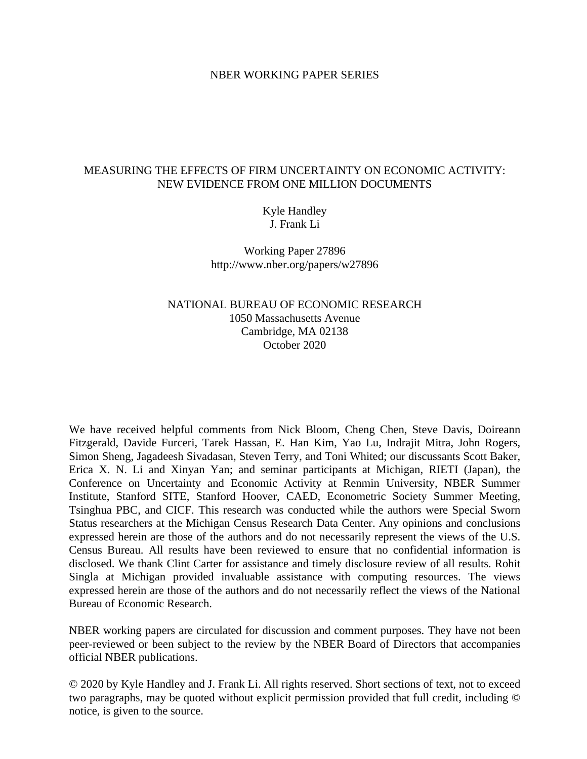## NBER WORKING PAPER SERIES

## MEASURING THE EFFECTS OF FIRM UNCERTAINTY ON ECONOMIC ACTIVITY: NEW EVIDENCE FROM ONE MILLION DOCUMENTS

# Kyle Handley J. Frank Li

Working Paper 27896 http://www.nber.org/papers/w27896

# NATIONAL BUREAU OF ECONOMIC RESEARCH 1050 Massachusetts Avenue Cambridge, MA 02138 October 2020

We have received helpful comments from Nick Bloom, Cheng Chen, Steve Davis, Doireann Fitzgerald, Davide Furceri, Tarek Hassan, E. Han Kim, Yao Lu, Indrajit Mitra, John Rogers, Simon Sheng, Jagadeesh Sivadasan, Steven Terry, and Toni Whited; our discussants Scott Baker, Erica X. N. Li and Xinyan Yan; and seminar participants at Michigan, RIETI (Japan), the Conference on Uncertainty and Economic Activity at Renmin University, NBER Summer Institute, Stanford SITE, Stanford Hoover, CAED, Econometric Society Summer Meeting, Tsinghua PBC, and CICF. This research was conducted while the authors were Special Sworn Status researchers at the Michigan Census Research Data Center. Any opinions and conclusions expressed herein are those of the authors and do not necessarily represent the views of the U.S. Census Bureau. All results have been reviewed to ensure that no confidential information is disclosed. We thank Clint Carter for assistance and timely disclosure review of all results. Rohit Singla at Michigan provided invaluable assistance with computing resources. The views expressed herein are those of the authors and do not necessarily reflect the views of the National Bureau of Economic Research.

NBER working papers are circulated for discussion and comment purposes. They have not been peer-reviewed or been subject to the review by the NBER Board of Directors that accompanies official NBER publications.

© 2020 by Kyle Handley and J. Frank Li. All rights reserved. Short sections of text, not to exceed two paragraphs, may be quoted without explicit permission provided that full credit, including © notice, is given to the source.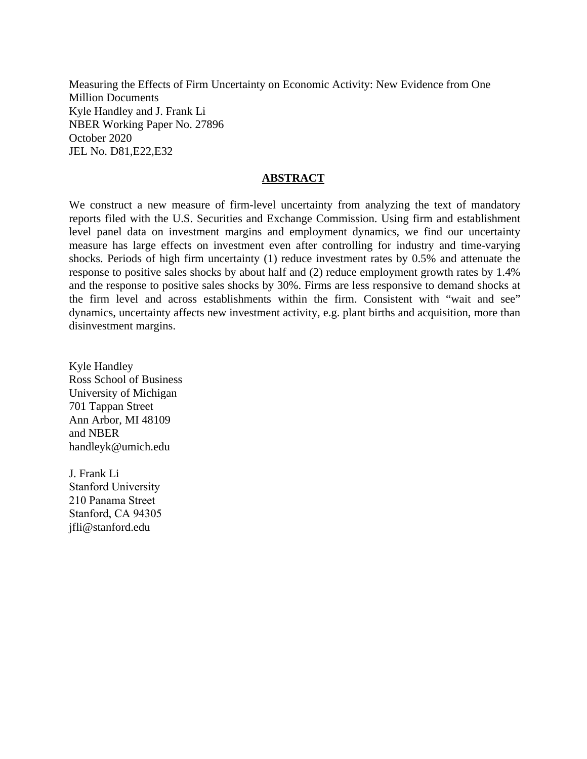Measuring the Effects of Firm Uncertainty on Economic Activity: New Evidence from One Million Documents Kyle Handley and J. Frank Li NBER Working Paper No. 27896 October 2020 JEL No. D81,E22,E32

## **ABSTRACT**

We construct a new measure of firm-level uncertainty from analyzing the text of mandatory reports filed with the U.S. Securities and Exchange Commission. Using firm and establishment level panel data on investment margins and employment dynamics, we find our uncertainty measure has large effects on investment even after controlling for industry and time-varying shocks. Periods of high firm uncertainty (1) reduce investment rates by 0.5% and attenuate the response to positive sales shocks by about half and (2) reduce employment growth rates by 1.4% and the response to positive sales shocks by 30%. Firms are less responsive to demand shocks at the firm level and across establishments within the firm. Consistent with "wait and see" dynamics, uncertainty affects new investment activity, e.g. plant births and acquisition, more than disinvestment margins.

Kyle Handley Ross School of Business University of Michigan 701 Tappan Street Ann Arbor, MI 48109 and NBER handleyk@umich.edu

J. Frank Li Stanford University 210 Panama Street Stanford, CA 94305 jfli@stanford.edu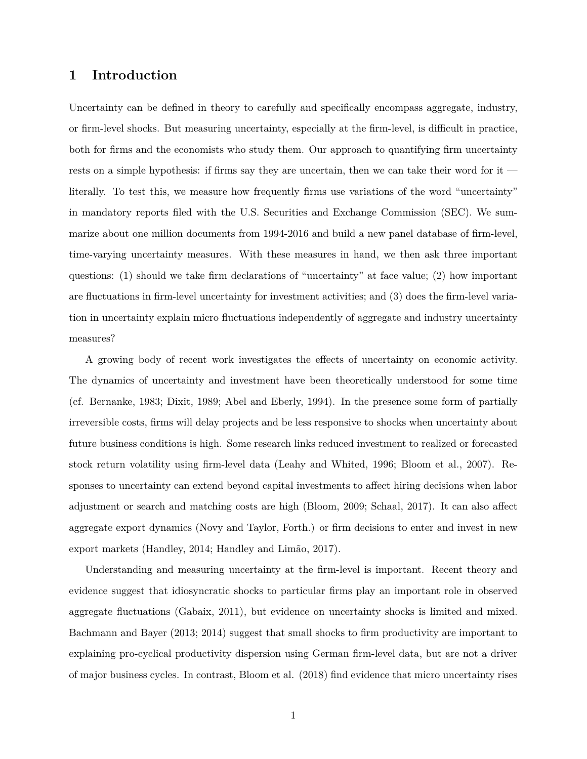## **1 Introduction**

Uncertainty can be defined in theory to carefully and specifically encompass aggregate, industry, or firm-level shocks. But measuring uncertainty, especially at the firm-level, is difficult in practice, both for firms and the economists who study them. Our approach to quantifying firm uncertainty rests on a simple hypothesis: if firms say they are uncertain, then we can take their word for it literally. To test this, we measure how frequently firms use variations of the word "uncertainty" in mandatory reports filed with the U.S. Securities and Exchange Commission (SEC). We summarize about one million documents from 1994-2016 and build a new panel database of firm-level, time-varying uncertainty measures. With these measures in hand, we then ask three important questions: (1) should we take firm declarations of "uncertainty" at face value; (2) how important are fluctuations in firm-level uncertainty for investment activities; and (3) does the firm-level variation in uncertainty explain micro fluctuations independently of aggregate and industry uncertainty measures?

A growing body of recent work investigates the effects of uncertainty on economic activity. The dynamics of uncertainty and investment have been theoretically understood for some time (cf. Bernanke, 1983; Dixit, 1989; Abel and Eberly, 1994). In the presence some form of partially irreversible costs, firms will delay projects and be less responsive to shocks when uncertainty about future business conditions is high. Some research links reduced investment to realized or forecasted stock return volatility using firm-level data (Leahy and Whited, 1996; Bloom et al., 2007). Responses to uncertainty can extend beyond capital investments to affect hiring decisions when labor adjustment or search and matching costs are high (Bloom, 2009; Schaal, 2017). It can also affect aggregate export dynamics (Novy and Taylor, Forth.) or firm decisions to enter and invest in new export markets (Handley, 2014; Handley and Limão, 2017).

Understanding and measuring uncertainty at the firm-level is important. Recent theory and evidence suggest that idiosyncratic shocks to particular firms play an important role in observed aggregate fluctuations (Gabaix, 2011), but evidence on uncertainty shocks is limited and mixed. Bachmann and Bayer (2013; 2014) suggest that small shocks to firm productivity are important to explaining pro-cyclical productivity dispersion using German firm-level data, but are not a driver of major business cycles. In contrast, Bloom et al. (2018) find evidence that micro uncertainty rises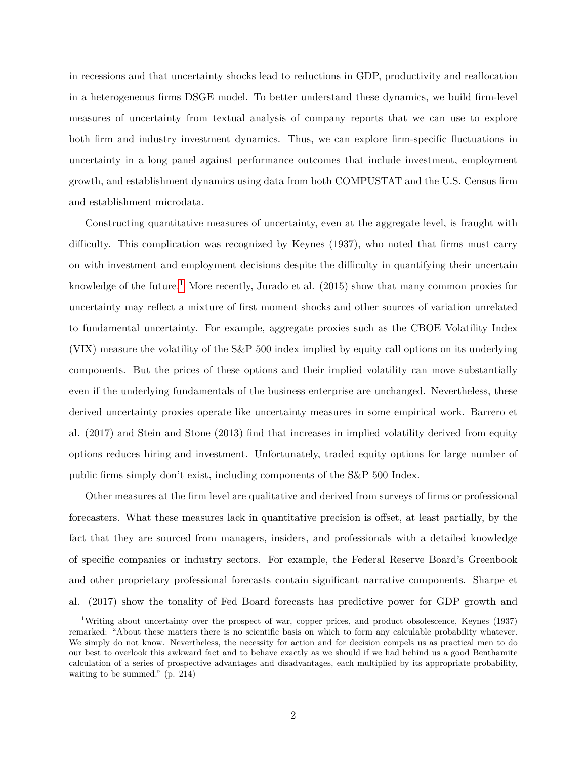in recessions and that uncertainty shocks lead to reductions in GDP, productivity and reallocation in a heterogeneous firms DSGE model. To better understand these dynamics, we build firm-level measures of uncertainty from textual analysis of company reports that we can use to explore both firm and industry investment dynamics. Thus, we can explore firm-specific fluctuations in uncertainty in a long panel against performance outcomes that include investment, employment growth, and establishment dynamics using data from both COMPUSTAT and the U.S. Census firm and establishment microdata.

Constructing quantitative measures of uncertainty, even at the aggregate level, is fraught with difficulty. This complication was recognized by Keynes (1937), who noted that firms must carry on with investment and employment decisions despite the difficulty in quantifying their uncertain knowledge of the future.<sup>[1](#page--1-0)</sup> More recently, Jurado et al.  $(2015)$  show that many common proxies for uncertainty may reflect a mixture of first moment shocks and other sources of variation unrelated to fundamental uncertainty. For example, aggregate proxies such as the CBOE Volatility Index (VIX) measure the volatility of the S&P 500 index implied by equity call options on its underlying components. But the prices of these options and their implied volatility can move substantially even if the underlying fundamentals of the business enterprise are unchanged. Nevertheless, these derived uncertainty proxies operate like uncertainty measures in some empirical work. Barrero et al. (2017) and Stein and Stone (2013) find that increases in implied volatility derived from equity options reduces hiring and investment. Unfortunately, traded equity options for large number of public firms simply don't exist, including components of the S&P 500 Index.

Other measures at the firm level are qualitative and derived from surveys of firms or professional forecasters. What these measures lack in quantitative precision is offset, at least partially, by the fact that they are sourced from managers, insiders, and professionals with a detailed knowledge of specific companies or industry sectors. For example, the Federal Reserve Board's Greenbook and other proprietary professional forecasts contain significant narrative components. Sharpe et al. (2017) show the tonality of Fed Board forecasts has predictive power for GDP growth and

<sup>1</sup>Writing about uncertainty over the prospect of war, copper prices, and product obsolescence, Keynes (1937) remarked: "About these matters there is no scientific basis on which to form any calculable probability whatever. We simply do not know. Nevertheless, the necessity for action and for decision compels us as practical men to do our best to overlook this awkward fact and to behave exactly as we should if we had behind us a good Benthamite calculation of a series of prospective advantages and disadvantages, each multiplied by its appropriate probability, waiting to be summed." (p. 214)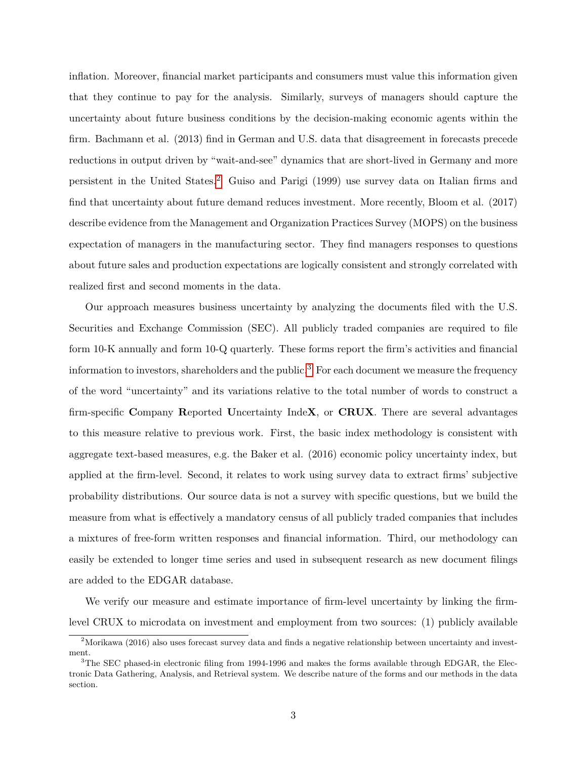inflation. Moreover, financial market participants and consumers must value this information given that they continue to pay for the analysis. Similarly, surveys of managers should capture the uncertainty about future business conditions by the decision-making economic agents within the firm. Bachmann et al. (2013) find in German and U.S. data that disagreement in forecasts precede reductions in output driven by "wait-and-see" dynamics that are short-lived in Germany and more persistent in the United States.[2](#page--1-0) Guiso and Parigi (1999) use survey data on Italian firms and find that uncertainty about future demand reduces investment. More recently, Bloom et al. (2017) describe evidence from the Management and Organization Practices Survey (MOPS) on the business expectation of managers in the manufacturing sector. They find managers responses to questions about future sales and production expectations are logically consistent and strongly correlated with realized first and second moments in the data.

Our approach measures business uncertainty by analyzing the documents filed with the U.S. Securities and Exchange Commission (SEC). All publicly traded companies are required to file form 10-K annually and form 10-Q quarterly. These forms report the firm's activities and financial information to investors, shareholders and the public.<sup>[3](#page--1-0)</sup> For each document we measure the frequency of the word "uncertainty" and its variations relative to the total number of words to construct a firm-specific **C**ompany **R**eported **U**ncertainty Inde**X**, or **CRUX**. There are several advantages to this measure relative to previous work. First, the basic index methodology is consistent with aggregate text-based measures, e.g. the Baker et al. (2016) economic policy uncertainty index, but applied at the firm-level. Second, it relates to work using survey data to extract firms' subjective probability distributions. Our source data is not a survey with specific questions, but we build the measure from what is effectively a mandatory census of all publicly traded companies that includes a mixtures of free-form written responses and financial information. Third, our methodology can easily be extended to longer time series and used in subsequent research as new document filings are added to the EDGAR database.

We verify our measure and estimate importance of firm-level uncertainty by linking the firmlevel CRUX to microdata on investment and employment from two sources: (1) publicly available

<sup>&</sup>lt;sup>2</sup>Morikawa (2016) also uses forecast survey data and finds a negative relationship between uncertainty and investment.

<sup>&</sup>lt;sup>3</sup>The SEC phased-in electronic filing from 1994-1996 and makes the forms available through EDGAR, the Electronic Data Gathering, Analysis, and Retrieval system. We describe nature of the forms and our methods in the data section.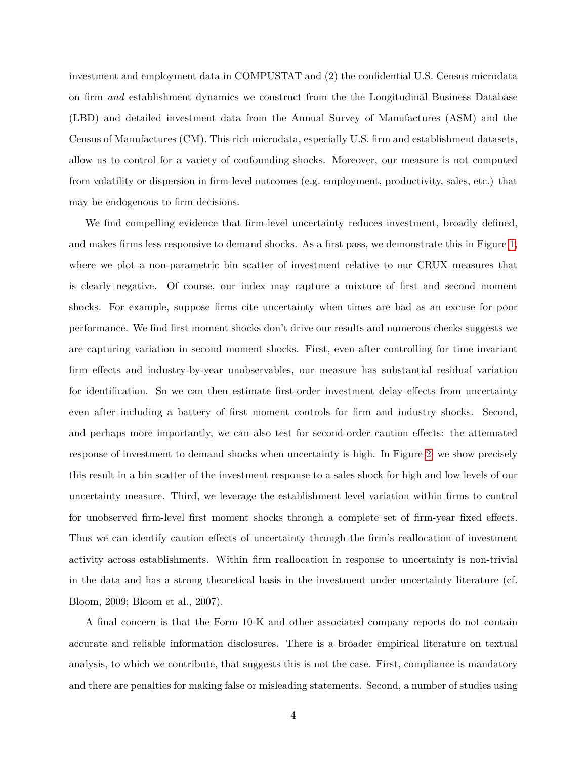investment and employment data in COMPUSTAT and (2) the confidential U.S. Census microdata on firm *and* establishment dynamics we construct from the the Longitudinal Business Database (LBD) and detailed investment data from the Annual Survey of Manufactures (ASM) and the Census of Manufactures (CM). This rich microdata, especially U.S. firm and establishment datasets, allow us to control for a variety of confounding shocks. Moreover, our measure is not computed from volatility or dispersion in firm-level outcomes (e.g. employment, productivity, sales, etc.) that may be endogenous to firm decisions.

We find compelling evidence that firm-level uncertainty reduces investment, broadly defined, and makes firms less responsive to demand shocks. As a first pass, we demonstrate this in Figure [1,](#page-33-0) where we plot a non-parametric bin scatter of investment relative to our CRUX measures that is clearly negative. Of course, our index may capture a mixture of first and second moment shocks. For example, suppose firms cite uncertainty when times are bad as an excuse for poor performance. We find first moment shocks don't drive our results and numerous checks suggests we are capturing variation in second moment shocks. First, even after controlling for time invariant firm effects and industry-by-year unobservables, our measure has substantial residual variation for identification. So we can then estimate first-order investment delay effects from uncertainty even after including a battery of first moment controls for firm and industry shocks. Second, and perhaps more importantly, we can also test for second-order caution effects: the attenuated response of investment to demand shocks when uncertainty is high. In Figure [2,](#page-34-0) we show precisely this result in a bin scatter of the investment response to a sales shock for high and low levels of our uncertainty measure. Third, we leverage the establishment level variation within firms to control for unobserved firm-level first moment shocks through a complete set of firm-year fixed effects. Thus we can identify caution effects of uncertainty through the firm's reallocation of investment activity across establishments. Within firm reallocation in response to uncertainty is non-trivial in the data and has a strong theoretical basis in the investment under uncertainty literature (cf. Bloom, 2009; Bloom et al., 2007).

A final concern is that the Form 10-K and other associated company reports do not contain accurate and reliable information disclosures. There is a broader empirical literature on textual analysis, to which we contribute, that suggests this is not the case. First, compliance is mandatory and there are penalties for making false or misleading statements. Second, a number of studies using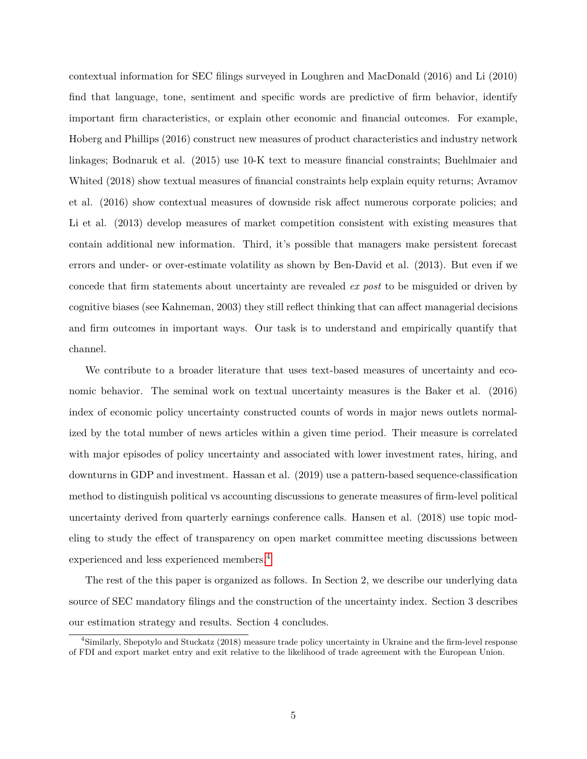contextual information for SEC filings surveyed in Loughren and MacDonald (2016) and Li (2010) find that language, tone, sentiment and specific words are predictive of firm behavior, identify important firm characteristics, or explain other economic and financial outcomes. For example, Hoberg and Phillips (2016) construct new measures of product characteristics and industry network linkages; Bodnaruk et al. (2015) use 10-K text to measure financial constraints; Buehlmaier and Whited (2018) show textual measures of financial constraints help explain equity returns; Avramov et al. (2016) show contextual measures of downside risk affect numerous corporate policies; and Li et al. (2013) develop measures of market competition consistent with existing measures that contain additional new information. Third, it's possible that managers make persistent forecast errors and under- or over-estimate volatility as shown by Ben-David et al. (2013). But even if we concede that firm statements about uncertainty are revealed *ex post* to be misguided or driven by cognitive biases (see Kahneman, 2003) they still reflect thinking that can affect managerial decisions and firm outcomes in important ways. Our task is to understand and empirically quantify that channel.

We contribute to a broader literature that uses text-based measures of uncertainty and economic behavior. The seminal work on textual uncertainty measures is the Baker et al. (2016) index of economic policy uncertainty constructed counts of words in major news outlets normalized by the total number of news articles within a given time period. Their measure is correlated with major episodes of policy uncertainty and associated with lower investment rates, hiring, and downturns in GDP and investment. Hassan et al. (2019) use a pattern-based sequence-classification method to distinguish political vs accounting discussions to generate measures of firm-level political uncertainty derived from quarterly earnings conference calls. Hansen et al. (2018) use topic modeling to study the effect of transparency on open market committee meeting discussions between experienced and less experienced members.[4](#page--1-0)

The rest of the this paper is organized as follows. In Section 2, we describe our underlying data source of SEC mandatory filings and the construction of the uncertainty index. Section 3 describes our estimation strategy and results. Section 4 concludes.

<sup>4</sup>Similarly, Shepotylo and Stuckatz (2018) measure trade policy uncertainty in Ukraine and the firm-level response of FDI and export market entry and exit relative to the likelihood of trade agreement with the European Union.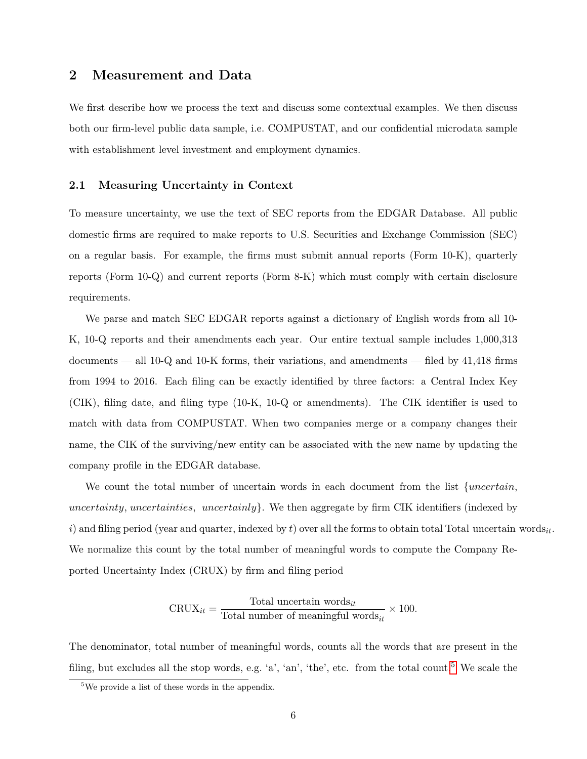# **2 Measurement and Data**

We first describe how we process the text and discuss some contextual examples. We then discuss both our firm-level public data sample, i.e. COMPUSTAT, and our confidential microdata sample with establishment level investment and employment dynamics.

## **2.1 Measuring Uncertainty in Context**

To measure uncertainty, we use the text of SEC reports from the EDGAR Database. All public domestic firms are required to make reports to U.S. Securities and Exchange Commission (SEC) on a regular basis. For example, the firms must submit annual reports (Form 10-K), quarterly reports (Form 10-Q) and current reports (Form 8-K) which must comply with certain disclosure requirements.

We parse and match SEC EDGAR reports against a dictionary of English words from all 10- K, 10-Q reports and their amendments each year. Our entire textual sample includes 1,000,313 documents — all 10-Q and 10-K forms, their variations, and amendments — filed by 41,418 firms from 1994 to 2016. Each filing can be exactly identified by three factors: a Central Index Key (CIK), filing date, and filing type (10-K, 10-Q or amendments). The CIK identifier is used to match with data from COMPUSTAT. When two companies merge or a company changes their name, the CIK of the surviving/new entity can be associated with the new name by updating the company profile in the EDGAR database.

We count the total number of uncertain words in each document from the list  $\{uncertain,$ uncertainty, uncertainties, uncertainly. We then aggregate by firm CIK identifiers (indexed by i) and filing period (year and quarter, indexed by t) over all the forms to obtain total Total uncertain words. We normalize this count by the total number of meaningful words to compute the Company Reported Uncertainty Index (CRUX) by firm and filing period

$$
CRUX_{it} = \frac{\text{Total uncertain words}_{it}}{\text{Total number of meaningful words}_{it}} \times 100.
$$

The denominator, total number of meaningful words, counts all the words that are present in the filing, but excludes all the stop words, e.g. 'a', 'an', 'the', etc. from the total count.[5](#page--1-0) We scale the

<sup>&</sup>lt;sup>5</sup>We provide a list of these words in the appendix.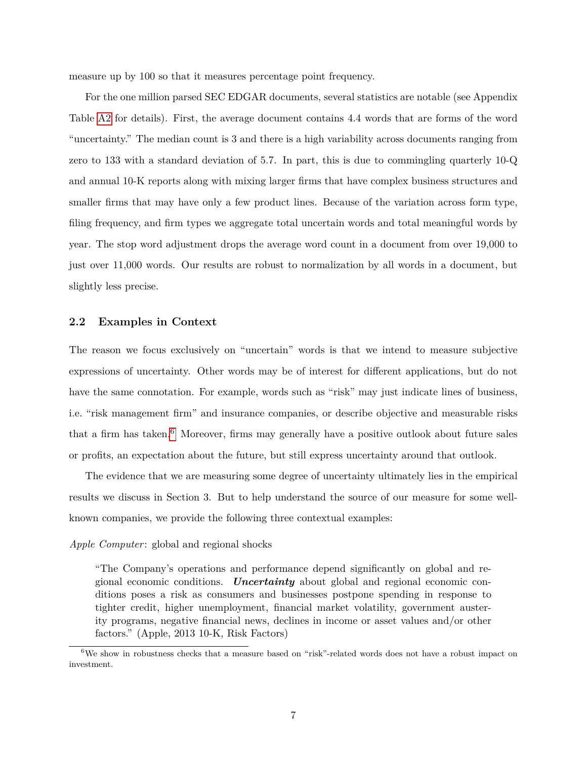measure up by 100 so that it measures percentage point frequency.

For the one million parsed SEC EDGAR documents, several statistics are notable (see Appendix Table [A2](#page-52-0) for details). First, the average document contains 4.4 words that are forms of the word "uncertainty." The median count is 3 and there is a high variability across documents ranging from zero to 133 with a standard deviation of 5.7. In part, this is due to commingling quarterly 10-Q and annual 10-K reports along with mixing larger firms that have complex business structures and smaller firms that may have only a few product lines. Because of the variation across form type, filing frequency, and firm types we aggregate total uncertain words and total meaningful words by year. The stop word adjustment drops the average word count in a document from over 19,000 to just over 11,000 words. Our results are robust to normalization by all words in a document, but slightly less precise.

## <span id="page-8-0"></span>**2.2 Examples in Context**

The reason we focus exclusively on "uncertain" words is that we intend to measure subjective expressions of uncertainty. Other words may be of interest for different applications, but do not have the same connotation. For example, words such as "risk" may just indicate lines of business, i.e. "risk management firm" and insurance companies, or describe objective and measurable risks that a firm has taken.<sup>[6](#page--1-0)</sup> Moreover, firms may generally have a positive outlook about future sales or profits, an expectation about the future, but still express uncertainty around that outlook.

The evidence that we are measuring some degree of uncertainty ultimately lies in the empirical results we discuss in Section 3. But to help understand the source of our measure for some wellknown companies, we provide the following three contextual examples:

## *Apple Computer*: global and regional shocks

"The Company's operations and performance depend significantly on global and regional economic conditions. *Uncertainty* about global and regional economic conditions poses a risk as consumers and businesses postpone spending in response to tighter credit, higher unemployment, financial market volatility, government austerity programs, negative financial news, declines in income or asset values and/or other factors." (Apple, 2013 10-K, Risk Factors)

<sup>&</sup>lt;sup>6</sup>We show in robustness checks that a measure based on "risk"-related words does not have a robust impact on investment.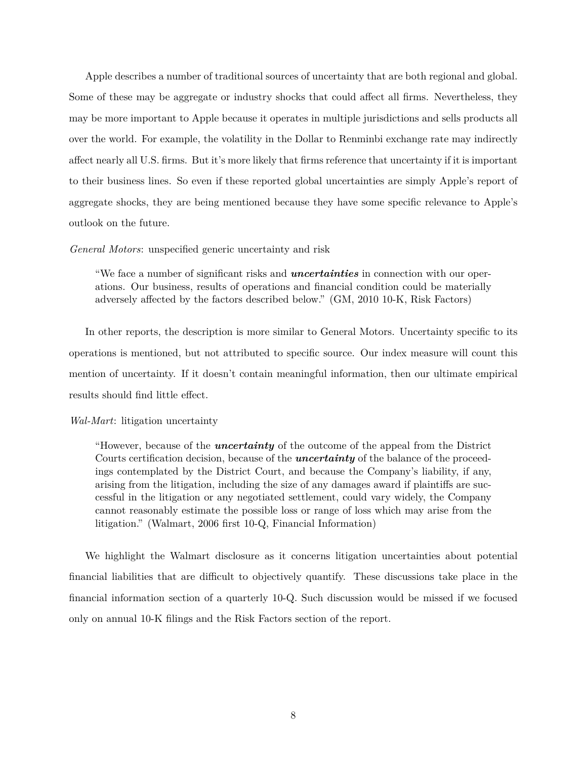Apple describes a number of traditional sources of uncertainty that are both regional and global. Some of these may be aggregate or industry shocks that could affect all firms. Nevertheless, they may be more important to Apple because it operates in multiple jurisdictions and sells products all over the world. For example, the volatility in the Dollar to Renminbi exchange rate may indirectly affect nearly all U.S. firms. But it's more likely that firms reference that uncertainty if it is important to their business lines. So even if these reported global uncertainties are simply Apple's report of aggregate shocks, they are being mentioned because they have some specific relevance to Apple's outlook on the future.

*General Motors*: unspecified generic uncertainty and risk

"We face a number of significant risks and *uncertainties* in connection with our operations. Our business, results of operations and financial condition could be materially adversely affected by the factors described below." (GM, 2010 10-K, Risk Factors)

In other reports, the description is more similar to General Motors. Uncertainty specific to its operations is mentioned, but not attributed to specific source. Our index measure will count this mention of uncertainty. If it doesn't contain meaningful information, then our ultimate empirical results should find little effect.

## *Wal-Mart*: litigation uncertainty

"However, because of the *uncertainty* of the outcome of the appeal from the District Courts certification decision, because of the *uncertainty* of the balance of the proceedings contemplated by the District Court, and because the Company's liability, if any, arising from the litigation, including the size of any damages award if plaintiffs are successful in the litigation or any negotiated settlement, could vary widely, the Company cannot reasonably estimate the possible loss or range of loss which may arise from the litigation." (Walmart, 2006 first 10-Q, Financial Information)

We highlight the Walmart disclosure as it concerns litigation uncertainties about potential financial liabilities that are difficult to objectively quantify. These discussions take place in the financial information section of a quarterly 10-Q. Such discussion would be missed if we focused only on annual 10-K filings and the Risk Factors section of the report.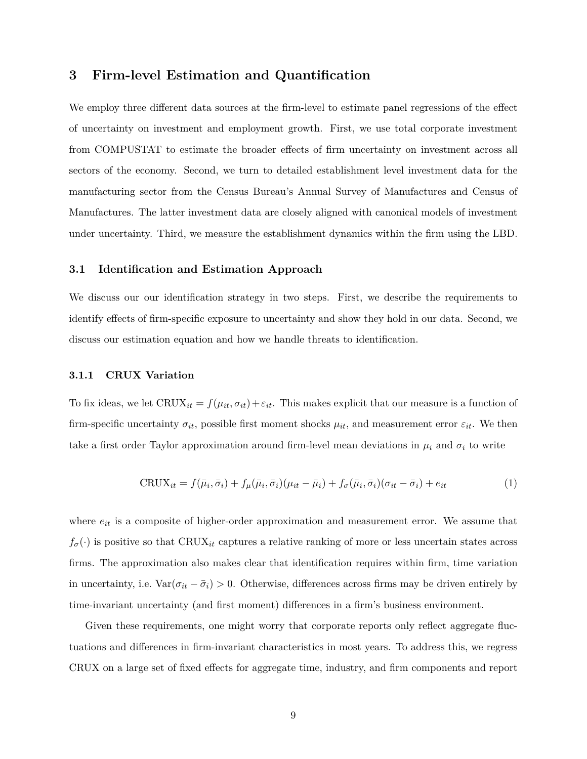# **3 Firm-level Estimation and Quantification**

We employ three different data sources at the firm-level to estimate panel regressions of the effect of uncertainty on investment and employment growth. First, we use total corporate investment from COMPUSTAT to estimate the broader effects of firm uncertainty on investment across all sectors of the economy. Second, we turn to detailed establishment level investment data for the manufacturing sector from the Census Bureau's Annual Survey of Manufactures and Census of Manufactures. The latter investment data are closely aligned with canonical models of investment under uncertainty. Third, we measure the establishment dynamics within the firm using the LBD.

## <span id="page-10-1"></span>**3.1 Identification and Estimation Approach**

We discuss our our identification strategy in two steps. First, we describe the requirements to identify effects of firm-specific exposure to uncertainty and show they hold in our data. Second, we discuss our estimation equation and how we handle threats to identification.

#### **3.1.1 CRUX Variation**

To fix ideas, we let  $CRUX_{it} = f(\mu_{it}, \sigma_{it}) + \varepsilon_{it}$ . This makes explicit that our measure is a function of firm-specific uncertainty  $\sigma_{it}$ , possible first moment shocks  $\mu_{it}$ , and measurement error  $\varepsilon_{it}$ . We then take a first order Taylor approximation around firm-level mean deviations in  $\bar{\mu}_i$  and  $\bar{\sigma}_i$  to write

<span id="page-10-0"></span>
$$
CRUX_{it} = f(\bar{\mu}_i, \bar{\sigma}_i) + f_{\mu}(\bar{\mu}_i, \bar{\sigma}_i)(\mu_{it} - \bar{\mu}_i) + f_{\sigma}(\bar{\mu}_i, \bar{\sigma}_i)(\sigma_{it} - \bar{\sigma}_i) + e_{it}
$$
(1)

where  $e_{it}$  is a composite of higher-order approximation and measurement error. We assume that  $f_{\sigma}(\cdot)$  is positive so that CRUX<sub>it</sub> captures a relative ranking of more or less uncertain states across firms. The approximation also makes clear that identification requires within firm, time variation in uncertainty, i.e.  $\text{Var}(\sigma_{it} - \bar{\sigma}_i) > 0$ . Otherwise, differences across firms may be driven entirely by time-invariant uncertainty (and first moment) differences in a firm's business environment.

Given these requirements, one might worry that corporate reports only reflect aggregate fluctuations and differences in firm-invariant characteristics in most years. To address this, we regress CRUX on a large set of fixed effects for aggregate time, industry, and firm components and report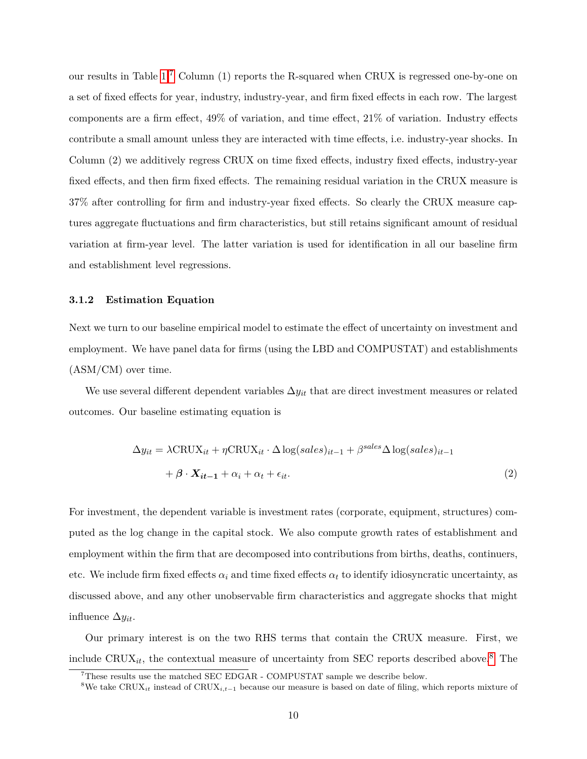our results in Table [1.](#page-36-0)[7](#page--1-0) Column (1) reports the R-squared when CRUX is regressed one-by-one on a set of fixed effects for year, industry, industry-year, and firm fixed effects in each row. The largest components are a firm effect, 49% of variation, and time effect, 21% of variation. Industry effects contribute a small amount unless they are interacted with time effects, i.e. industry-year shocks. In Column (2) we additively regress CRUX on time fixed effects, industry fixed effects, industry-year fixed effects, and then firm fixed effects. The remaining residual variation in the CRUX measure is 37% after controlling for firm and industry-year fixed effects. So clearly the CRUX measure captures aggregate fluctuations and firm characteristics, but still retains significant amount of residual variation at firm-year level. The latter variation is used for identification in all our baseline firm and establishment level regressions.

## **3.1.2 Estimation Equation**

Next we turn to our baseline empirical model to estimate the effect of uncertainty on investment and employment. We have panel data for firms (using the LBD and COMPUSTAT) and establishments (ASM/CM) over time.

We use several different dependent variables  $\Delta y_{it}$  that are direct investment measures or related outcomes. Our baseline estimating equation is

$$
\Delta y_{it} = \lambda \text{CRUX}_{it} + \eta \text{CRUX}_{it} \cdot \Delta \log(sales)_{it-1} + \beta^{sales} \Delta \log(sales)_{it-1} + \beta \cdot \mathbf{X}_{it-1} + \alpha_i + \alpha_t + \epsilon_{it}.
$$
\n(2)

For investment, the dependent variable is investment rates (corporate, equipment, structures) computed as the log change in the capital stock. We also compute growth rates of establishment and employment within the firm that are decomposed into contributions from births, deaths, continuers, etc. We include firm fixed effects  $\alpha_i$  and time fixed effects  $\alpha_t$  to identify idiosyncratic uncertainty, as discussed above, and any other unobservable firm characteristics and aggregate shocks that might influence  $\Delta y_{it}$ .

Our primary interest is on the two RHS terms that contain the CRUX measure. First, we include  $CRUX_{it}$ , the contextual measure of uncertainty from SEC reports described above.<sup>[8](#page--1-0)</sup> The

 $7$ These results use the matched SEC EDGAR - COMPUSTAT sample we describe below.

<sup>&</sup>lt;sup>8</sup>We take CRUX<sub>it</sub> instead of CRUX<sub>it</sub><sub>-1</sub> because our measure is based on date of filing, which reports mixture of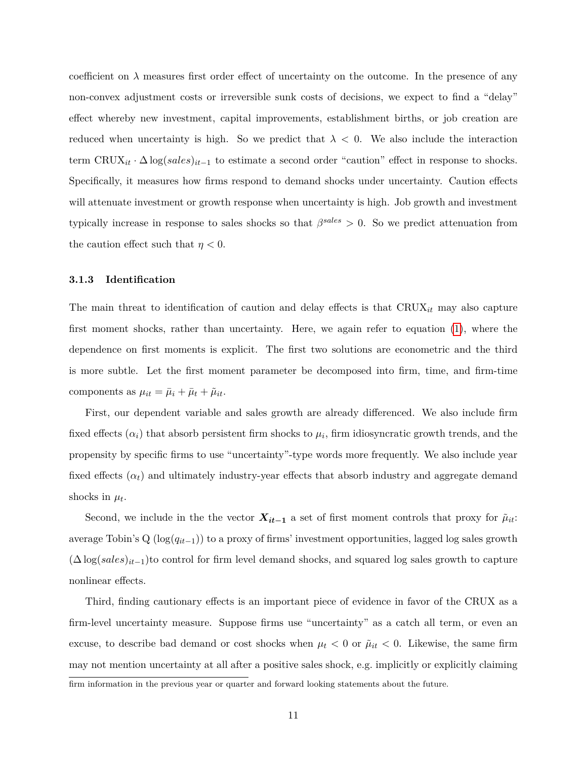coefficient on  $\lambda$  measures first order effect of uncertainty on the outcome. In the presence of any non-convex adjustment costs or irreversible sunk costs of decisions, we expect to find a "delay" effect whereby new investment, capital improvements, establishment births, or job creation are reduced when uncertainty is high. So we predict that  $\lambda < 0$ . We also include the interaction term  $CRUX_{it} \cdot \Delta \log(sales)_{it-1}$  to estimate a second order "caution" effect in response to shocks. Specifically, it measures how firms respond to demand shocks under uncertainty. Caution effects will attenuate investment or growth response when uncertainty is high. Job growth and investment typically increase in response to sales shocks so that  $\beta^{sales} > 0$ . So we predict attenuation from the caution effect such that  $\eta < 0$ .

## **3.1.3 Identification**

The main threat to identification of caution and delay effects is that  $CRUX_{it}$  may also capture first moment shocks, rather than uncertainty. Here, we again refer to equation [\(1\)](#page-10-0), where the dependence on first moments is explicit. The first two solutions are econometric and the third is more subtle. Let the first moment parameter be decomposed into firm, time, and firm-time components as  $\mu_{it} = \bar{\mu}_i + \bar{\mu}_t + \tilde{\mu}_{it}.$ 

First, our dependent variable and sales growth are already differenced. We also include firm fixed effects  $(\alpha_i)$  that absorb persistent firm shocks to  $\mu_i$ , firm idiosyncratic growth trends, and the propensity by specific firms to use "uncertainty"-type words more frequently. We also include year fixed effects  $(\alpha_t)$  and ultimately industry-year effects that absorb industry and aggregate demand shocks in  $\mu_t$ .

Second, we include in the the vector  $X_{it-1}$  a set of first moment controls that proxy for  $\tilde{\mu}_{it}$ : average Tobin's Q ( $log(q_{it-1})$ ) to a proxy of firms' investment opportunities, lagged log sales growth  $(\Delta \log(sales)_{it-1})$ to control for firm level demand shocks, and squared log sales growth to capture nonlinear effects.

Third, finding cautionary effects is an important piece of evidence in favor of the CRUX as a firm-level uncertainty measure. Suppose firms use "uncertainty" as a catch all term, or even an excuse, to describe bad demand or cost shocks when  $\mu_t < 0$  or  $\tilde{\mu}_{it} < 0$ . Likewise, the same firm may not mention uncertainty at all after a positive sales shock, e.g. implicitly or explicitly claiming firm information in the previous year or quarter and forward looking statements about the future.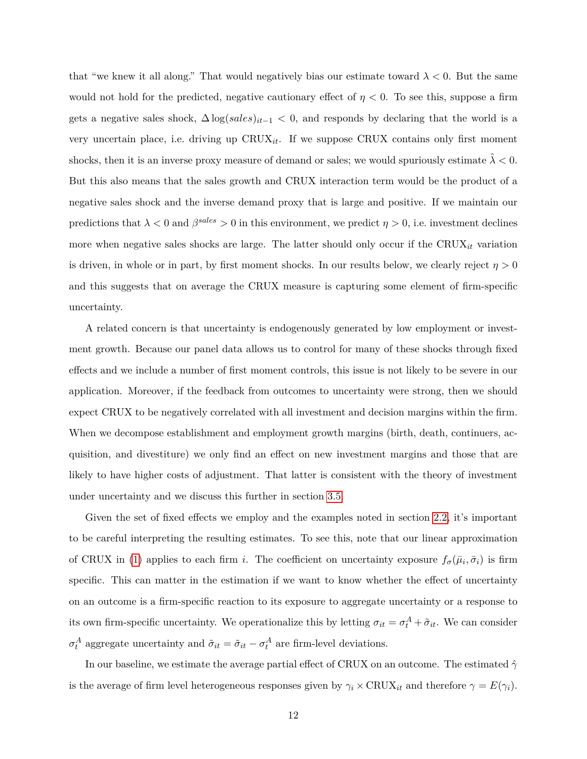that "we knew it all along." That would negatively bias our estimate toward  $\lambda < 0$ . But the same would not hold for the predicted, negative cautionary effect of  $\eta < 0$ . To see this, suppose a firm gets a negative sales shock,  $\Delta \log(sales)_{it-1} < 0$ , and responds by declaring that the world is a very uncertain place, i.e. driving up  $CRUX_{it}$ . If we suppose CRUX contains only first moment shocks, then it is an inverse proxy measure of demand or sales; we would spuriously estimate  $\lambda < 0$ . But this also means that the sales growth and CRUX interaction term would be the product of a negative sales shock and the inverse demand proxy that is large and positive. If we maintain our predictions that  $\lambda < 0$  and  $\beta^{sales} > 0$  in this environment, we predict  $\eta > 0$ , i.e. investment declines more when negative sales shocks are large. The latter should only occur if the  $CRUX_{it}$  variation is driven, in whole or in part, by first moment shocks. In our results below, we clearly reject  $\eta > 0$ and this suggests that on average the CRUX measure is capturing some element of firm-specific uncertainty.

A related concern is that uncertainty is endogenously generated by low employment or investment growth. Because our panel data allows us to control for many of these shocks through fixed effects and we include a number of first moment controls, this issue is not likely to be severe in our application. Moreover, if the feedback from outcomes to uncertainty were strong, then we should expect CRUX to be negatively correlated with all investment and decision margins within the firm. When we decompose establishment and employment growth margins (birth, death, continuers, acquisition, and divestiture) we only find an effect on new investment margins and those that are likely to have higher costs of adjustment. That latter is consistent with the theory of investment under uncertainty and we discuss this further in section [3.5.](#page-20-0)

Given the set of fixed effects we employ and the examples noted in section [2.2,](#page-8-0) it's important to be careful interpreting the resulting estimates. To see this, note that our linear approximation of CRUX in [\(1\)](#page-10-0) applies to each firm *i*. The coefficient on uncertainty exposure  $f_{\sigma}(\bar{\mu}_i, \bar{\sigma}_i)$  is firm specific. This can matter in the estimation if we want to know whether the effect of uncertainty on an outcome is a firm-specific reaction to its exposure to aggregate uncertainty or a response to its own firm-specific uncertainty. We operationalize this by letting  $\sigma_{it} = \sigma_t^A + \tilde{\sigma}_{it}$ . We can consider  $\sigma_t^A$  aggregate uncertainty and  $\tilde{\sigma}_{it} = \tilde{\sigma}_{it} - \sigma_t^A$  are firm-level deviations.

In our baseline, we estimate the average partial effect of CRUX on an outcome. The estimated  $\hat{\gamma}$ is the average of firm level heterogeneous responses given by  $\gamma_i \times \text{CRUX}_{it}$  and therefore  $\gamma = E(\gamma_i)$ .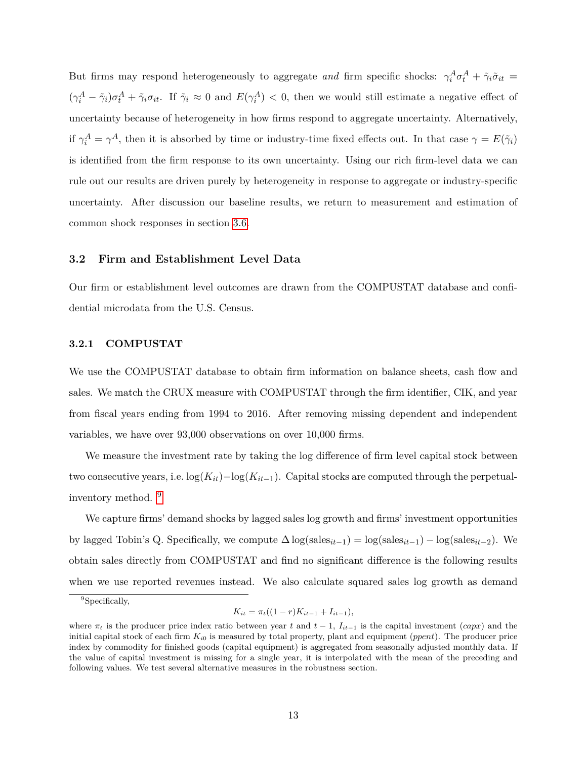But firms may respond heterogeneously to aggregate and firm specific shocks:  $\gamma_i^A \sigma_t^A + \tilde{\gamma}_i \tilde{\sigma}_{it} =$  $(\gamma_i^A - \tilde{\gamma}_i)\sigma_t^A + \tilde{\gamma}_i\sigma_{it}$ . If  $\tilde{\gamma}_i \approx 0$  and  $E(\gamma_i^A) < 0$ , then we would still estimate a negative effect of uncertainty because of heterogeneity in how firms respond to aggregate uncertainty. Alternatively, if  $\gamma_i^A = \gamma^A$ , then it is absorbed by time or industry-time fixed effects out. In that case  $\gamma = E(\tilde{\gamma}_i)$ is identified from the firm response to its own uncertainty. Using our rich firm-level data we can rule out our results are driven purely by heterogeneity in response to aggregate or industry-specific uncertainty. After discussion our baseline results, we return to measurement and estimation of common shock responses in section [3.6.](#page-23-0)

## **3.2 Firm and Establishment Level Data**

Our firm or establishment level outcomes are drawn from the COMPUSTAT database and confidential microdata from the U.S. Census.

## **3.2.1 COMPUSTAT**

We use the COMPUSTAT database to obtain firm information on balance sheets, cash flow and sales. We match the CRUX measure with COMPUSTAT through the firm identifier, CIK, and year from fiscal years ending from 1994 to 2016. After removing missing dependent and independent variables, we have over 93,000 observations on over 10,000 firms.

We measure the investment rate by taking the log difference of firm level capital stock between two consecutive years, i.e.  $\log(K_{it})-\log(K_{it-1})$ . Capital stocks are computed through the perpetualinventory method. [9](#page--1-0)

We capture firms' demand shocks by lagged sales log growth and firms' investment opportunities by lagged Tobin's Q. Specifically, we compute  $\Delta \log(\text{sales}_{it-1}) = \log(\text{sales}_{it-1}) - \log(\text{sales}_{it-2})$ . We obtain sales directly from COMPUSTAT and find no significant difference is the following results when we use reported revenues instead. We also calculate squared sales log growth as demand

$$
K_{it} = \pi_t((1 - r)K_{it-1} + I_{it-1}),
$$

<sup>&</sup>lt;sup>9</sup>Specifically,

where  $\pi_t$  is the producer price index ratio between year t and  $t-1$ ,  $I_{it-1}$  is the capital investment (capx) and the initial capital stock of each firm  $K_{i0}$  is measured by total property, plant and equipment (*ppent*). The producer price index by commodity for finished goods (capital equipment) is aggregated from seasonally adjusted monthly data. If the value of capital investment is missing for a single year, it is interpolated with the mean of the preceding and following values. We test several alternative measures in the robustness section.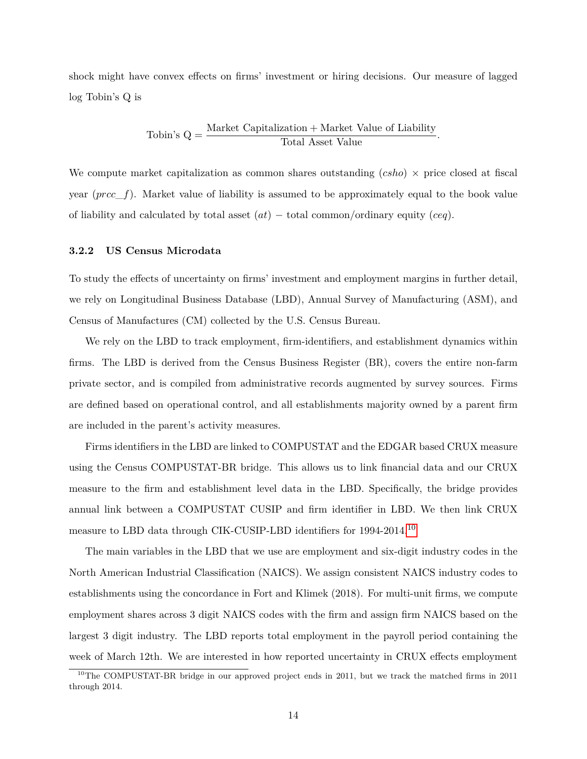shock might have convex effects on firms' investment or hiring decisions. Our measure of lagged log Tobin's Q is

Tobin's 
$$
Q = \frac{\text{Market Capitalization} + \text{Market Value of Liability}}{\text{Total Asset Value}}
$$

\nOutput

\nDescription:

We compute market capitalization as common shares outstanding (*csho*)  $\times$  price closed at fiscal year  $(prec_f)$ . Market value of liability is assumed to be approximately equal to the book value of liability and calculated by total asset  $(at)$  – total common/ordinary equity (ceq).

## **3.2.2 US Census Microdata**

To study the effects of uncertainty on firms' investment and employment margins in further detail, we rely on Longitudinal Business Database (LBD), Annual Survey of Manufacturing (ASM), and Census of Manufactures (CM) collected by the U.S. Census Bureau.

We rely on the LBD to track employment, firm-identifiers, and establishment dynamics within firms. The LBD is derived from the Census Business Register (BR), covers the entire non-farm private sector, and is compiled from administrative records augmented by survey sources. Firms are defined based on operational control, and all establishments majority owned by a parent firm are included in the parent's activity measures.

Firms identifiers in the LBD are linked to COMPUSTAT and the EDGAR based CRUX measure using the Census COMPUSTAT-BR bridge. This allows us to link financial data and our CRUX measure to the firm and establishment level data in the LBD. Specifically, the bridge provides annual link between a COMPUSTAT CUSIP and firm identifier in LBD. We then link CRUX measure to LBD data through CIK-CUSIP-LBD identifiers for 1994-2014.[10](#page--1-0)

The main variables in the LBD that we use are employment and six-digit industry codes in the North American Industrial Classification (NAICS). We assign consistent NAICS industry codes to establishments using the concordance in Fort and Klimek (2018). For multi-unit firms, we compute employment shares across 3 digit NAICS codes with the firm and assign firm NAICS based on the largest 3 digit industry. The LBD reports total employment in the payroll period containing the week of March 12th. We are interested in how reported uncertainty in CRUX effects employment

 $10$ The COMPUSTAT-BR bridge in our approved project ends in 2011, but we track the matched firms in 2011 through 2014.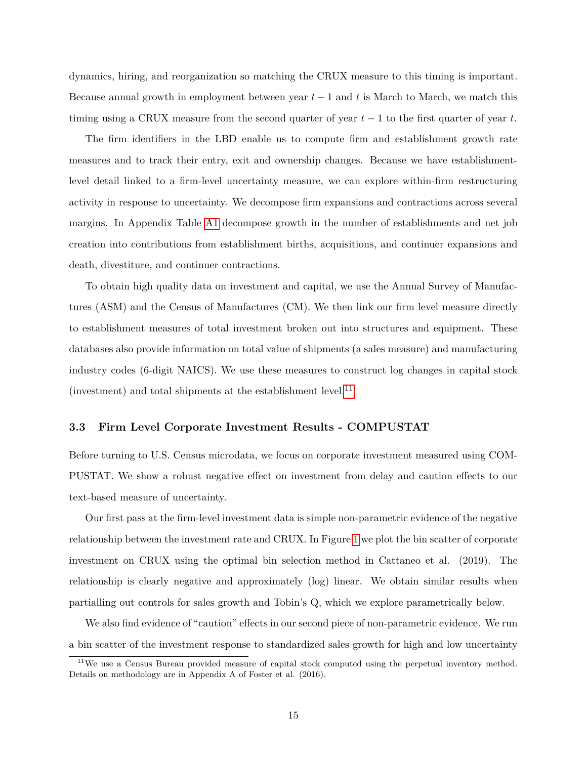dynamics, hiring, and reorganization so matching the CRUX measure to this timing is important. Because annual growth in employment between year  $t-1$  and  $t$  is March to March, we match this timing using a CRUX measure from the second quarter of year  $t-1$  to the first quarter of year t.

The firm identifiers in the LBD enable us to compute firm and establishment growth rate measures and to track their entry, exit and ownership changes. Because we have establishmentlevel detail linked to a firm-level uncertainty measure, we can explore within-firm restructuring activity in response to uncertainty. We decompose firm expansions and contractions across several margins. In Appendix Table [A1](#page-51-0) decompose growth in the number of establishments and net job creation into contributions from establishment births, acquisitions, and continuer expansions and death, divestiture, and continuer contractions.

To obtain high quality data on investment and capital, we use the Annual Survey of Manufactures (ASM) and the Census of Manufactures (CM). We then link our firm level measure directly to establishment measures of total investment broken out into structures and equipment. These databases also provide information on total value of shipments (a sales measure) and manufacturing industry codes (6-digit NAICS). We use these measures to construct log changes in capital stock (investment) and total shipments at the establishment level.<sup>[11](#page--1-0)</sup>

## **3.3 Firm Level Corporate Investment Results - COMPUSTAT**

Before turning to U.S. Census microdata, we focus on corporate investment measured using COM-PUSTAT. We show a robust negative effect on investment from delay and caution effects to our text-based measure of uncertainty.

Our first pass at the firm-level investment data is simple non-parametric evidence of the negative relationship between the investment rate and CRUX. In Figure [1](#page-33-0) we plot the bin scatter of corporate investment on CRUX using the optimal bin selection method in Cattaneo et al. (2019). The relationship is clearly negative and approximately (log) linear. We obtain similar results when partialling out controls for sales growth and Tobin's Q, which we explore parametrically below.

We also find evidence of "caution" effects in our second piece of non-parametric evidence. We run a bin scatter of the investment response to standardized sales growth for high and low uncertainty

<sup>&</sup>lt;sup>11</sup>We use a Census Bureau provided measure of capital stock computed using the perpetual inventory method. Details on methodology are in Appendix A of Foster et al. (2016).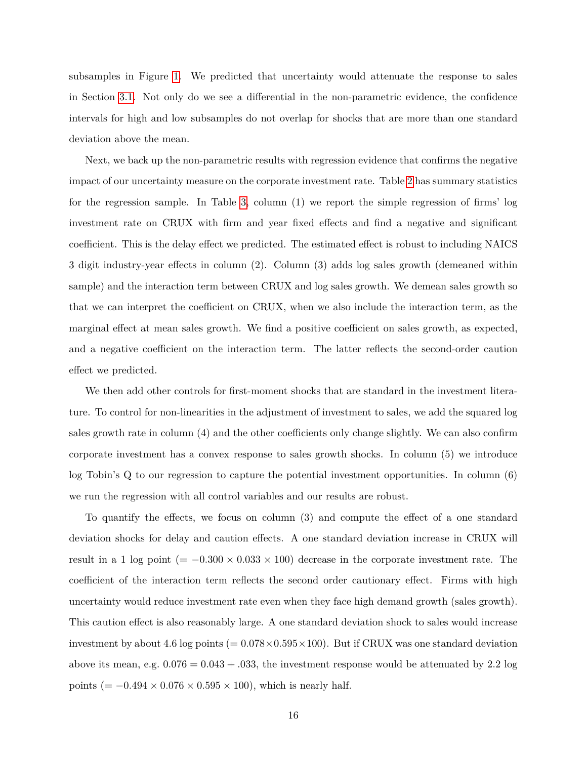subsamples in Figure [1.](#page-33-0) We predicted that uncertainty would attenuate the response to sales in Section [3.1.](#page-10-1) Not only do we see a differential in the non-parametric evidence, the confidence intervals for high and low subsamples do not overlap for shocks that are more than one standard deviation above the mean.

Next, we back up the non-parametric results with regression evidence that confirms the negative impact of our uncertainty measure on the corporate investment rate. Table [2](#page-36-1) has summary statistics for the regression sample. In Table [3,](#page-37-0) column (1) we report the simple regression of firms' log investment rate on CRUX with firm and year fixed effects and find a negative and significant coefficient. This is the delay effect we predicted. The estimated effect is robust to including NAICS 3 digit industry-year effects in column (2). Column (3) adds log sales growth (demeaned within sample) and the interaction term between CRUX and log sales growth. We demean sales growth so that we can interpret the coefficient on CRUX, when we also include the interaction term, as the marginal effect at mean sales growth. We find a positive coefficient on sales growth, as expected, and a negative coefficient on the interaction term. The latter reflects the second-order caution effect we predicted.

We then add other controls for first-moment shocks that are standard in the investment literature. To control for non-linearities in the adjustment of investment to sales, we add the squared log sales growth rate in column (4) and the other coefficients only change slightly. We can also confirm corporate investment has a convex response to sales growth shocks. In column (5) we introduce log Tobin's Q to our regression to capture the potential investment opportunities. In column (6) we run the regression with all control variables and our results are robust.

To quantify the effects, we focus on column (3) and compute the effect of a one standard deviation shocks for delay and caution effects. A one standard deviation increase in CRUX will result in a 1 log point ( $= -0.300 \times 0.033 \times 100$ ) decrease in the corporate investment rate. The coefficient of the interaction term reflects the second order cautionary effect. Firms with high uncertainty would reduce investment rate even when they face high demand growth (sales growth). This caution effect is also reasonably large. A one standard deviation shock to sales would increase investment by about 4.6 log points  $(= 0.078 \times 0.595 \times 100)$ . But if CRUX was one standard deviation above its mean, e.g.  $0.076 = 0.043 + 0.033$ , the investment response would be attenuated by 2.2 log points ( $= -0.494 \times 0.076 \times 0.595 \times 100$ ), which is nearly half.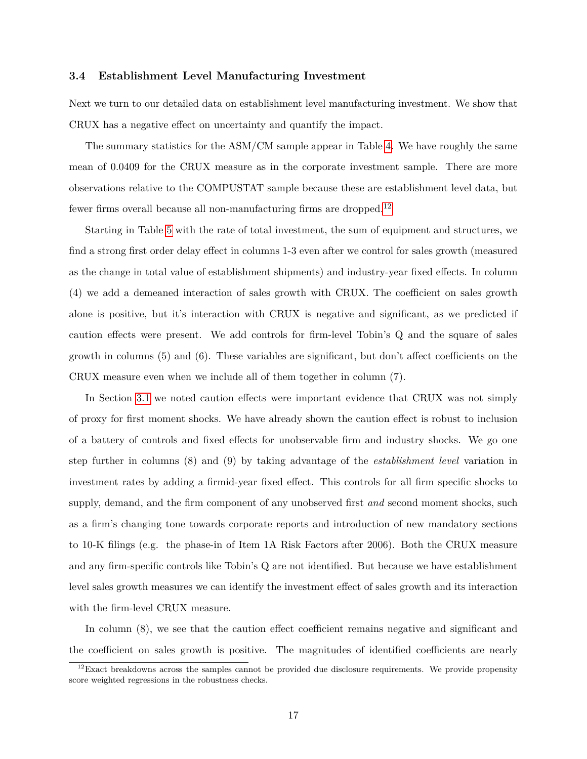## **3.4 Establishment Level Manufacturing Investment**

Next we turn to our detailed data on establishment level manufacturing investment. We show that CRUX has a negative effect on uncertainty and quantify the impact.

The summary statistics for the ASM/CM sample appear in Table [4.](#page-38-0) We have roughly the same mean of 0*.*0409 for the CRUX measure as in the corporate investment sample. There are more observations relative to the COMPUSTAT sample because these are establishment level data, but fewer firms overall because all non-manufacturing firms are dropped.[12](#page--1-0)

Starting in Table [5](#page-39-0) with the rate of total investment, the sum of equipment and structures, we find a strong first order delay effect in columns 1-3 even after we control for sales growth (measured as the change in total value of establishment shipments) and industry-year fixed effects. In column (4) we add a demeaned interaction of sales growth with CRUX. The coefficient on sales growth alone is positive, but it's interaction with CRUX is negative and significant, as we predicted if caution effects were present. We add controls for firm-level Tobin's Q and the square of sales growth in columns (5) and (6). These variables are significant, but don't affect coefficients on the CRUX measure even when we include all of them together in column (7).

In Section [3.1](#page-10-1) we noted caution effects were important evidence that CRUX was not simply of proxy for first moment shocks. We have already shown the caution effect is robust to inclusion of a battery of controls and fixed effects for unobservable firm and industry shocks. We go one step further in columns (8) and (9) by taking advantage of the *establishment level* variation in investment rates by adding a firmid-year fixed effect. This controls for all firm specific shocks to supply, demand, and the firm component of any unobserved first *and* second moment shocks, such as a firm's changing tone towards corporate reports and introduction of new mandatory sections to 10-K filings (e.g. the phase-in of Item 1A Risk Factors after 2006). Both the CRUX measure and any firm-specific controls like Tobin's Q are not identified. But because we have establishment level sales growth measures we can identify the investment effect of sales growth and its interaction with the firm-level CRUX measure.

In column (8), we see that the caution effect coefficient remains negative and significant and the coefficient on sales growth is positive. The magnitudes of identified coefficients are nearly

 $12$ Exact breakdowns across the samples cannot be provided due disclosure requirements. We provide propensity score weighted regressions in the robustness checks.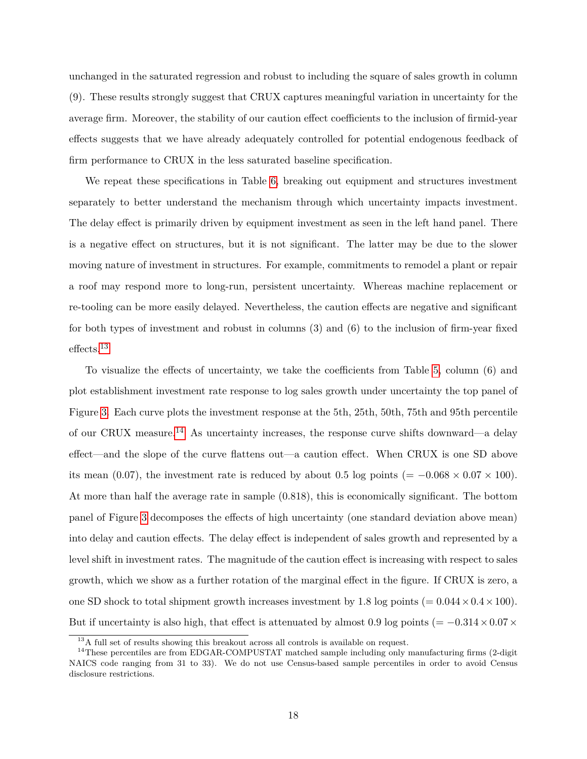unchanged in the saturated regression and robust to including the square of sales growth in column (9). These results strongly suggest that CRUX captures meaningful variation in uncertainty for the average firm. Moreover, the stability of our caution effect coefficients to the inclusion of firmid-year effects suggests that we have already adequately controlled for potential endogenous feedback of firm performance to CRUX in the less saturated baseline specification.

We repeat these specifications in Table [6,](#page-40-0) breaking out equipment and structures investment separately to better understand the mechanism through which uncertainty impacts investment. The delay effect is primarily driven by equipment investment as seen in the left hand panel. There is a negative effect on structures, but it is not significant. The latter may be due to the slower moving nature of investment in structures. For example, commitments to remodel a plant or repair a roof may respond more to long-run, persistent uncertainty. Whereas machine replacement or re-tooling can be more easily delayed. Nevertheless, the caution effects are negative and significant for both types of investment and robust in columns (3) and (6) to the inclusion of firm-year fixed effects.[13](#page--1-0)

To visualize the effects of uncertainty, we take the coefficients from Table [5,](#page-39-0) column (6) and plot establishment investment rate response to log sales growth under uncertainty the top panel of Figure [3.](#page-35-0) Each curve plots the investment response at the 5th, 25th, 50th, 75th and 95th percentile of our CRUX measure.<sup>[14](#page--1-0)</sup> As uncertainty increases, the response curve shifts downward—a delay effect—and the slope of the curve flattens out—a caution effect. When CRUX is one SD above its mean (0.07), the investment rate is reduced by about 0.5 log points (=  $-0.068 \times 0.07 \times 100$ ). At more than half the average rate in sample (0*.*818), this is economically significant. The bottom panel of Figure [3](#page-35-0) decomposes the effects of high uncertainty (one standard deviation above mean) into delay and caution effects. The delay effect is independent of sales growth and represented by a level shift in investment rates. The magnitude of the caution effect is increasing with respect to sales growth, which we show as a further rotation of the marginal effect in the figure. If CRUX is zero, a one SD shock to total shipment growth increases investment by 1.8 log points  $(= 0.044 \times 0.4 \times 100)$ . But if uncertainty is also high, that effect is attenuated by almost 0.9 log points ( $= -0.314 \times 0.07 \times$ 

<sup>13</sup>A full set of results showing this breakout across all controls is available on request.

 $14$ These percentiles are from EDGAR-COMPUSTAT matched sample including only manufacturing firms (2-digit NAICS code ranging from 31 to 33). We do not use Census-based sample percentiles in order to avoid Census disclosure restrictions.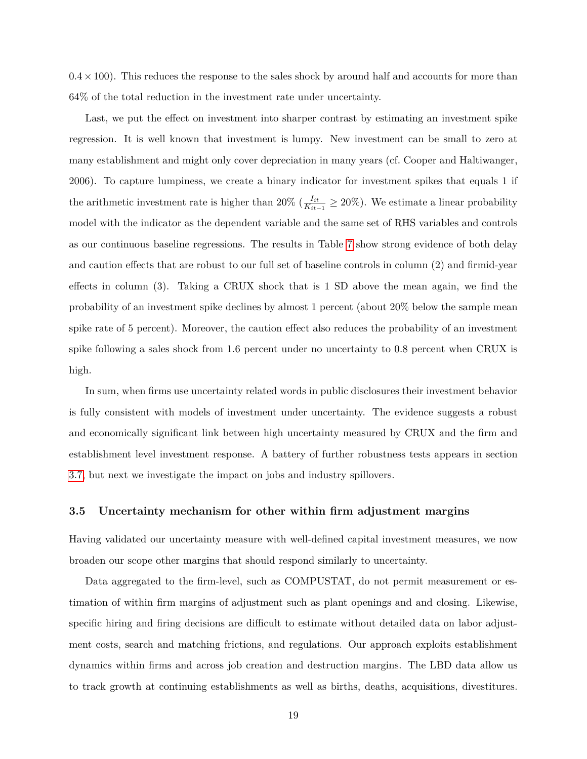$0.4 \times 100$ ). This reduces the response to the sales shock by around half and accounts for more than 64% of the total reduction in the investment rate under uncertainty.

Last, we put the effect on investment into sharper contrast by estimating an investment spike regression. It is well known that investment is lumpy. New investment can be small to zero at many establishment and might only cover depreciation in many years (cf. Cooper and Haltiwanger, 2006). To capture lumpiness, we create a binary indicator for investment spikes that equals 1 if the arithmetic investment rate is higher than 20% ( $\frac{I_{it}}{K_{it}}$  $\frac{I_{it}}{K_{it-1}} \ge 20\%$ ). We estimate a linear probability model with the indicator as the dependent variable and the same set of RHS variables and controls as our continuous baseline regressions. The results in Table [7](#page-41-0) show strong evidence of both delay and caution effects that are robust to our full set of baseline controls in column (2) and firmid-year effects in column (3). Taking a CRUX shock that is 1 SD above the mean again, we find the probability of an investment spike declines by almost 1 percent (about 20% below the sample mean spike rate of 5 percent). Moreover, the caution effect also reduces the probability of an investment spike following a sales shock from 1.6 percent under no uncertainty to 0.8 percent when CRUX is high.

In sum, when firms use uncertainty related words in public disclosures their investment behavior is fully consistent with models of investment under uncertainty. The evidence suggests a robust and economically significant link between high uncertainty measured by CRUX and the firm and establishment level investment response. A battery of further robustness tests appears in section [3.7,](#page-26-0) but next we investigate the impact on jobs and industry spillovers.

## <span id="page-20-0"></span>**3.5 Uncertainty mechanism for other within firm adjustment margins**

Having validated our uncertainty measure with well-defined capital investment measures, we now broaden our scope other margins that should respond similarly to uncertainty.

Data aggregated to the firm-level, such as COMPUSTAT, do not permit measurement or estimation of within firm margins of adjustment such as plant openings and and closing. Likewise, specific hiring and firing decisions are difficult to estimate without detailed data on labor adjustment costs, search and matching frictions, and regulations. Our approach exploits establishment dynamics within firms and across job creation and destruction margins. The LBD data allow us to track growth at continuing establishments as well as births, deaths, acquisitions, divestitures.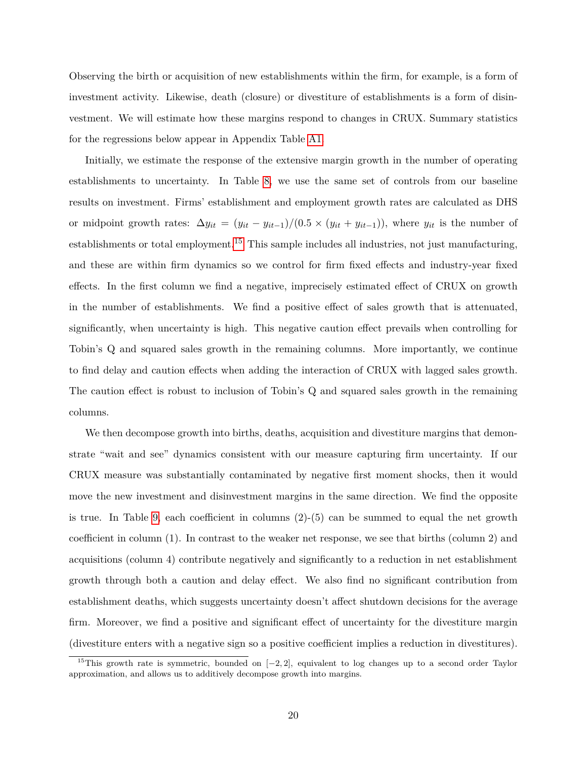Observing the birth or acquisition of new establishments within the firm, for example, is a form of investment activity. Likewise, death (closure) or divestiture of establishments is a form of disinvestment. We will estimate how these margins respond to changes in CRUX. Summary statistics for the regressions below appear in Appendix Table [A1.](#page-51-0)

Initially, we estimate the response of the extensive margin growth in the number of operating establishments to uncertainty. In Table [8,](#page-42-0) we use the same set of controls from our baseline results on investment. Firms' establishment and employment growth rates are calculated as DHS or midpoint growth rates:  $\Delta y_{it} = (y_{it} - y_{it-1})/(0.5 \times (y_{it} + y_{it-1}))$ , where  $y_{it}$  is the number of establishments or total employment.<sup>[15](#page--1-0)</sup> This sample includes all industries, not just manufacturing, and these are within firm dynamics so we control for firm fixed effects and industry-year fixed effects. In the first column we find a negative, imprecisely estimated effect of CRUX on growth in the number of establishments. We find a positive effect of sales growth that is attenuated, significantly, when uncertainty is high. This negative caution effect prevails when controlling for Tobin's Q and squared sales growth in the remaining columns. More importantly, we continue to find delay and caution effects when adding the interaction of CRUX with lagged sales growth. The caution effect is robust to inclusion of Tobin's Q and squared sales growth in the remaining columns.

We then decompose growth into births, deaths, acquisition and divestiture margins that demonstrate "wait and see" dynamics consistent with our measure capturing firm uncertainty. If our CRUX measure was substantially contaminated by negative first moment shocks, then it would move the new investment and disinvestment margins in the same direction. We find the opposite is true. In Table [9,](#page-42-1) each coefficient in columns  $(2)$ - $(5)$  can be summed to equal the net growth coefficient in column (1). In contrast to the weaker net response, we see that births (column 2) and acquisitions (column 4) contribute negatively and significantly to a reduction in net establishment growth through both a caution and delay effect. We also find no significant contribution from establishment deaths, which suggests uncertainty doesn't affect shutdown decisions for the average firm. Moreover, we find a positive and significant effect of uncertainty for the divestiture margin (divestiture enters with a negative sign so a positive coefficient implies a reduction in divestitures).

<sup>15</sup>This growth rate is symmetric, bounded on [−2*,* 2], equivalent to log changes up to a second order Taylor approximation, and allows us to additively decompose growth into margins.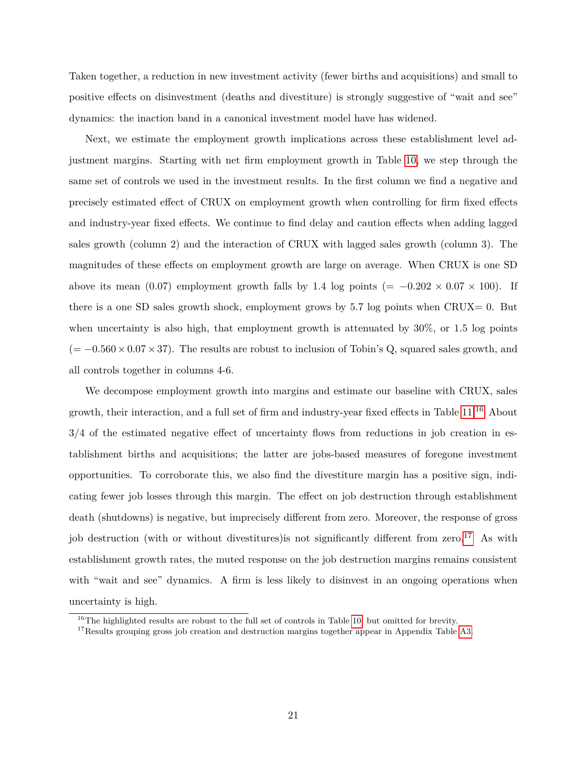Taken together, a reduction in new investment activity (fewer births and acquisitions) and small to positive effects on disinvestment (deaths and divestiture) is strongly suggestive of "wait and see" dynamics: the inaction band in a canonical investment model have has widened.

Next, we estimate the employment growth implications across these establishment level adjustment margins. Starting with net firm employment growth in Table [10,](#page-43-0) we step through the same set of controls we used in the investment results. In the first column we find a negative and precisely estimated effect of CRUX on employment growth when controlling for firm fixed effects and industry-year fixed effects. We continue to find delay and caution effects when adding lagged sales growth (column 2) and the interaction of CRUX with lagged sales growth (column 3). The magnitudes of these effects on employment growth are large on average. When CRUX is one SD above its mean (0.07) employment growth falls by 1.4 log points (=  $-0.202 \times 0.07 \times 100$ ). If there is a one SD sales growth shock, employment grows by  $5.7$  log points when CRUX= 0. But when uncertainty is also high, that employment growth is attenuated by  $30\%$ , or 1.5 log points (= −0*.*560×0*.*07×37). The results are robust to inclusion of Tobin's Q, squared sales growth, and all controls together in columns 4-6.

We decompose employment growth into margins and estimate our baseline with CRUX, sales growth, their interaction, and a full set of firm and industry-year fixed effects in Table [11.](#page-44-0)[16](#page--1-0) About 3/4 of the estimated negative effect of uncertainty flows from reductions in job creation in establishment births and acquisitions; the latter are jobs-based measures of foregone investment opportunities. To corroborate this, we also find the divestiture margin has a positive sign, indicating fewer job losses through this margin. The effect on job destruction through establishment death (shutdowns) is negative, but imprecisely different from zero. Moreover, the response of gross job destruction (with or without divestitures) is not significantly different from zero.<sup>[17](#page--1-0)</sup> As with establishment growth rates, the muted response on the job destruction margins remains consistent with "wait and see" dynamics. A firm is less likely to disinvest in an ongoing operations when uncertainty is high.

 $16$ The highlighted results are robust to the full set of controls in Table [10,](#page-43-0) but omitted for brevity.

<sup>&</sup>lt;sup>17</sup>Results grouping gross job creation and destruction margins together appear in Appendix Table [A3.](#page-53-0)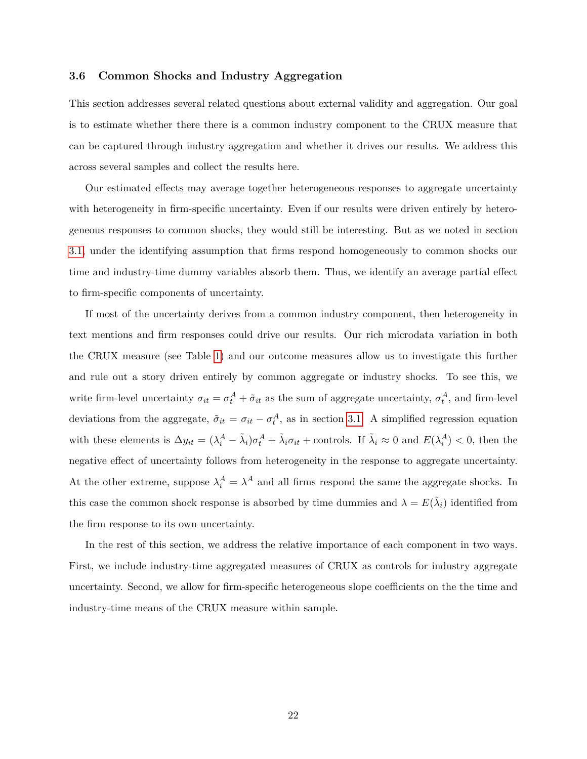## <span id="page-23-0"></span>**3.6 Common Shocks and Industry Aggregation**

This section addresses several related questions about external validity and aggregation. Our goal is to estimate whether there there is a common industry component to the CRUX measure that can be captured through industry aggregation and whether it drives our results. We address this across several samples and collect the results here.

Our estimated effects may average together heterogeneous responses to aggregate uncertainty with heterogeneity in firm-specific uncertainty. Even if our results were driven entirely by heterogeneous responses to common shocks, they would still be interesting. But as we noted in section [3.1,](#page-10-1) under the identifying assumption that firms respond homogeneously to common shocks our time and industry-time dummy variables absorb them. Thus, we identify an average partial effect to firm-specific components of uncertainty.

If most of the uncertainty derives from a common industry component, then heterogeneity in text mentions and firm responses could drive our results. Our rich microdata variation in both the CRUX measure (see Table [1\)](#page-36-0) and our outcome measures allow us to investigate this further and rule out a story driven entirely by common aggregate or industry shocks. To see this, we write firm-level uncertainty  $\sigma_{it} = \sigma_t^A + \tilde{\sigma}_{it}$  as the sum of aggregate uncertainty,  $\sigma_t^A$ , and firm-level deviations from the aggregate,  $\tilde{\sigma}_{it} = \sigma_{it} - \sigma_t^A$ , as in section [3.1.](#page-10-1) A simplified regression equation with these elements is  $\Delta y_{it} = (\lambda_i^A - \tilde{\lambda}_i)\sigma_t^A + \tilde{\lambda}_i\sigma_{it} + \text{controls. If } \tilde{\lambda}_i \approx 0 \text{ and } E(\lambda_i^A) < 0$ , then the negative effect of uncertainty follows from heterogeneity in the response to aggregate uncertainty. At the other extreme, suppose  $\lambda_i^A = \lambda^A$  and all firms respond the same the aggregate shocks. In this case the common shock response is absorbed by time dummies and  $\lambda = E(\tilde{\lambda}_i)$  identified from the firm response to its own uncertainty.

In the rest of this section, we address the relative importance of each component in two ways. First, we include industry-time aggregated measures of CRUX as controls for industry aggregate uncertainty. Second, we allow for firm-specific heterogeneous slope coefficients on the the time and industry-time means of the CRUX measure within sample.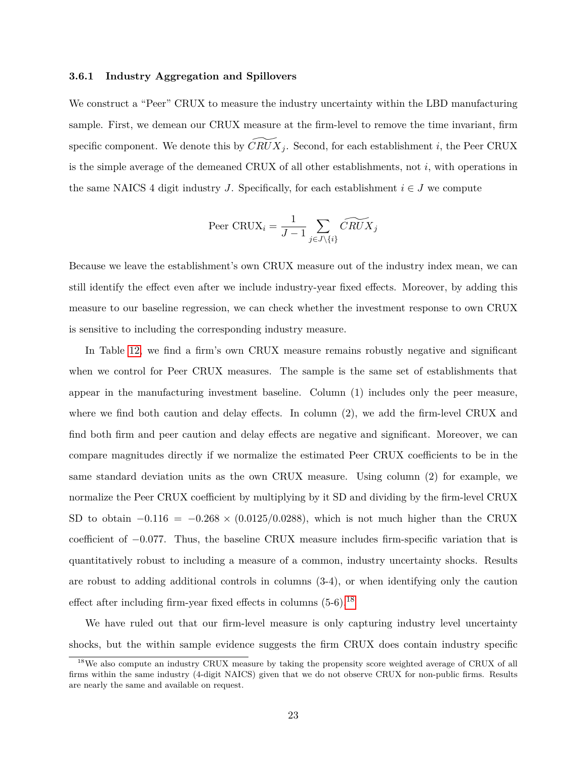#### **3.6.1 Industry Aggregation and Spillovers**

We construct a "Peer" CRUX to measure the industry uncertainty within the LBD manufacturing sample. First, we demean our CRUX measure at the firm-level to remove the time invariant, firm specific component. We denote this by  $CRUX_i$ . Second, for each establishment i, the Peer CRUX is the simple average of the demeaned CRUX of all other establishments, not  $i$ , with operations in the same NAICS 4 digit industry J. Specifically, for each establishment  $i \in J$  we compute

$$
\text{Peer CRUX}_i = \frac{1}{J-1} \sum_{j \in J \setminus \{i\}} \widetilde{CRUX}_j
$$

Because we leave the establishment's own CRUX measure out of the industry index mean, we can still identify the effect even after we include industry-year fixed effects. Moreover, by adding this measure to our baseline regression, we can check whether the investment response to own CRUX is sensitive to including the corresponding industry measure.

In Table [12,](#page-45-0) we find a firm's own CRUX measure remains robustly negative and significant when we control for Peer CRUX measures. The sample is the same set of establishments that appear in the manufacturing investment baseline. Column (1) includes only the peer measure, where we find both caution and delay effects. In column  $(2)$ , we add the firm-level CRUX and find both firm and peer caution and delay effects are negative and significant. Moreover, we can compare magnitudes directly if we normalize the estimated Peer CRUX coefficients to be in the same standard deviation units as the own CRUX measure. Using column (2) for example, we normalize the Peer CRUX coefficient by multiplying by it SD and dividing by the firm-level CRUX SD to obtain  $-0.116 = -0.268 \times (0.0125/0.0288)$ , which is not much higher than the CRUX coefficient of −0*.*077. Thus, the baseline CRUX measure includes firm-specific variation that is quantitatively robust to including a measure of a common, industry uncertainty shocks. Results are robust to adding additional controls in columns (3-4), or when identifying only the caution effect after including firm-year fixed effects in columns  $(5-6)$ .<sup>[18](#page--1-0)</sup>

We have ruled out that our firm-level measure is only capturing industry level uncertainty shocks, but the within sample evidence suggests the firm CRUX does contain industry specific

<sup>&</sup>lt;sup>18</sup>We also compute an industry CRUX measure by taking the propensity score weighted average of CRUX of all firms within the same industry (4-digit NAICS) given that we do not observe CRUX for non-public firms. Results are nearly the same and available on request.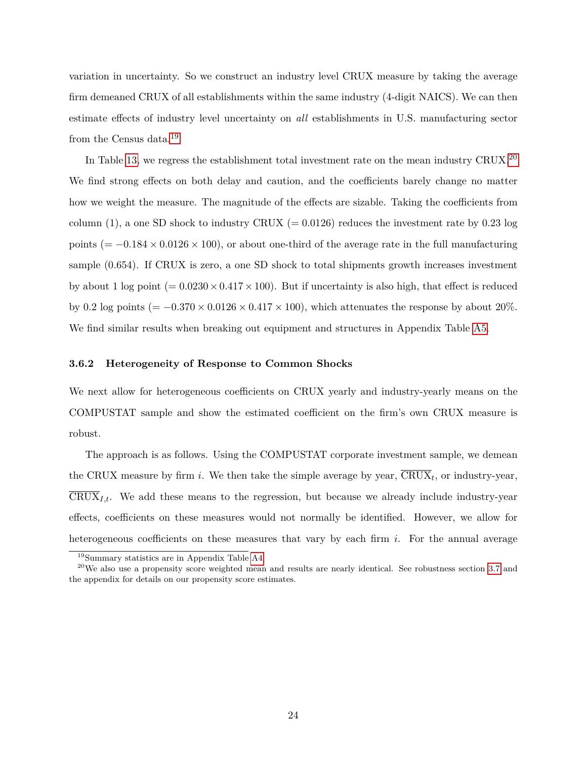variation in uncertainty. So we construct an industry level CRUX measure by taking the average firm demeaned CRUX of all establishments within the same industry (4-digit NAICS). We can then estimate effects of industry level uncertainty on *all* establishments in U.S. manufacturing sector from the Census data.[19](#page--1-0)

In Table [13,](#page-46-0) we regress the establishment total investment rate on the mean industry CRUX.<sup>[20](#page--1-0)</sup> We find strong effects on both delay and caution, and the coefficients barely change no matter how we weight the measure. The magnitude of the effects are sizable. Taking the coefficients from column (1), a one SD shock to industry CRUX (= 0*.*0126) reduces the investment rate by 0*.*23 log points ( $= -0.184 \times 0.0126 \times 100$ ), or about one-third of the average rate in the full manufacturing sample (0*.*654). If CRUX is zero, a one SD shock to total shipments growth increases investment by about 1 log point  $(= 0.0230 \times 0.417 \times 100)$ . But if uncertainty is also high, that effect is reduced by 0.2 log points ( $= -0.370 \times 0.0126 \times 0.417 \times 100$ ), which attenuates the response by about 20%. We find similar results when breaking out equipment and structures in Appendix Table [A5.](#page-54-0)

#### **3.6.2 Heterogeneity of Response to Common Shocks**

We next allow for heterogeneous coefficients on CRUX yearly and industry-yearly means on the COMPUSTAT sample and show the estimated coefficient on the firm's own CRUX measure is robust.

The approach is as follows. Using the COMPUSTAT corporate investment sample, we demean the CRUX measure by firm i. We then take the simple average by year,  $CRUX_t$ , or industry-year,  $\overline{\text{CRUX}}_{I,t}$ . We add these means to the regression, but because we already include industry-year effects, coefficients on these measures would not normally be identified. However, we allow for heterogeneous coefficients on these measures that vary by each firm  $i$ . For the annual average

<sup>19</sup>Summary statistics are in Appendix Table [A4.](#page-53-1)

 $20$ We also use a propensity score weighted mean and results are nearly identical. See robustness section [3.7](#page-26-0) and the appendix for details on our propensity score estimates.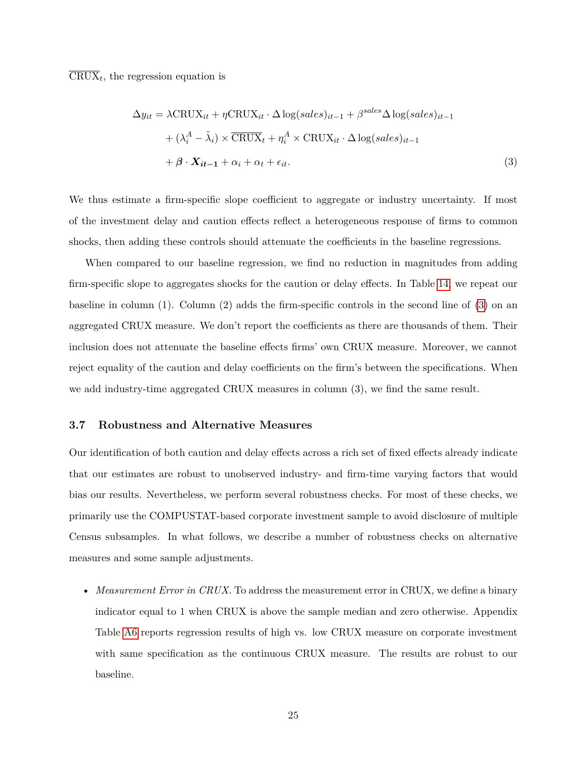$CRUX_t$ , the regression equation is

<span id="page-26-1"></span>
$$
\Delta y_{it} = \lambda \text{CRUX}_{it} + \eta \text{CRUX}_{it} \cdot \Delta \log(sales)_{it-1} + \beta^{sales} \Delta \log(sales)_{it-1} + (\lambda_i^A - \tilde{\lambda}_i) \times \overline{\text{CRUX}}_t + \eta_i^A \times \text{CRUX}_{it} \cdot \Delta \log(sales)_{it-1} + \beta \cdot \mathbf{X}_{it-1} + \alpha_i + \alpha_t + \epsilon_{it}.
$$
\n(3)

We thus estimate a firm-specific slope coefficient to aggregate or industry uncertainty. If most of the investment delay and caution effects reflect a heterogeneous response of firms to common shocks, then adding these controls should attenuate the coefficients in the baseline regressions.

When compared to our baseline regression, we find no reduction in magnitudes from adding firm-specific slope to aggregates shocks for the caution or delay effects. In Table [14,](#page-47-0) we repeat our baseline in column (1). Column (2) adds the firm-specific controls in the second line of [\(3\)](#page-26-1) on an aggregated CRUX measure. We don't report the coefficients as there are thousands of them. Their inclusion does not attenuate the baseline effects firms' own CRUX measure. Moreover, we cannot reject equality of the caution and delay coefficients on the firm's between the specifications. When we add industry-time aggregated CRUX measures in column (3), we find the same result.

#### <span id="page-26-0"></span>**3.7 Robustness and Alternative Measures**

Our identification of both caution and delay effects across a rich set of fixed effects already indicate that our estimates are robust to unobserved industry- and firm-time varying factors that would bias our results. Nevertheless, we perform several robustness checks. For most of these checks, we primarily use the COMPUSTAT-based corporate investment sample to avoid disclosure of multiple Census subsamples. In what follows, we describe a number of robustness checks on alternative measures and some sample adjustments.

• *Measurement Error in CRUX*. To address the measurement error in CRUX, we define a binary indicator equal to 1 when CRUX is above the sample median and zero otherwise. Appendix Table [A6](#page-54-1) reports regression results of high vs. low CRUX measure on corporate investment with same specification as the continuous CRUX measure. The results are robust to our baseline.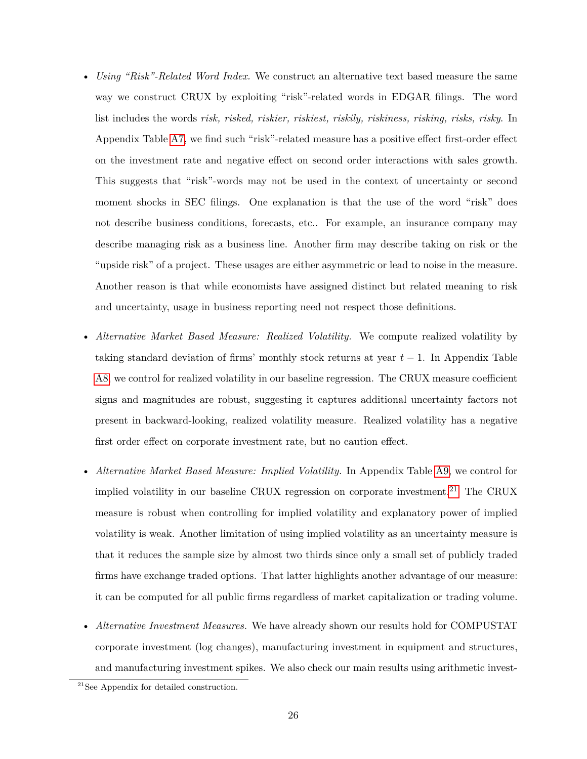- *Using "Risk"-Related Word Index.* We construct an alternative text based measure the same way we construct CRUX by exploiting "risk"-related words in EDGAR filings. The word list includes the words *risk, risked, riskier, riskiest, riskily, riskiness, risking, risks, risky*. In Appendix Table [A7,](#page-55-0) we find such "risk"-related measure has a positive effect first-order effect on the investment rate and negative effect on second order interactions with sales growth. This suggests that "risk"-words may not be used in the context of uncertainty or second moment shocks in SEC filings. One explanation is that the use of the word "risk" does not describe business conditions, forecasts, etc.. For example, an insurance company may describe managing risk as a business line. Another firm may describe taking on risk or the "upside risk" of a project. These usages are either asymmetric or lead to noise in the measure. Another reason is that while economists have assigned distinct but related meaning to risk and uncertainty, usage in business reporting need not respect those definitions.
- *Alternative Market Based Measure: Realized Volatility.* We compute realized volatility by taking standard deviation of firms' monthly stock returns at year  $t-1$ . In Appendix Table [A8,](#page-56-0) we control for realized volatility in our baseline regression. The CRUX measure coefficient signs and magnitudes are robust, suggesting it captures additional uncertainty factors not present in backward-looking, realized volatility measure. Realized volatility has a negative first order effect on corporate investment rate, but no caution effect.
- *Alternative Market Based Measure: Implied Volatility.* In Appendix Table [A9,](#page-57-0) we control for implied volatility in our baseline CRUX regression on corporate investment.<sup>[21](#page--1-0)</sup> The CRUX measure is robust when controlling for implied volatility and explanatory power of implied volatility is weak. Another limitation of using implied volatility as an uncertainty measure is that it reduces the sample size by almost two thirds since only a small set of publicly traded firms have exchange traded options. That latter highlights another advantage of our measure: it can be computed for all public firms regardless of market capitalization or trading volume.
- *Alternative Investment Measures.* We have already shown our results hold for COMPUSTAT corporate investment (log changes), manufacturing investment in equipment and structures, and manufacturing investment spikes. We also check our main results using arithmetic invest-

<sup>21</sup>See Appendix for detailed construction.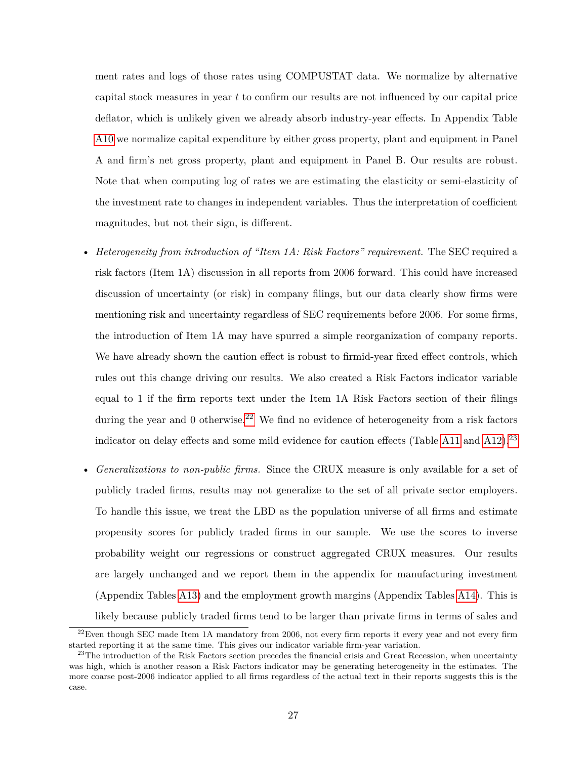ment rates and logs of those rates using COMPUSTAT data. We normalize by alternative capital stock measures in year  $t$  to confirm our results are not influenced by our capital price deflator, which is unlikely given we already absorb industry-year effects. In Appendix Table [A10](#page-58-0) we normalize capital expenditure by either gross property, plant and equipment in Panel A and firm's net gross property, plant and equipment in Panel B. Our results are robust. Note that when computing log of rates we are estimating the elasticity or semi-elasticity of the investment rate to changes in independent variables. Thus the interpretation of coefficient magnitudes, but not their sign, is different.

- *Heterogeneity from introduction of "Item 1A: Risk Factors" requirement.* The SEC required a risk factors (Item 1A) discussion in all reports from 2006 forward. This could have increased discussion of uncertainty (or risk) in company filings, but our data clearly show firms were mentioning risk and uncertainty regardless of SEC requirements before 2006. For some firms, the introduction of Item 1A may have spurred a simple reorganization of company reports. We have already shown the caution effect is robust to firmid-year fixed effect controls, which rules out this change driving our results. We also created a Risk Factors indicator variable equal to 1 if the firm reports text under the Item 1A Risk Factors section of their filings during the year and 0 otherwise.<sup>[22](#page--1-0)</sup> We find no evidence of heterogeneity from a risk factors indicator on delay effects and some mild evidence for caution effects (Table [A11](#page-59-0) and [A12\)](#page-60-0).<sup>[23](#page--1-0)</sup>
- *Generalizations to non-public firms.* Since the CRUX measure is only available for a set of publicly traded firms, results may not generalize to the set of all private sector employers. To handle this issue, we treat the LBD as the population universe of all firms and estimate propensity scores for publicly traded firms in our sample. We use the scores to inverse probability weight our regressions or construct aggregated CRUX measures. Our results are largely unchanged and we report them in the appendix for manufacturing investment (Appendix Tables [A13\)](#page-61-0) and the employment growth margins (Appendix Tables [A14\)](#page-62-0). This is likely because publicly traded firms tend to be larger than private firms in terms of sales and

 $^{22}$ Even though SEC made Item 1A mandatory from 2006, not every firm reports it every year and not every firm started reporting it at the same time. This gives our indicator variable firm-year variation.

 $^{23}$ The introduction of the Risk Factors section precedes the financial crisis and Great Recession, when uncertainty was high, which is another reason a Risk Factors indicator may be generating heterogeneity in the estimates. The more coarse post-2006 indicator applied to all firms regardless of the actual text in their reports suggests this is the case.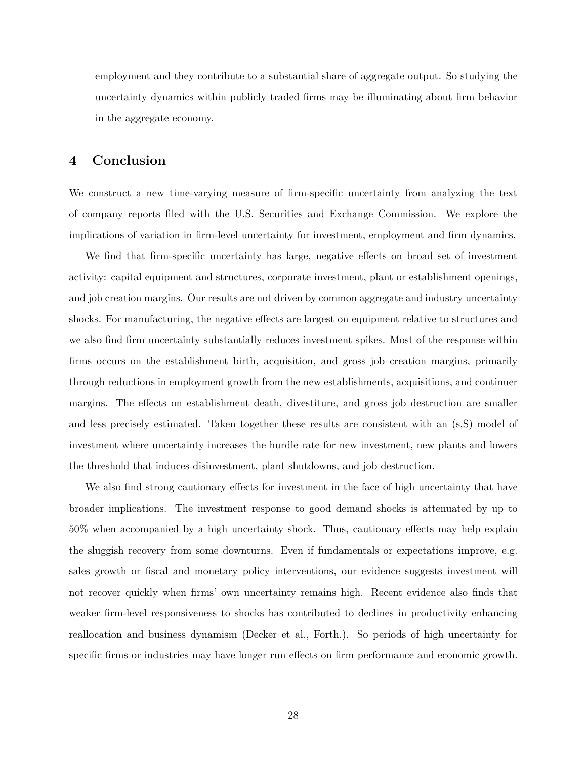employment and they contribute to a substantial share of aggregate output. So studying the uncertainty dynamics within publicly traded firms may be illuminating about firm behavior in the aggregate economy.

# **4 Conclusion**

We construct a new time-varying measure of firm-specific uncertainty from analyzing the text of company reports filed with the U.S. Securities and Exchange Commission. We explore the implications of variation in firm-level uncertainty for investment, employment and firm dynamics.

We find that firm-specific uncertainty has large, negative effects on broad set of investment activity: capital equipment and structures, corporate investment, plant or establishment openings, and job creation margins. Our results are not driven by common aggregate and industry uncertainty shocks. For manufacturing, the negative effects are largest on equipment relative to structures and we also find firm uncertainty substantially reduces investment spikes. Most of the response within firms occurs on the establishment birth, acquisition, and gross job creation margins, primarily through reductions in employment growth from the new establishments, acquisitions, and continuer margins. The effects on establishment death, divestiture, and gross job destruction are smaller and less precisely estimated. Taken together these results are consistent with an (s,S) model of investment where uncertainty increases the hurdle rate for new investment, new plants and lowers the threshold that induces disinvestment, plant shutdowns, and job destruction.

We also find strong cautionary effects for investment in the face of high uncertainty that have broader implications. The investment response to good demand shocks is attenuated by up to 50% when accompanied by a high uncertainty shock. Thus, cautionary effects may help explain the sluggish recovery from some downturns. Even if fundamentals or expectations improve, e.g. sales growth or fiscal and monetary policy interventions, our evidence suggests investment will not recover quickly when firms' own uncertainty remains high. Recent evidence also finds that weaker firm-level responsiveness to shocks has contributed to declines in productivity enhancing reallocation and business dynamism (Decker et al., Forth.). So periods of high uncertainty for specific firms or industries may have longer run effects on firm performance and economic growth.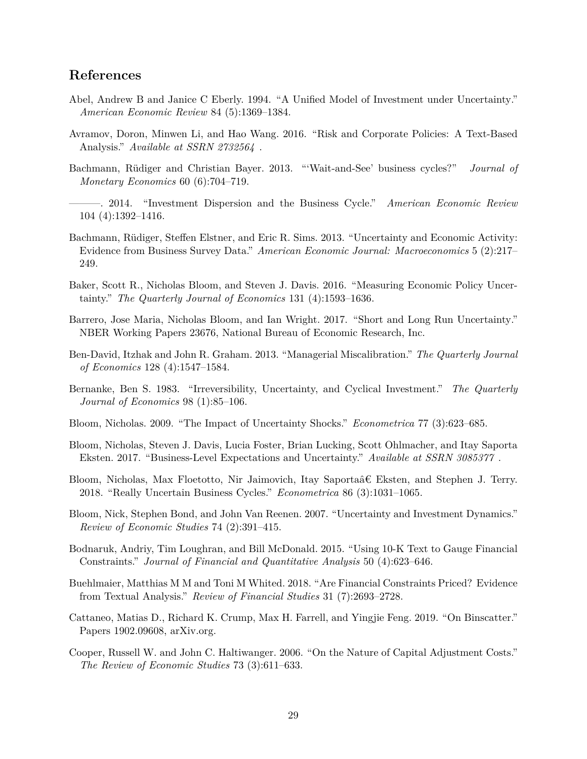# **References**

- Abel, Andrew B and Janice C Eberly. 1994. "A Unified Model of Investment under Uncertainty." *American Economic Review* 84 (5):1369–1384.
- Avramov, Doron, Minwen Li, and Hao Wang. 2016. "Risk and Corporate Policies: A Text-Based Analysis." *Available at SSRN 2732564* .
- Bachmann, Rüdiger and Christian Bayer. 2013. "'Wait-and-See' business cycles?" *Journal of Monetary Economics* 60 (6):704–719.
- ———. 2014. "Investment Dispersion and the Business Cycle." *American Economic Review* 104 (4):1392–1416.
- Bachmann, Rüdiger, Steffen Elstner, and Eric R. Sims. 2013. "Uncertainty and Economic Activity: Evidence from Business Survey Data." *American Economic Journal: Macroeconomics* 5 (2):217– 249.
- Baker, Scott R., Nicholas Bloom, and Steven J. Davis. 2016. "Measuring Economic Policy Uncertainty." *The Quarterly Journal of Economics* 131 (4):1593–1636.
- Barrero, Jose Maria, Nicholas Bloom, and Ian Wright. 2017. "Short and Long Run Uncertainty." NBER Working Papers 23676, National Bureau of Economic Research, Inc.
- Ben-David, Itzhak and John R. Graham. 2013. "Managerial Miscalibration." *The Quarterly Journal of Economics* 128 (4):1547–1584.
- Bernanke, Ben S. 1983. "Irreversibility, Uncertainty, and Cyclical Investment." *The Quarterly Journal of Economics* 98 (1):85–106.
- Bloom, Nicholas. 2009. "The Impact of Uncertainty Shocks." *Econometrica* 77 (3):623–685.
- Bloom, Nicholas, Steven J. Davis, Lucia Foster, Brian Lucking, Scott Ohlmacher, and Itay Saporta Eksten. 2017. "Business-Level Expectations and Uncertainty." *Available at SSRN 3085377* .
- Bloom, Nicholas, Max Floetotto, Nir Jaimovich, Itay Saportaâ€ Eksten, and Stephen J. Terry. 2018. "Really Uncertain Business Cycles." *Econometrica* 86 (3):1031–1065.
- Bloom, Nick, Stephen Bond, and John Van Reenen. 2007. "Uncertainty and Investment Dynamics." *Review of Economic Studies* 74 (2):391–415.
- Bodnaruk, Andriy, Tim Loughran, and Bill McDonald. 2015. "Using 10-K Text to Gauge Financial Constraints." *Journal of Financial and Quantitative Analysis* 50 (4):623–646.
- Buehlmaier, Matthias M M and Toni M Whited. 2018. "Are Financial Constraints Priced? Evidence from Textual Analysis." *Review of Financial Studies* 31 (7):2693–2728.
- Cattaneo, Matias D., Richard K. Crump, Max H. Farrell, and Yingjie Feng. 2019. "On Binscatter." Papers 1902.09608, arXiv.org.
- Cooper, Russell W. and John C. Haltiwanger. 2006. "On the Nature of Capital Adjustment Costs." *The Review of Economic Studies* 73 (3):611–633.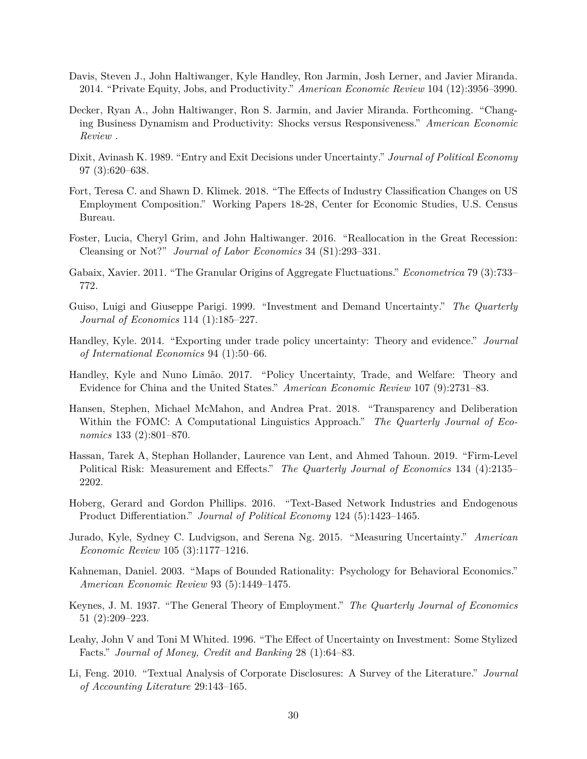- Davis, Steven J., John Haltiwanger, Kyle Handley, Ron Jarmin, Josh Lerner, and Javier Miranda. 2014. "Private Equity, Jobs, and Productivity." *American Economic Review* 104 (12):3956–3990.
- Decker, Ryan A., John Haltiwanger, Ron S. Jarmin, and Javier Miranda. Forthcoming. "Changing Business Dynamism and Productivity: Shocks versus Responsiveness." *American Economic Review* .
- Dixit, Avinash K. 1989. "Entry and Exit Decisions under Uncertainty." *Journal of Political Economy* 97 (3):620–638.
- Fort, Teresa C. and Shawn D. Klimek. 2018. "The Effects of Industry Classification Changes on US Employment Composition." Working Papers 18-28, Center for Economic Studies, U.S. Census Bureau.
- Foster, Lucia, Cheryl Grim, and John Haltiwanger. 2016. "Reallocation in the Great Recession: Cleansing or Not?" *Journal of Labor Economics* 34 (S1):293–331.
- Gabaix, Xavier. 2011. "The Granular Origins of Aggregate Fluctuations." *Econometrica* 79 (3):733– 772.
- Guiso, Luigi and Giuseppe Parigi. 1999. "Investment and Demand Uncertainty." *The Quarterly Journal of Economics* 114 (1):185–227.
- Handley, Kyle. 2014. "Exporting under trade policy uncertainty: Theory and evidence." *Journal of International Economics* 94 (1):50–66.
- Handley, Kyle and Nuno Limão. 2017. "Policy Uncertainty, Trade, and Welfare: Theory and Evidence for China and the United States." *American Economic Review* 107 (9):2731–83.
- Hansen, Stephen, Michael McMahon, and Andrea Prat. 2018. "Transparency and Deliberation Within the FOMC: A Computational Linguistics Approach." *The Quarterly Journal of Economics* 133 (2):801–870.
- Hassan, Tarek A, Stephan Hollander, Laurence van Lent, and Ahmed Tahoun. 2019. "Firm-Level Political Risk: Measurement and Effects." *The Quarterly Journal of Economics* 134 (4):2135– 2202.
- Hoberg, Gerard and Gordon Phillips. 2016. "Text-Based Network Industries and Endogenous Product Differentiation." *Journal of Political Economy* 124 (5):1423–1465.
- Jurado, Kyle, Sydney C. Ludvigson, and Serena Ng. 2015. "Measuring Uncertainty." *American Economic Review* 105 (3):1177–1216.
- Kahneman, Daniel. 2003. "Maps of Bounded Rationality: Psychology for Behavioral Economics." *American Economic Review* 93 (5):1449–1475.
- Keynes, J. M. 1937. "The General Theory of Employment." *The Quarterly Journal of Economics* 51 (2):209–223.
- Leahy, John V and Toni M Whited. 1996. "The Effect of Uncertainty on Investment: Some Stylized Facts." *Journal of Money, Credit and Banking* 28 (1):64–83.
- Li, Feng. 2010. "Textual Analysis of Corporate Disclosures: A Survey of the Literature." *Journal of Accounting Literature* 29:143–165.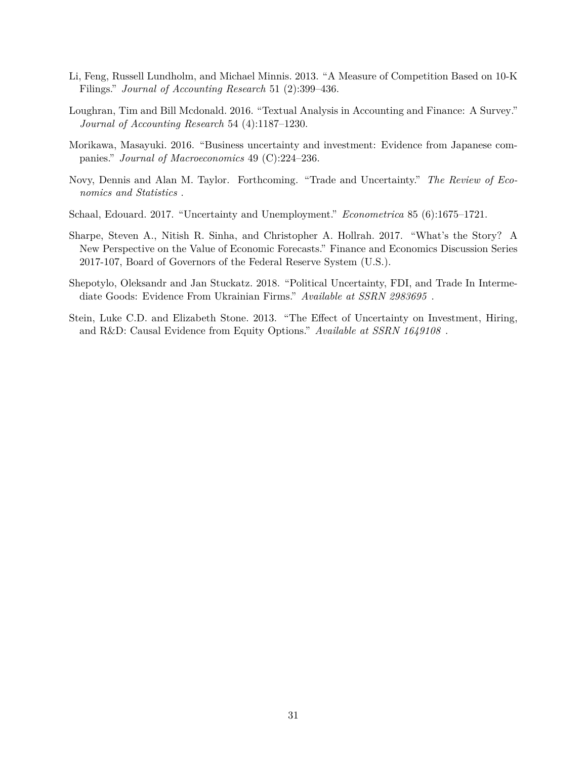- Li, Feng, Russell Lundholm, and Michael Minnis. 2013. "A Measure of Competition Based on 10-K Filings." *Journal of Accounting Research* 51 (2):399–436.
- Loughran, Tim and Bill Mcdonald. 2016. "Textual Analysis in Accounting and Finance: A Survey." *Journal of Accounting Research* 54 (4):1187–1230.
- Morikawa, Masayuki. 2016. "Business uncertainty and investment: Evidence from Japanese companies." *Journal of Macroeconomics* 49 (C):224–236.
- Novy, Dennis and Alan M. Taylor. Forthcoming. "Trade and Uncertainty." *The Review of Economics and Statistics* .
- Schaal, Edouard. 2017. "Uncertainty and Unemployment." *Econometrica* 85 (6):1675–1721.
- Sharpe, Steven A., Nitish R. Sinha, and Christopher A. Hollrah. 2017. "What's the Story? A New Perspective on the Value of Economic Forecasts." Finance and Economics Discussion Series 2017-107, Board of Governors of the Federal Reserve System (U.S.).
- Shepotylo, Oleksandr and Jan Stuckatz. 2018. "Political Uncertainty, FDI, and Trade In Intermediate Goods: Evidence From Ukrainian Firms." *Available at SSRN 2983695* .
- Stein, Luke C.D. and Elizabeth Stone. 2013. "The Effect of Uncertainty on Investment, Hiring, and R&D: Causal Evidence from Equity Options." *Available at SSRN 1649108* .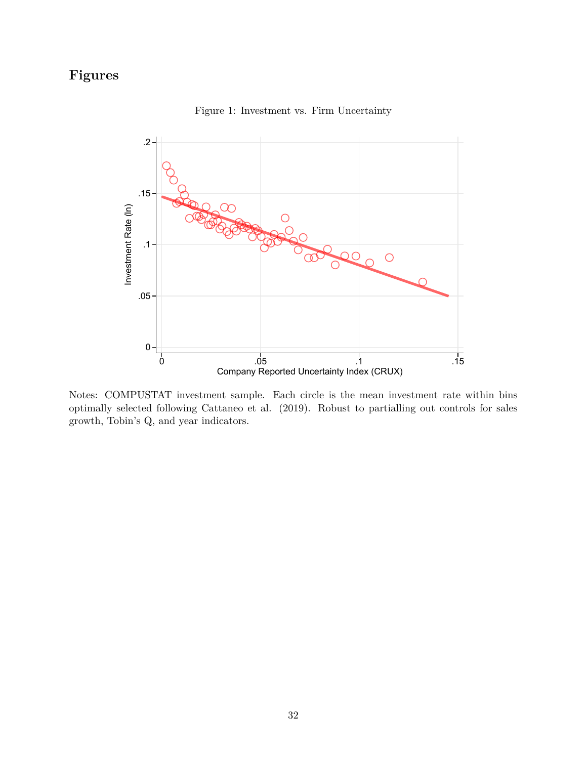# <span id="page-33-0"></span>**Figures**



Figure 1: Investment vs. Firm Uncertainty

Notes: COMPUSTAT investment sample. Each circle is the mean investment rate within bins optimally selected following Cattaneo et al. (2019). Robust to partialling out controls for sales growth, Tobin's Q, and year indicators.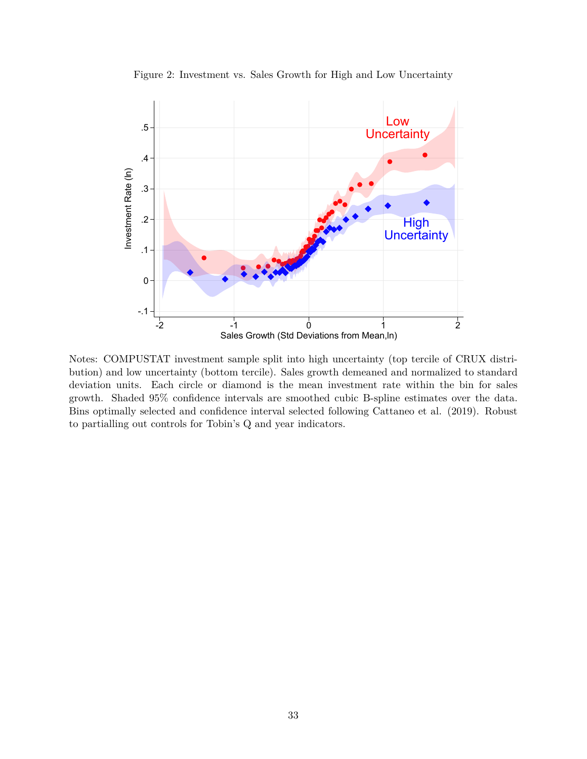<span id="page-34-0"></span>

Figure 2: Investment vs. Sales Growth for High and Low Uncertainty

Notes: COMPUSTAT investment sample split into high uncertainty (top tercile of CRUX distribution) and low uncertainty (bottom tercile). Sales growth demeaned and normalized to standard deviation units. Each circle or diamond is the mean investment rate within the bin for sales growth. Shaded 95% confidence intervals are smoothed cubic B-spline estimates over the data. Bins optimally selected and confidence interval selected following Cattaneo et al. (2019). Robust to partialling out controls for Tobin's Q and year indicators.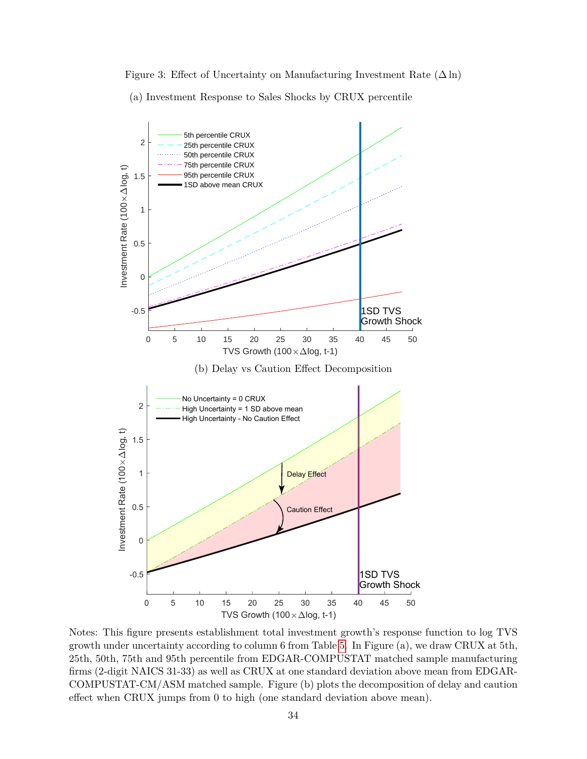<span id="page-35-0"></span>Figure 3: Effect of Uncertainty on Manufacturing Investment Rate  $(\Delta \ln)$ (a) Investment Response to Sales Shocks by CRUX percentile



Notes: This figure presents establishment total investment growth's response function to log TVS growth under uncertainty according to column 6 from Table [5.](#page-39-0) In Figure (a), we draw CRUX at 5th, 25th, 50th, 75th and 95th percentile from EDGAR-COMPUSTAT matched sample manufacturing firms (2-digit NAICS 31-33) as well as CRUX at one standard deviation above mean from EDGAR-COMPUSTAT-CM/ASM matched sample. Figure (b) plots the decomposition of delay and caution effect when CRUX jumps from 0 to high (one standard deviation above mean).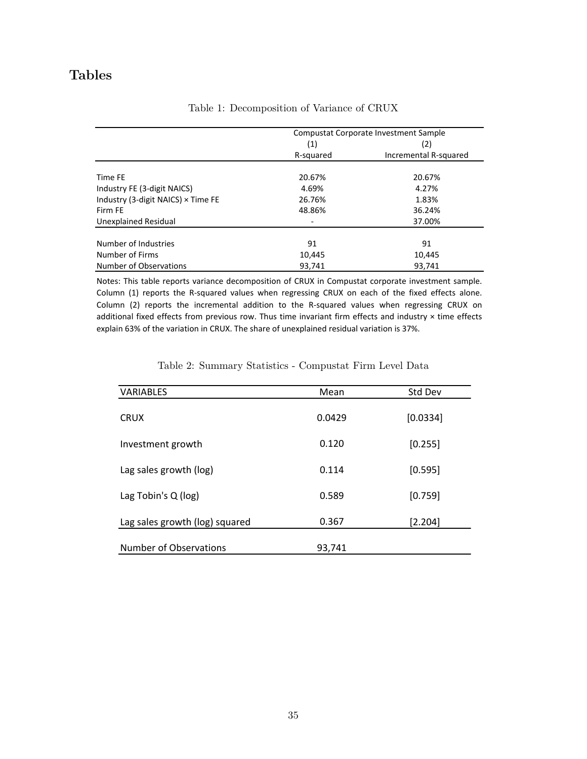# <span id="page-36-0"></span>**Tables**

|                                    |           | Compustat Corporate Investment Sample |
|------------------------------------|-----------|---------------------------------------|
|                                    | (1)       | (2)                                   |
|                                    | R-squared | Incremental R-squared                 |
| Time FE                            | 20.67%    | 20.67%                                |
| Industry FE (3-digit NAICS)        | 4.69%     | 4.27%                                 |
| Industry (3-digit NAICS) × Time FE | 26.76%    | 1.83%                                 |
| Firm FF                            | 48.86%    | 36.24%                                |
| Unexplained Residual               |           | 37.00%                                |
| Number of Industries               | 91        | 91                                    |
| Number of Firms                    | 10,445    | 10,445                                |
| Number of Observations             | 93.741    | 93.741                                |

## Table 1: Decomposition of Variance of CRUX

Notes: This table reports variance decomposition of CRUX in Compustat corporate investment sample. Column (1) reports the R-squared values when regressing CRUX on each of the fixed effects alone. Column (2) reports the incremental addition to the R-squared values when regressing CRUX on additional fixed effects from previous row. Thus time invariant firm effects and industry × time effects explain 63% of the variation in CRUX. The share of unexplained residual variation is 37%.

<span id="page-36-1"></span>

| <b>VARIABLES</b>               | Mean   | Std Dev  |
|--------------------------------|--------|----------|
| <b>CRUX</b>                    | 0.0429 | [0.0334] |
| Investment growth              | 0.120  | [0.255]  |
| Lag sales growth (log)         | 0.114  | [0.595]  |
| Lag Tobin's Q (log)            | 0.589  | [0.759]  |
| Lag sales growth (log) squared | 0.367  | [2.204]  |
| <b>Number of Observations</b>  | 93,741 |          |

Table 2: Summary Statistics - Compustat Firm Level Data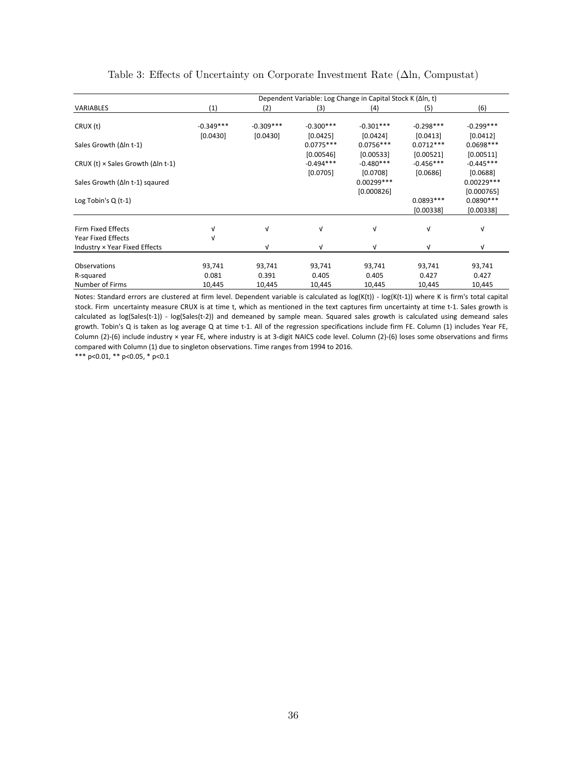<span id="page-37-0"></span>

|                                                   | Dependent Variable: Log Change in Capital Stock K (∆In, t) |             |             |              |             |              |  |  |  |
|---------------------------------------------------|------------------------------------------------------------|-------------|-------------|--------------|-------------|--------------|--|--|--|
| <b>VARIABLES</b>                                  | (1)                                                        | (2)         | (3)         | (4)          | (5)         | (6)          |  |  |  |
| CRUX (t)                                          | $-0.349***$                                                | $-0.309***$ | $-0.300***$ | $-0.301***$  | $-0.298***$ | $-0.299***$  |  |  |  |
|                                                   | [0.0430]                                                   | [0.0430]    | [0.0425]    | [0.0424]     | [0.0413]    | [0.0412]     |  |  |  |
|                                                   |                                                            |             |             |              |             |              |  |  |  |
| Sales Growth (Δln t-1)                            |                                                            |             | $0.0775***$ | $0.0756***$  | $0.0712***$ | $0.0698***$  |  |  |  |
|                                                   |                                                            |             | [0.00546]   | [0.00533]    | [0.00521]   | [0.00511]    |  |  |  |
| CRUX (t) $\times$ Sales Growth ( $\Delta$ In t-1) |                                                            |             | $-0.494***$ | $-0.480***$  | $-0.456***$ | $-0.445***$  |  |  |  |
|                                                   |                                                            |             | [0.0705]    | [0.0708]     | [0.0686]    | [0.0688]     |  |  |  |
| Sales Growth (∆In t-1) sqaured                    |                                                            |             |             | $0.00299***$ |             | $0.00229***$ |  |  |  |
|                                                   |                                                            |             |             | [0.000826]   |             | [0.000765]   |  |  |  |
| Log Tobin's $Q(t-1)$                              |                                                            |             |             |              | $0.0893***$ | $0.0890***$  |  |  |  |
|                                                   |                                                            |             |             |              | [0.00338]   | [0.00338]    |  |  |  |
| Firm Fixed Effects                                |                                                            | ν           | V           | $\sqrt{ }$   | $\sqrt{ }$  | v            |  |  |  |
|                                                   |                                                            |             |             |              |             |              |  |  |  |
| <b>Year Fixed Effects</b>                         |                                                            |             |             |              |             |              |  |  |  |
| Industry × Year Fixed Effects                     |                                                            | v           | $\sqrt{ }$  | $\sqrt{ }$   | v           | V            |  |  |  |
| <b>Observations</b>                               | 93,741                                                     | 93,741      | 93,741      | 93,741       | 93,741      | 93,741       |  |  |  |
|                                                   | 0.081                                                      | 0.391       | 0.405       | 0.405        | 0.427       | 0.427        |  |  |  |
| R-squared                                         |                                                            |             |             |              |             |              |  |  |  |
| Number of Firms                                   | 10,445                                                     | 10,445      | 10,445      | 10,445       | 10,445      | 10,445       |  |  |  |

## Table 3: Effects of Uncertainty on Corporate Investment Rate  $(\Delta \ln, \text{Computat})$

Notes: Standard errors are clustered at firm level. Dependent variable is calculated as log(K(t)) ‐ log(K(t‐1)) where K is firm's total capital stock. Firm uncertainty measure CRUX is at time t, which as mentioned in the text captures firm uncertainty at time t-1. Sales growth is calculated as log(Sales(t‐1)) ‐ log(Sales(t‐2)) and demeaned by sample mean. Squared sales growth is calculated using demeand sales growth. Tobin's Q is taken as log average Q at time t-1. All of the regression specifications include firm FE. Column (1) includes Year FE, Column (2)‐(6) include industry × year FE, where industry is at 3‐digit NAICS code level. Column (2)‐(6) loses some observations and firms compared with Column (1) due to singleton observations. Time ranges from 1994 to 2016.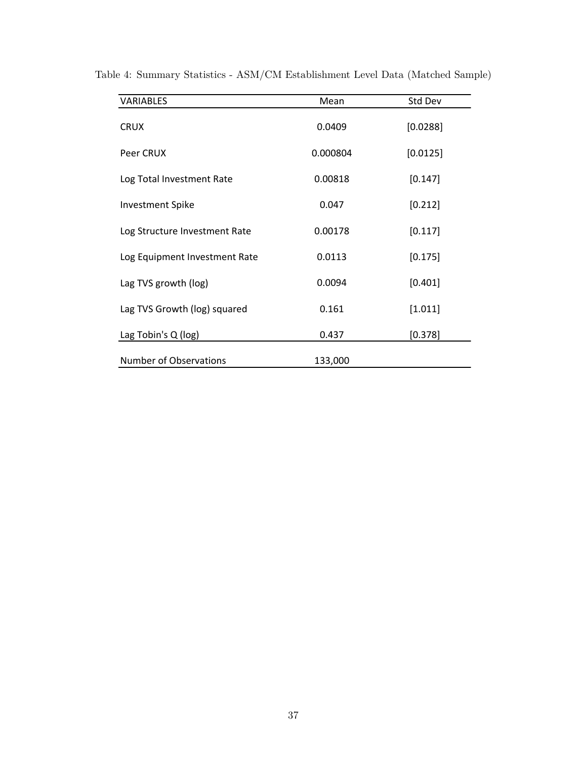| <b>VARIABLES</b>              | Mean     | Std Dev  |
|-------------------------------|----------|----------|
| <b>CRUX</b>                   | 0.0409   | [0.0288] |
| Peer CRUX                     | 0.000804 | [0.0125] |
| Log Total Investment Rate     | 0.00818  | [0.147]  |
| <b>Investment Spike</b>       | 0.047    | [0.212]  |
| Log Structure Investment Rate | 0.00178  | [0.117]  |
| Log Equipment Investment Rate | 0.0113   | [0.175]  |
| Lag TVS growth (log)          | 0.0094   | [0.401]  |
| Lag TVS Growth (log) squared  | 0.161    | [1.011]  |
| Lag Tobin's Q (log)           | 0.437    | [0.378]  |
| <b>Number of Observations</b> | 133,000  |          |

<span id="page-38-0"></span>Table 4: Summary Statistics - ASM/CM Establishment Level Data (Matched Sample)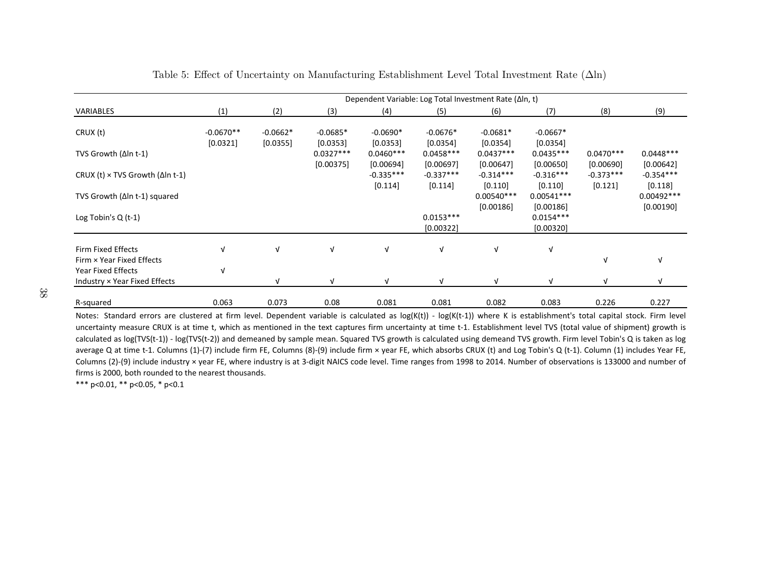| Dependent Variable: Log Total Investment Rate (Δln, t) |                         |                        |                        |                                     |                                       |                                       |                                       |                                     |                                     |
|--------------------------------------------------------|-------------------------|------------------------|------------------------|-------------------------------------|---------------------------------------|---------------------------------------|---------------------------------------|-------------------------------------|-------------------------------------|
| VARIABLES                                              | (1)                     | (2)                    | (3)                    | (4)                                 | (5)                                   | (6)                                   | (7)                                   | (8)                                 | (9)                                 |
| CRUX(t)                                                | $-0.0670**$<br>[0.0321] | $-0.0662*$<br>[0.0355] | $-0.0685*$<br>[0.0353] | $-0.0690*$<br>[0.0353]              | $-0.0676*$<br>[0.0354]                | $-0.0681*$<br>[0.0354]                | $-0.0667*$<br>[0.0354]                |                                     |                                     |
| TVS Growth $(\Delta \ln t - 1)$                        |                         |                        | $0.0327***$            | $0.0460***$                         | $0.0458***$                           | $0.0437***$                           | $0.0435***$                           | $0.0470***$                         | $0.0448***$                         |
| CRUX (t) $\times$ TVS Growth ( $\Delta$ In t-1)        |                         |                        | [0.00375]              | [0.00694]<br>$-0.335***$<br>[0.114] | [0.00697]<br>$-0.337***$<br>$[0.114]$ | [0.00647]<br>$-0.314***$<br>$[0.110]$ | [0.00650]<br>$-0.316***$<br>$[0.110]$ | [0.00690]<br>$-0.373***$<br>[0.121] | [0.00642]<br>$-0.354***$<br>[0.118] |
| TVS Growth (∆In t-1) squared                           |                         |                        |                        |                                     |                                       | $0.00540***$                          | $0.00541***$                          |                                     | $0.00492***$                        |
| Log Tobin's $Q(t-1)$                                   |                         |                        |                        |                                     | $0.0153***$<br>[0.00322]              | [0.00186]                             | [0.00186]<br>$0.0154***$<br>[0.00320] |                                     | [0.00190]                           |
| Firm Fixed Effects<br>Firm × Year Fixed Effects        | $\sqrt{ }$              | $\sqrt{ }$             | $\sqrt{ }$             | $\sqrt{ }$                          | V                                     | $\sqrt{ }$                            | $\sqrt{ }$                            | v                                   | $\sqrt{ }$                          |
| <b>Year Fixed Effects</b>                              | $\sqrt{ }$              |                        |                        |                                     |                                       |                                       |                                       |                                     |                                     |
| Industry × Year Fixed Effects                          |                         | νI                     | V                      | $\sqrt{ }$                          | V                                     | ν                                     | $\sqrt{ }$                            |                                     | $\sqrt{ }$                          |
| R-squared                                              | 0.063                   | 0.073                  | 0.08                   | 0.081                               | 0.081                                 | 0.082                                 | 0.083                                 | 0.226                               | 0.227                               |

### Table 5: Effect of Uncertainty on Manufacturing Establishment Level Total Investment Rate (Δln)

<span id="page-39-0"></span>Notes: Standard errors are clustered at firm level. Dependent variable is calculated as log(K(t)) - log(K(t-1)) where K is establishment's total capital stock. Firm level uncertainty measure CRUX is at time t, which as mentioned in the text captures firm uncertainty at time t-1. Establishment level TVS (total value of shipment) growth is calculated as log(TVS(t-1)) - log(TVS(t-2)) and demeaned by sample mean. Squared TVS growth is calculated using demeand TVS growth. Firm level Tobin's Q is taken as log average Q at time t-1. Columns (1)-(7) include firm FE, Columns (8)-(9) include firm × year FE, which absorbs CRUX (t) and Log Tobin's Q (t-1). Column (1) includes Year FE, Columns (2)-(9) include industry × year FE, where industry is at 3-digit NAICS code level. Time ranges from 1998 to 2014. Number of observations is 133000 and number of firms is 2000, both rounded to the nearest thousands.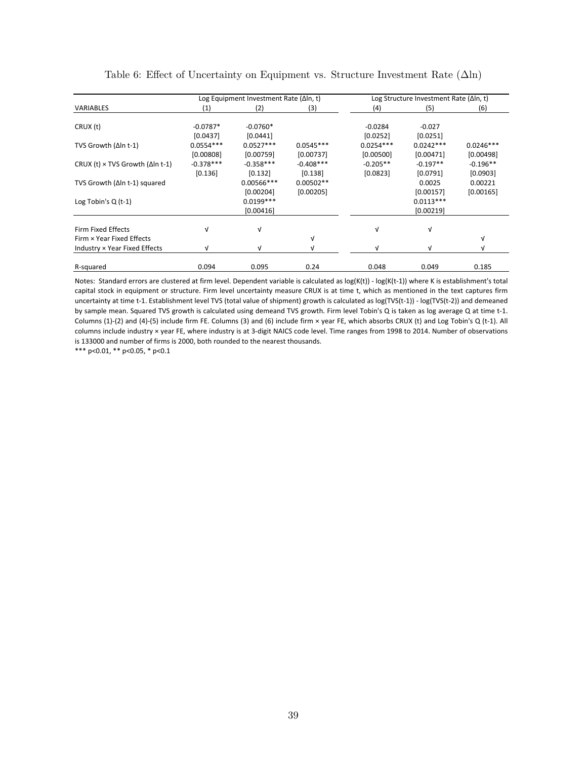<span id="page-40-0"></span>

|                                                 |             | Log Equipment Investment Rate ( $\Delta$ In, t) |             |             | Log Structure Investment Rate ( $\Delta$ In, t) |             |
|-------------------------------------------------|-------------|-------------------------------------------------|-------------|-------------|-------------------------------------------------|-------------|
| <b>VARIABLES</b>                                | (1)         | (2)                                             | (3)         | (4)         | (5)                                             | (6)         |
|                                                 |             |                                                 |             |             |                                                 |             |
| CRUX(t)                                         | $-0.0787*$  | $-0.0760*$                                      |             | $-0.0284$   | $-0.027$                                        |             |
|                                                 | [0.0437]    | [0.0441]                                        |             | [0.0252]    | [0.0251]                                        |             |
| TVS Growth (Δln t-1)                            | $0.0554***$ | $0.0527***$                                     | $0.0545***$ | $0.0254***$ | $0.0242***$                                     | $0.0246***$ |
|                                                 | [0.00808]   | [0.00759]                                       | [0.00737]   | [0.00500]   | [0.00471]                                       | [0.00498]   |
| CRUX (t) $\times$ TVS Growth ( $\Delta$ In t-1) | $-0.378***$ | $-0.358***$                                     | $-0.408***$ | $-0.205**$  | $-0.197**$                                      | $-0.196**$  |
|                                                 | [0.136]     | [0.132]                                         | [0.138]     | [0.0823]    | [0.0791]                                        | [0.0903]    |
| TVS Growth (Δln t-1) squared                    |             | $0.00566***$                                    | $0.00502**$ |             | 0.0025                                          | 0.00221     |
|                                                 |             | [0.00204]                                       | [0.00205]   |             | [0.00157]                                       | [0.00165]   |
| Log Tobin's $Q(t-1)$                            |             | $0.0199***$                                     |             |             | $0.0113***$                                     |             |
|                                                 |             | [0.00416]                                       |             |             | [0.00219]                                       |             |
| <b>Firm Fixed Effects</b>                       | v           | V                                               |             | v           | $\sqrt{ }$                                      |             |
| Firm × Year Fixed Effects                       |             |                                                 | ν           |             |                                                 | $\sqrt{ }$  |
| Industry × Year Fixed Effects                   | ν           | v                                               | ν           | V           | V                                               | v           |
|                                                 |             |                                                 |             |             |                                                 |             |
| R-squared                                       | 0.094       | 0.095                                           | 0.24        | 0.048       | 0.049                                           | 0.185       |

Table 6: Effect of Uncertainty on Equipment vs. Structure Investment Rate  $(\Delta \ln)$ 

Notes: Standard errors are clustered at firm level. Dependent variable is calculated as log(K(t)) - log(K(t-1)) where K is establishment's total capital stock in equipment or structure. Firm level uncertainty measure CRUX is at time t, which as mentioned in the text captures firm uncertainty at time t-1. Establishment level TVS (total value of shipment) growth is calculated as log(TVS(t-1)) - log(TVS(t-2)) and demeaned by sample mean. Squared TVS growth is calculated using demeand TVS growth. Firm level Tobin's Q is taken as log average Q at time t‐1. Columns (1)‐(2) and (4)‐(5) include firm FE. Columns (3) and (6) include firm × year FE, which absorbs CRUX (t) and Log Tobin's Q (t‐1). All columns include industry × year FE, where industry is at 3‐digit NAICS code level. Time ranges from 1998 to 2014. Number of observations is 133000 and number of firms is 2000, both rounded to the nearest thousands.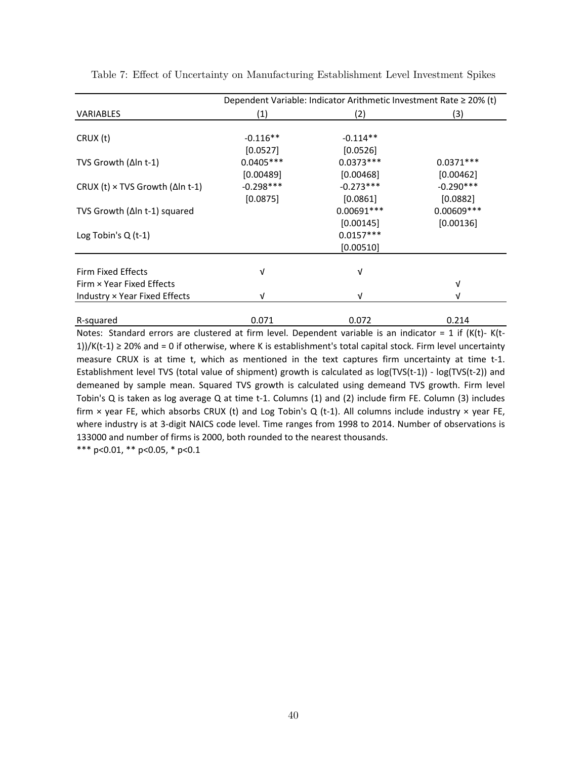|                                                 |             | Dependent Variable: Indicator Arithmetic Investment Rate ≥ 20% (t) |              |
|-------------------------------------------------|-------------|--------------------------------------------------------------------|--------------|
| VARIABLES                                       | (1)         | (2)                                                                | (3)          |
|                                                 |             |                                                                    |              |
| CRUX (t)                                        | $-0.116**$  | $-0.114**$                                                         |              |
|                                                 | [0.0527]    | [0.0526]                                                           |              |
| TVS Growth ( $\Delta$ In t-1)                   | $0.0405***$ | $0.0373***$                                                        | $0.0371***$  |
|                                                 | [0.00489]   | [0.00468]                                                          | [0.00462]    |
| CRUX (t) $\times$ TVS Growth ( $\Delta$ In t-1) | $-0.298***$ | $-0.273***$                                                        | $-0.290***$  |
|                                                 | [0.0875]    | [0.0861]                                                           | [0.0882]     |
| TVS Growth (∆In t-1) squared                    |             | $0.00691***$                                                       | $0.00609***$ |
|                                                 |             | [0.00145]                                                          | [0.00136]    |
| Log Tobin's $Q(t-1)$                            |             | $0.0157***$                                                        |              |
|                                                 |             | [0.00510]                                                          |              |
|                                                 |             |                                                                    |              |
| <b>Firm Fixed Effects</b>                       | V           | $\sqrt{ }$                                                         |              |
| Firm × Year Fixed Effects                       |             |                                                                    | V            |
| Industry × Year Fixed Effects                   | V           | $\sqrt{ }$                                                         | v            |
|                                                 |             |                                                                    |              |
| R-squared                                       | 0.071       | 0.072                                                              | 0.214        |

<span id="page-41-0"></span>Table 7: Effect of Uncertainty on Manufacturing Establishment Level Investment Spikes

\*\*\* p<0.01, \*\* p<0.05, \* p<0.1 Notes: Standard errors are clustered at firm level. Dependent variable is an indicator = 1 if (K(t)-K(t-1))/K(t-1)  $\geq$  20% and = 0 if otherwise, where K is establishment's total capital stock. Firm level uncertainty measure CRUX is at time t, which as mentioned in the text captures firm uncertainty at time t-1. Establishment level TVS (total value of shipment) growth is calculated as  $log(TVS(t-1)) - log(TVS(t-2))$  and demeaned by sample mean. Squared TVS growth is calculated using demeand TVS growth. Firm level Tobin's Q is taken as log average Q at time t‐1. Columns (1) and (2) include firm FE. Column (3) includes firm  $\times$  year FE, which absorbs CRUX (t) and Log Tobin's Q (t-1). All columns include industry  $\times$  year FE, where industry is at 3‐digit NAICS code level. Time ranges from 1998 to 2014. Number of observations is 133000 and number of firms is 2000, both rounded to the nearest thousands.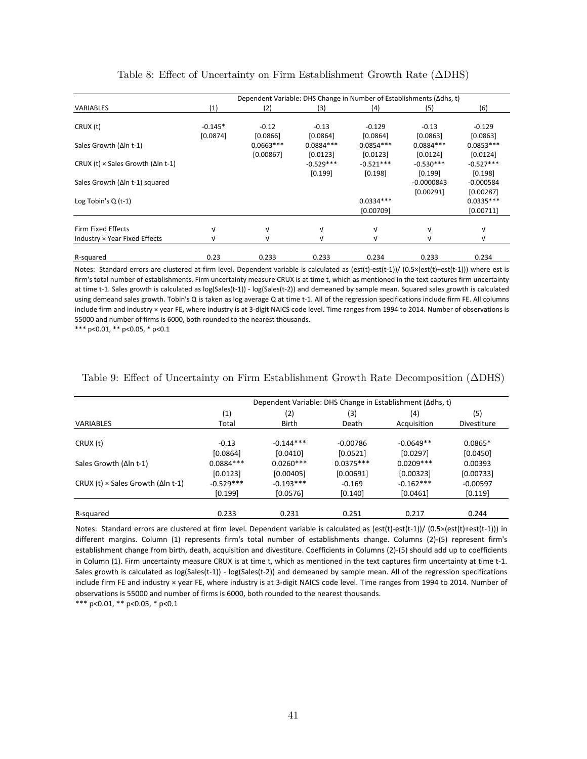<span id="page-42-0"></span>

|                                                   |                       | Dependent Variable: DHS Change in Number of Establishments (∆dhs, t) |                         |                          |                         |                                       |  |  |  |  |
|---------------------------------------------------|-----------------------|----------------------------------------------------------------------|-------------------------|--------------------------|-------------------------|---------------------------------------|--|--|--|--|
| <b>VARIABLES</b>                                  | (1)                   | (2)                                                                  | (3)                     | (4)                      | (5)                     | (6)                                   |  |  |  |  |
| CRUX (t)                                          | $-0.145*$<br>[0.0874] | $-0.12$<br>[0.0866]                                                  | $-0.13$<br>[0.0864]     | $-0.129$<br>[0.0864]     | $-0.13$<br>[0.0863]     | $-0.129$<br>[0.0863]                  |  |  |  |  |
| Sales Growth (Δln t-1)                            |                       | $0.0663***$<br>[0.00867]                                             | $0.0884***$<br>[0.0123] | $0.0854***$<br>[0.0123]  | $0.0884***$<br>[0.0124] | $0.0853***$<br>[0.0124]               |  |  |  |  |
| CRUX (t) $\times$ Sales Growth ( $\Delta$ In t-1) |                       |                                                                      | $-0.529***$             | $-0.521***$              | $-0.530***$             | $-0.527***$                           |  |  |  |  |
| Sales Growth (Δln t-1) squared                    |                       |                                                                      | [0.199]                 | [0.198]                  | [0.199]<br>$-0.0000843$ | [0.198]<br>$-0.000584$                |  |  |  |  |
| Log Tobin's $Q(t-1)$                              |                       |                                                                      |                         | $0.0334***$<br>[0.00709] | [0.00291]               | [0.00287]<br>$0.0335***$<br>[0.00711] |  |  |  |  |
| <b>Firm Fixed Effects</b>                         |                       | ν                                                                    | V                       | $\sqrt{ }$               | $\sqrt{ }$              | $\sqrt{ }$                            |  |  |  |  |
| Industry × Year Fixed Effects                     |                       |                                                                      | N                       |                          |                         | N                                     |  |  |  |  |
| R-squared                                         | 0.23                  | 0.233                                                                | 0.233                   | 0.234                    | 0.233                   | 0.234                                 |  |  |  |  |

|  | Table 8: Effect of Uncertainty on Firm Establishment Growth Rate $(\Delta$ DHS) |  |  |  |  |
|--|---------------------------------------------------------------------------------|--|--|--|--|
|--|---------------------------------------------------------------------------------|--|--|--|--|

Notes: Standard errors are clustered at firm level. Dependent variable is calculated as (est(t)‐est(t‐1))/ (0.5×(est(t)+est(t‐1))) where est is firm's total number of establishments. Firm uncertainty measure CRUX is at time t, which as mentioned in the text captures firm uncertainty at time t-1. Sales growth is calculated as log(Sales(t-1)) - log(Sales(t-2)) and demeaned by sample mean. Squared sales growth is calculated using demeand sales growth. Tobin's Q is taken as log average Q at time t-1. All of the regression specifications include firm FE. All columns include firm and industry × year FE, where industry is at 3-digit NAICS code level. Time ranges from 1994 to 2014. Number of observations is 55000 and number of firms is 6000, both rounded to the nearest thousands.

\*\*\* p<0.01, \*\* p<0.05, \* p<0.1

|                                                   |             |              |             | Dependent Variable: DHS Change in Establishment (∆dhs, t) |                    |
|---------------------------------------------------|-------------|--------------|-------------|-----------------------------------------------------------|--------------------|
|                                                   | (1)         | (2)          | (3)         | (4)                                                       | (5)                |
| <b>VARIABLES</b>                                  | Total       | <b>Birth</b> | Death       | Acquisition                                               | <b>Divestiture</b> |
| CRUX (t)                                          | $-0.13$     | $-0.144***$  | $-0.00786$  | $-0.0649**$                                               | $0.0865*$          |
|                                                   | [0.0864]    | [0.0410]     | [0.0521]    | [0.0297]                                                  | [0.0450]           |
| Sales Growth $(\Delta \ln t - 1)$                 | $0.0884***$ | $0.0260***$  | $0.0375***$ | $0.0209***$                                               | 0.00393            |
|                                                   | [0.0123]    | [0.00405]    | [0.00691]   | [0.00323]                                                 | [0.00733]          |
| CRUX (t) $\times$ Sales Growth ( $\Delta$ In t-1) | $-0.529***$ | $-0.193***$  | $-0.169$    | $-0.162***$                                               | $-0.00597$         |
|                                                   | [0.199]     | $[0.0576]$   | [0.140]     | [0.0461]                                                  | [0.119]            |
| R-squared                                         | 0.233       | 0.231        | 0.251       | 0.217                                                     | 0.244              |

<span id="page-42-1"></span>Table 9: Effect of Uncertainty on Firm Establishment Growth Rate Decomposition (ΔDHS)

Notes: Standard errors are clustered at firm level. Dependent variable is calculated as (est(t)‐est(t‐1))/ (0.5×(est(t)+est(t‐1))) in different margins. Column (1) represents firm's total number of establishments change. Columns (2)‐(5) represent firm's establishment change from birth, death, acquisition and divestiture. Coefficients in Columns (2)‐(5) should add up to coefficients in Column (1). Firm uncertainty measure CRUX is at time t, which as mentioned in the text captures firm uncertainty at time t‐1. Sales growth is calculated as log(Sales(t-1)) - log(Sales(t-2)) and demeaned by sample mean. All of the regression specifications include firm FE and industry × year FE, where industry is at 3‐digit NAICS code level. Time ranges from 1994 to 2014. Number of observations is 55000 and number of firms is 6000, both rounded to the nearest thousands.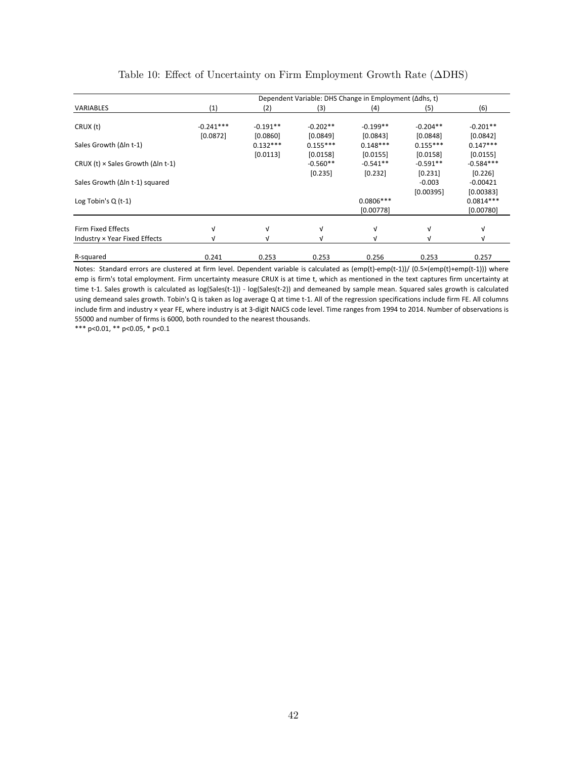<span id="page-43-0"></span>

|                                                            |                         | Dependent Variable: DHS Change in Employment (∆dhs, t) |                          |                          |                        |                                       |  |  |  |  |  |
|------------------------------------------------------------|-------------------------|--------------------------------------------------------|--------------------------|--------------------------|------------------------|---------------------------------------|--|--|--|--|--|
| <b>VARIABLES</b>                                           | (1)                     | (2)                                                    | (3)                      | (4)                      | (5)                    | (6)                                   |  |  |  |  |  |
| CRUX (t)                                                   | $-0.241***$<br>[0.0872] | $-0.191**$<br>[0.0860]                                 | $-0.202**$<br>[0.0849]   | $-0.199**$<br>[0.0843]   | $-0.204**$<br>[0.0848] | $-0.201**$<br>[0.0842]                |  |  |  |  |  |
| Sales Growth (Δln t-1)                                     |                         | $0.132***$<br>[0.0113]                                 | $0.155***$<br>$[0.0158]$ | $0.148***$<br>[0.0155]   | $0.155***$<br>[0.0158] | $0.147***$<br>[0.0155]                |  |  |  |  |  |
| CRUX (t) $\times$ Sales Growth ( $\Delta$ In t-1)          |                         |                                                        | $-0.560**$<br>[0.235]    | $-0.541**$<br>[0.232]    | $-0.591**$<br>[0.231]  | $-0.584***$<br>[0.226]                |  |  |  |  |  |
| Sales Growth (∆In t-1) squared                             |                         |                                                        |                          |                          | $-0.003$               | $-0.00421$                            |  |  |  |  |  |
| Log Tobin's $Q(t-1)$                                       |                         |                                                        |                          | $0.0806***$<br>[0.00778] | [0.00395]              | [0.00383]<br>$0.0814***$<br>[0.00780] |  |  |  |  |  |
|                                                            |                         |                                                        |                          |                          |                        |                                       |  |  |  |  |  |
| <b>Firm Fixed Effects</b><br>Industry × Year Fixed Effects | ν                       | $\sqrt{ }$                                             | V<br>v                   | V<br>N                   | V                      | v<br>ν                                |  |  |  |  |  |
| R-squared                                                  | 0.241                   | 0.253                                                  | 0.253                    | 0.256                    | 0.253                  | 0.257                                 |  |  |  |  |  |

| Table 10: Effect of Uncertainty on Firm Employment Growth Rate $(\Delta$ DHS) |  |  |  |  |  |  |  |  |  |  |  |
|-------------------------------------------------------------------------------|--|--|--|--|--|--|--|--|--|--|--|
|-------------------------------------------------------------------------------|--|--|--|--|--|--|--|--|--|--|--|

Notes: Standard errors are clustered at firm level. Dependent variable is calculated as (emp(t)‐emp(t‐1))/ (0.5×(emp(t)+emp(t‐1))) where emp is firm's total employment. Firm uncertainty measure CRUX is at time t, which as mentioned in the text captures firm uncertainty at time t-1. Sales growth is calculated as log(Sales(t-1)) - log(Sales(t-2)) and demeaned by sample mean. Squared sales growth is calculated using demeand sales growth. Tobin's Q is taken as log average Q at time t-1. All of the regression specifications include firm FE. All columns include firm and industry × year FE, where industry is at 3-digit NAICS code level. Time ranges from 1994 to 2014. Number of observations is 55000 and number of firms is 6000, both rounded to the nearest thousands.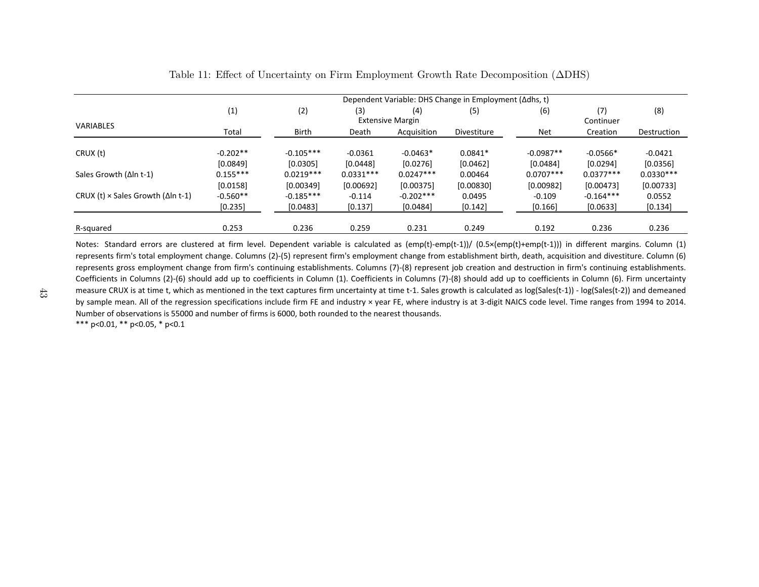|                                                   | Dependent Variable: DHS Change in Employment (∆dhs, t) |              |             |                         |             |             |             |             |  |  |
|---------------------------------------------------|--------------------------------------------------------|--------------|-------------|-------------------------|-------------|-------------|-------------|-------------|--|--|
|                                                   | (1)                                                    | (2)          | (3)         | (4)                     | (5)         | (6)         | (7)         | (8)         |  |  |
| <b>VARIABLES</b>                                  |                                                        |              |             | <b>Extensive Margin</b> |             |             | Continuer   |             |  |  |
|                                                   | Total                                                  | <b>Birth</b> | Death       | Acquisition             | Divestiture | Net         | Creation    | Destruction |  |  |
|                                                   |                                                        |              |             |                         |             |             |             |             |  |  |
| CRUX (t)                                          | $-0.202**$                                             | $-0.105***$  | $-0.0361$   | $-0.0463*$              | $0.0841*$   | $-0.0987**$ | $-0.0566*$  | $-0.0421$   |  |  |
|                                                   | [0.0849]                                               | [0.0305]     | [0.0448]    | [0.0276]                | [0.0462]    | [0.0484]    | [0.0294]    | [0.0356]    |  |  |
| Sales Growth (Δln t-1)                            | $0.155***$                                             | $0.0219***$  | $0.0331***$ | $0.0247***$             | 0.00464     | $0.0707***$ | $0.0377***$ | $0.0330***$ |  |  |
|                                                   | [0.0158]                                               | [0.00349]    | [0.00692]   | [0.00375]               | [0.00830]   | [0.00982]   | [0.00473]   | [0.00733]   |  |  |
| CRUX (t) $\times$ Sales Growth ( $\Delta$ In t-1) | $-0.560**$                                             | $-0.185***$  | $-0.114$    | $-0.202***$             | 0.0495      | $-0.109$    | $-0.164***$ | 0.0552      |  |  |
|                                                   | [0.235]                                                | [0.0483]     | [0.137]     | [0.0484]                | [0.142]     | [0.166]     | [0.0633]    | [0.134]     |  |  |
|                                                   |                                                        |              |             |                         |             |             |             |             |  |  |
| R-squared                                         | 0.253                                                  | 0.236        | 0.259       | 0.231                   | 0.249       | 0.192       | 0.236       | 0.236       |  |  |

## <span id="page-44-0"></span>Table 11: Effect of Uncertainty on Firm Employment Growth Rate Decomposition (ΔDHS)

Notes: Standard errors are clustered at firm level. Dependent variable is calculated as (emp(t)-emp(t-1))/ (0.5×(emp(t)+emp(t-1))) in different margins. Column (1) represents firm's total employment change. Columns (2)‐(5) represent firm's employment change from establishment birth, death, acquisition and divestiture. Column (6) represents gross employment change from firm's continuing establishments. Columns (7)‐(8) represent job creation and destruction in firm's continuing establishments. Coefficients in Columns (2)‐(6) should add up to coefficients in Column (1). Coefficients in Columns (7)‐(8) should add up to coefficients in Column (6). Firm uncertainty measure CRUX is at time t, which as mentioned in the text captures firm uncertainty at time t-1. Sales growth is calculated as log(Sales(t-1)) - log(Sales(t-2)) and demeaned by sample mean. All of the regression specifications include firm FE and industry × year FE, where industry is at 3-digit NAICS code level. Time ranges from 1994 to 2014. Number of observations is 55000 and number of firms is 6000, both rounded to the nearest thousands.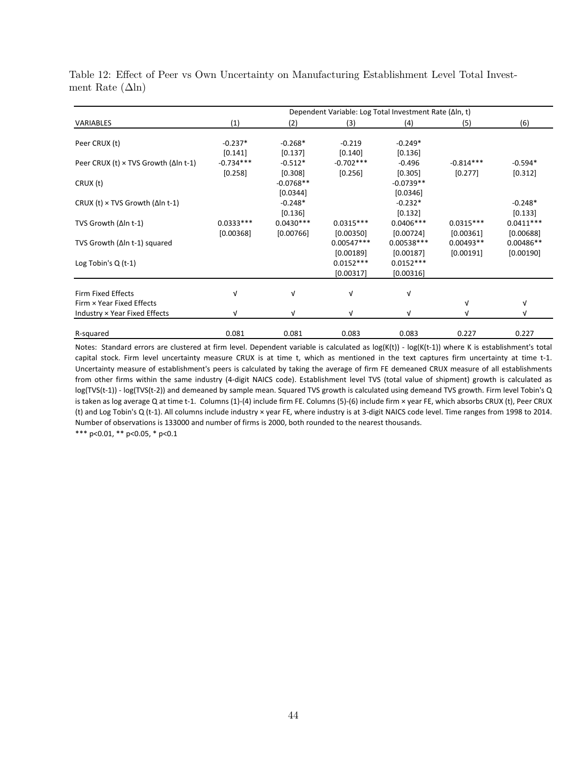|                                                 |             |             | Dependent Variable: Log Total Investment Rate (Δln, t) |              |             |             |
|-------------------------------------------------|-------------|-------------|--------------------------------------------------------|--------------|-------------|-------------|
| VARIABLES                                       | (1)         | (2)         | (3)                                                    | (4)          | (5)         | (6)         |
| Peer CRUX (t)                                   | $-0.237*$   | $-0.268*$   | $-0.219$                                               | $-0.249*$    |             |             |
|                                                 | [0.141]     | $[0.137]$   | [0.140]                                                | [0.136]      |             |             |
| Peer CRUX (t) × TVS Growth (Δln t-1)            | $-0.734***$ | $-0.512*$   | $-0.702***$                                            | $-0.496$     | $-0.814***$ | $-0.594*$   |
|                                                 | [0.258]     | [0.308]     | [0.256]                                                | [0.305]      | [0.277]     | [0.312]     |
| CRUX (t)                                        |             | $-0.0768**$ |                                                        | $-0.0739**$  |             |             |
|                                                 |             | [0.0344]    |                                                        | [0.0346]     |             |             |
| CRUX (t) $\times$ TVS Growth ( $\Delta$ In t-1) |             | $-0.248*$   |                                                        | $-0.232*$    |             | $-0.248*$   |
|                                                 |             | [0.136]     |                                                        | [0.132]      |             | [0.133]     |
| TVS Growth $(\Delta \ln t - 1)$                 | $0.0333***$ | $0.0430***$ | $0.0315***$                                            | $0.0406***$  | $0.0315***$ | $0.0411***$ |
|                                                 | [0.00368]   | [0.00766]   | [0.00350]                                              | [0.00724]    | [0.00361]   | [0.00688]   |
| TVS Growth ( $\Delta$ In t-1) squared           |             |             | $0.00547***$                                           | $0.00538***$ | $0.00493**$ | $0.00486**$ |
|                                                 |             |             | [0.00189]                                              | [0.00187]    | [0.00191]   | [0.00190]   |
| Log Tobin's $Q(t-1)$                            |             |             | $0.0152***$                                            | $0.0152***$  |             |             |
|                                                 |             |             | [0.00317]                                              | [0.00316]    |             |             |
|                                                 |             |             |                                                        |              |             |             |
| Firm Fixed Effects                              | νI          | $\sqrt{ }$  | $\sqrt{ }$                                             | $\sqrt{ }$   |             |             |
| Firm × Year Fixed Effects                       |             |             |                                                        |              | $\sqrt{ }$  | $\sqrt{ }$  |
| Industry × Year Fixed Effects                   | v           | $\sqrt{ }$  | $\sqrt{ }$                                             | $\sqrt{ }$   | V           | V           |
|                                                 |             |             |                                                        |              |             |             |
| R-squared                                       | 0.081       | 0.081       | 0.083                                                  | 0.083        | 0.227       | 0.227       |

<span id="page-45-0"></span>Table 12: Effect of Peer vs Own Uncertainty on Manufacturing Establishment Level Total Investment Rate  $(\Delta \ln)$ 

\*\*\* p<0.01, \*\* p<0.05, \* p<0.1 Notes: Standard errors are clustered at firm level. Dependent variable is calculated as log(K(t)) - log(K(t-1)) where K is establishment's total capital stock. Firm level uncertainty measure CRUX is at time t, which as mentioned in the text captures firm uncertainty at time t‐1. Uncertainty measure of establishment's peers is calculated by taking the average of firm FE demeaned CRUX measure of all establishments from other firms within the same industry (4‐digit NAICS code). Establishment level TVS (total value of shipment) growth is calculated as log(TVS(t-1)) - log(TVS(t-2)) and demeaned by sample mean. Squared TVS growth is calculated using demeand TVS growth. Firm level Tobin's Q is taken as log average Q at time t‐1. Columns (1)‐(4) include firm FE. Columns (5)‐(6) include firm × year FE, which absorbs CRUX (t), Peer CRUX (t) and Log Tobin's Q (t‐1). All columns include industry × year FE, where industry is at 3‐digit NAICS code level. Time ranges from 1998 to 2014. Number of observations is 133000 and number of firms is 2000, both rounded to the nearest thousands.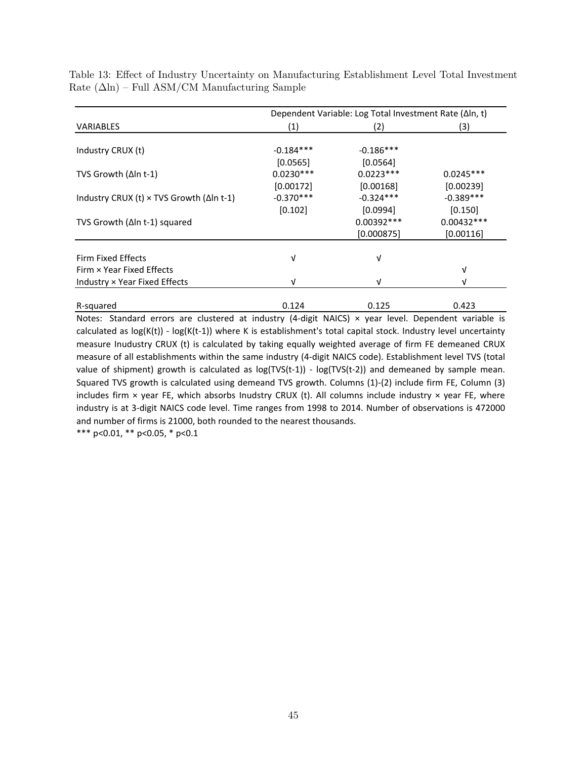| Dependent Variable: Log Total Investment Rate (∆In, t)   |             |              |              |  |  |  |
|----------------------------------------------------------|-------------|--------------|--------------|--|--|--|
| <b>VARIABLES</b>                                         | (1)         | (2)          | (3)          |  |  |  |
|                                                          |             |              |              |  |  |  |
| Industry CRUX (t)                                        | $-0.184***$ | $-0.186***$  |              |  |  |  |
|                                                          | [0.0565]    | [0.0564]     |              |  |  |  |
| TVS Growth (Δln t-1)                                     | $0.0230***$ | $0.0223***$  | $0.0245***$  |  |  |  |
|                                                          | [0.00172]   | [0.00168]    | [0.00239]    |  |  |  |
| Industry CRUX (t) $\times$ TVS Growth ( $\Delta$ In t-1) | $-0.370***$ | $-0.324***$  | $-0.389***$  |  |  |  |
|                                                          | [0.102]     | [0.0994]     | [0.150]      |  |  |  |
| TVS Growth ( $\Delta$ ln t-1) squared                    |             | $0.00392***$ | $0.00432***$ |  |  |  |
|                                                          |             | [0.000875]   | [0.00116]    |  |  |  |
|                                                          |             |              |              |  |  |  |
| Firm Fixed Effects                                       | ν           | v            |              |  |  |  |
| Firm × Year Fixed Effects                                |             |              | V            |  |  |  |
| Industry × Year Fixed Effects                            | v           | V            | νI           |  |  |  |
|                                                          |             |              |              |  |  |  |
| R-squared                                                | 0.124       | 0.125        | 0.423        |  |  |  |

<span id="page-46-0"></span>Table 13: Effect of Industry Uncertainty on Manufacturing Establishment Level Total Investment Rate  $(\Delta \ln)$  – Full ASM/CM Manufacturing Sample

Notes: Standard errors are clustered at industry (4-digit NAICS)  $\times$  year level. Dependent variable is calculated as  $log(K(t))$  -  $log(K(t-1))$  where K is establishment's total capital stock. Industry level uncertainty measure Inudustry CRUX (t) is calculated by taking equally weighted average of firm FE demeaned CRUX measure of all establishments within the same industry (4‐digit NAICS code). Establishment level TVS (total value of shipment) growth is calculated as  $log(TVS(t-1)) - log(TVS(t-2))$  and demeaned by sample mean. Squared TVS growth is calculated using demeand TVS growth. Columns (1)‐(2) include firm FE, Column (3) includes firm  $\times$  year FE, which absorbs Inudstry CRUX (t). All columns include industry  $\times$  year FE, where industry is at 3‐digit NAICS code level. Time ranges from 1998 to 2014. Number of observations is 472000 and number of firms is 21000, both rounded to the nearest thousands.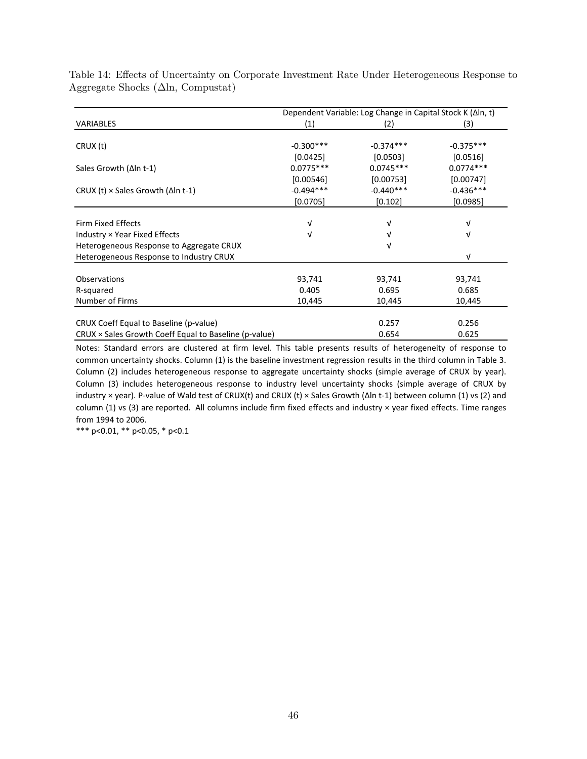|                                                       | Dependent Variable: Log Change in Capital Stock K (Δln, t) |             |             |  |  |
|-------------------------------------------------------|------------------------------------------------------------|-------------|-------------|--|--|
| <b>VARIABLES</b>                                      | (1)                                                        | (2)         | (3)         |  |  |
|                                                       |                                                            |             |             |  |  |
| CRUX (t)                                              | $-0.300***$                                                | $-0.374***$ | $-0.375***$ |  |  |
|                                                       | [0.0425]                                                   | [0.0503]    | [0.0516]    |  |  |
| Sales Growth $(\Delta \ln t - 1)$                     | $0.0775***$                                                | $0.0745***$ | $0.0774***$ |  |  |
|                                                       | [0.00546]                                                  | [0.00753]   | [0.00747]   |  |  |
| CRUX (t) $\times$ Sales Growth ( $\Delta$ In t-1)     | $-0.494***$                                                | $-0.440***$ | $-0.436***$ |  |  |
|                                                       | [0.0705]                                                   | [0.102]     | [0.0985]    |  |  |
|                                                       |                                                            |             |             |  |  |
| Firm Fixed Effects                                    | V                                                          | V           |             |  |  |
| Industry × Year Fixed Effects                         | V                                                          | ν           | v           |  |  |
| Heterogeneous Response to Aggregate CRUX              |                                                            | V           |             |  |  |
| Heterogeneous Response to Industry CRUX               |                                                            |             | V           |  |  |
|                                                       |                                                            |             |             |  |  |
| Observations                                          | 93,741                                                     | 93,741      | 93,741      |  |  |
| R-squared                                             | 0.405                                                      | 0.695       | 0.685       |  |  |
| Number of Firms                                       | 10,445                                                     | 10,445      | 10,445      |  |  |
|                                                       |                                                            |             |             |  |  |
| CRUX Coeff Equal to Baseline (p-value)                |                                                            | 0.257       | 0.256       |  |  |
| CRUX × Sales Growth Coeff Equal to Baseline (p-value) |                                                            | 0.654       | 0.625       |  |  |

<span id="page-47-0"></span>Table 14: Effects of Uncertainty on Corporate Investment Rate Under Heterogeneous Response to Aggregate Shocks  $(\Delta \ln, \text{Computat})$ 

Notes: Standard errors are clustered at firm level. This table presents results of heterogeneity of response to common uncertainty shocks. Column (1) is the baseline investment regression results in the third column in Table 3. Column (2) includes heterogeneous response to aggregate uncertainty shocks (simple average of CRUX by year). Column (3) includes heterogeneous response to industry level uncertainty shocks (simple average of CRUX by industry × year). P‐value of Wald test of CRUX(t) and CRUX (t) × Sales Growth (∆ln t‐1) between column (1) vs (2) and column (1) vs (3) are reported. All columns include firm fixed effects and industry × year fixed effects. Time ranges from 1994 to 2006.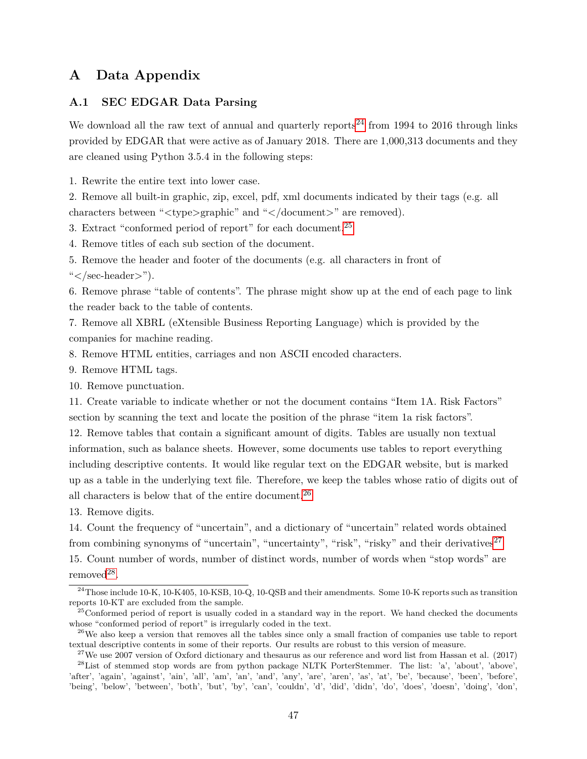# **A Data Appendix**

## **A.1 SEC EDGAR Data Parsing**

We download all the raw text of annual and quarterly reports<sup>[24](#page--1-0)</sup> from 1994 to 2016 through links provided by EDGAR that were active as of January 2018. There are 1,000,313 documents and they are cleaned using Python 3.5.4 in the following steps:

1. Rewrite the entire text into lower case.

2. Remove all built-in graphic, zip, excel, pdf, xml documents indicated by their tags (e.g. all characters between "*<*type*>*graphic" and "*<*/document*>*" are removed).

3. Extract "conformed period of report" for each document.[25](#page--1-0)

4. Remove titles of each sub section of the document.

5. Remove the header and footer of the documents (e.g. all characters in front of "*<*/sec-header*>*").

6. Remove phrase "table of contents". The phrase might show up at the end of each page to link the reader back to the table of contents.

7. Remove all XBRL (eXtensible Business Reporting Language) which is provided by the companies for machine reading.

8. Remove HTML entities, carriages and non ASCII encoded characters.

9. Remove HTML tags.

10. Remove punctuation.

11. Create variable to indicate whether or not the document contains "Item 1A. Risk Factors" section by scanning the text and locate the position of the phrase "item 1a risk factors".

12. Remove tables that contain a significant amount of digits. Tables are usually non textual information, such as balance sheets. However, some documents use tables to report everything including descriptive contents. It would like regular text on the EDGAR website, but is marked up as a table in the underlying text file. Therefore, we keep the tables whose ratio of digits out of all characters is below that of the entire document.[26](#page--1-0)

13. Remove digits.

14. Count the frequency of "uncertain", and a dictionary of "uncertain" related words obtained from combining synonyms of "uncertain", "uncertainty", "risk", "risky" and their derivatives<sup>[27](#page--1-0)</sup> 15. Count number of words, number of distinct words, number of words when "stop words" are  $removed<sup>28</sup>$  $removed<sup>28</sup>$  $removed<sup>28</sup>$ .

<sup>&</sup>lt;sup>24</sup>Those include 10-K, 10-K405, 10-KSB, 10-Q, 10-QSB and their amendments. Some 10-K reports such as transition reports 10-KT are excluded from the sample.

 $^{25}$ Conformed period of report is usually coded in a standard way in the report. We hand checked the documents whose "conformed period of report" is irregularly coded in the text.

 $^{26}$ We also keep a version that removes all the tables since only a small fraction of companies use table to report textual descriptive contents in some of their reports. Our results are robust to this version of measure.

<sup>&</sup>lt;sup>27</sup>We use 2007 version of Oxford dictionary and thesaurus as our reference and word list from Hassan et al. (2017) <sup>28</sup>List of stemmed stop words are from python package NLTK PorterStemmer. The list: 'a', 'about', 'above', 'after', 'again', 'against', 'ain', 'all', 'am', 'an', 'and', 'any', 'are', 'aren', 'as', 'at', 'be', 'because', 'been', 'before', 'being', 'below', 'between', 'both', 'but', 'by', 'can', 'couldn', 'd', 'did', 'didn', 'do', 'does', 'doesn', 'doing', 'don',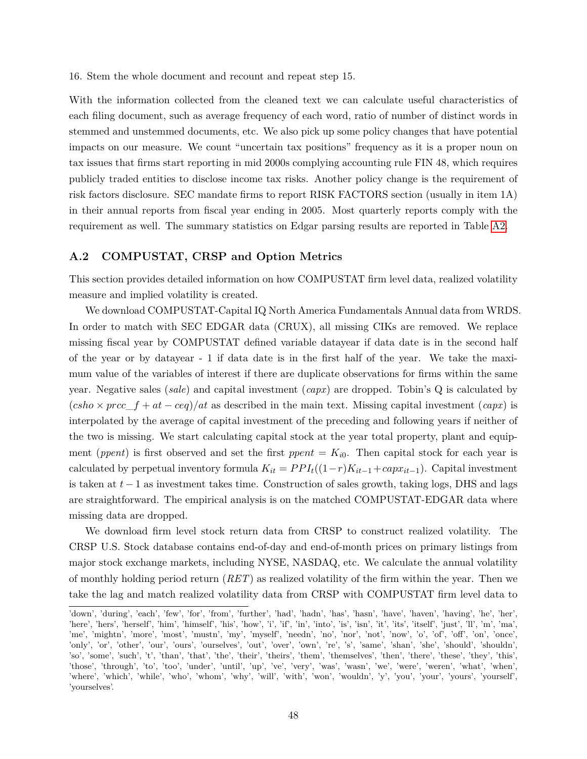16. Stem the whole document and recount and repeat step 15.

With the information collected from the cleaned text we can calculate useful characteristics of each filing document, such as average frequency of each word, ratio of number of distinct words in stemmed and unstemmed documents, etc. We also pick up some policy changes that have potential impacts on our measure. We count "uncertain tax positions" frequency as it is a proper noun on tax issues that firms start reporting in mid 2000s complying accounting rule FIN 48, which requires publicly traded entities to disclose income tax risks. Another policy change is the requirement of risk factors disclosure. SEC mandate firms to report RISK FACTORS section (usually in item 1A) in their annual reports from fiscal year ending in 2005. Most quarterly reports comply with the requirement as well. The summary statistics on Edgar parsing results are reported in Table [A2.](#page-52-0)

## **A.2 COMPUSTAT, CRSP and Option Metrics**

This section provides detailed information on how COMPUSTAT firm level data, realized volatility measure and implied volatility is created.

We download COMPUSTAT-Capital IQ North America Fundamentals Annual data from WRDS. In order to match with SEC EDGAR data (CRUX), all missing CIKs are removed. We replace missing fiscal year by COMPUSTAT defined variable datayear if data date is in the second half of the year or by datayear - 1 if data date is in the first half of the year. We take the maximum value of the variables of interest if there are duplicate observations for firms within the same year. Negative sales (*sale*) and capital investment (*capx*) are dropped. Tobin's Q is calculated by  $(csho \times proc_f + at - ceq)/at$  as described in the main text. Missing capital investment  $(capx)$  is interpolated by the average of capital investment of the preceding and following years if neither of the two is missing. We start calculating capital stock at the year total property, plant and equipment (*ppent*) is first observed and set the first  $ppent = K_{i0}$ . Then capital stock for each year is calculated by perpetual inventory formula  $K_{it} = PPI_t((1-r)K_{it-1}+capx_{it-1})$ . Capital investment is taken at  $t - 1$  as investment takes time. Construction of sales growth, taking logs, DHS and lags are straightforward. The empirical analysis is on the matched COMPUSTAT-EDGAR data where missing data are dropped.

We download firm level stock return data from CRSP to construct realized volatility. The CRSP U.S. Stock database contains end-of-day and end-of-month prices on primary listings from major stock exchange markets, including NYSE, NASDAQ, etc. We calculate the annual volatility of monthly holding period return (*RET*) as realized volatility of the firm within the year. Then we take the lag and match realized volatility data from CRSP with COMPUSTAT firm level data to

<sup>&#</sup>x27;down', 'during', 'each', 'few', 'for', 'from', 'further', 'had', 'hadn', 'has', 'hasn', 'have', 'haven', 'having', 'he', 'her', 'here', 'hers', 'herself', 'him', 'himself', 'his', 'how', 'i', 'if', 'in', 'into', 'is', 'isn', 'it', 'its', 'itself', 'just', 'll', 'm', 'ma', 'me', 'mightn', 'more', 'most', 'mustn', 'my', 'myself', 'needn', 'no', 'nor', 'not', 'now', 'o', 'of', 'off', 'on', 'once', 'only', 'or', 'other', 'our', 'ours', 'ourselves', 'out', 'over', 'own', 're', 's', 'same', 'shan', 'she', 'should', 'shouldn', 'so', 'some', 'such', 't', 'than', 'that', 'the', 'their', 'theirs', 'them', 'themselves', 'then', 'there', 'these', 'they', 'this', 'those', 'through', 'to', 'too', 'under', 'until', 'up', 've', 'very', 'was', 'wasn', 'we', 'were', 'weren', 'what', 'when', 'where', 'which', 'while', 'who', 'whom', 'why', 'will', 'with', 'won', 'wouldn', 'y', 'you', 'your', 'yours', 'yourself', 'yourselves'.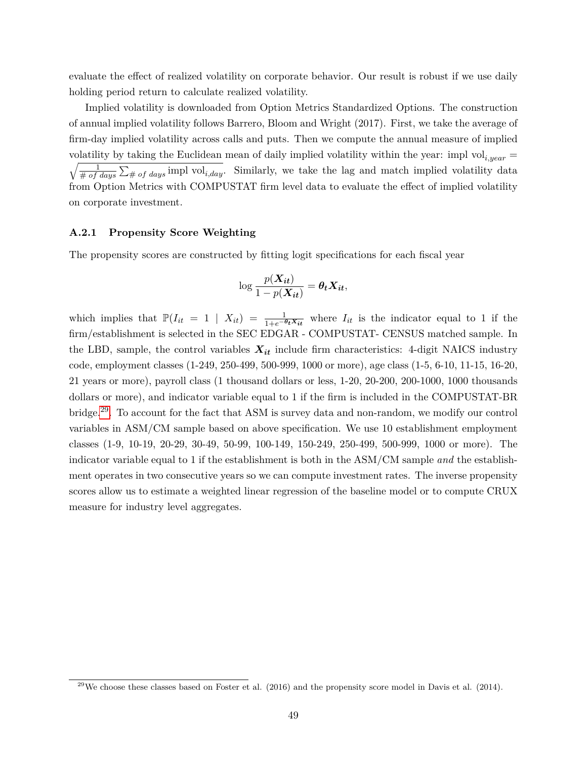evaluate the effect of realized volatility on corporate behavior. Our result is robust if we use daily holding period return to calculate realized volatility.

Implied volatility is downloaded from Option Metrics Standardized Options. The construction of annual implied volatility follows Barrero, Bloom and Wright (2017). First, we take the average of firm-day implied volatility across calls and puts. Then we compute the annual measure of implied volatility by taking the Euclidean mean of daily implied volatility within the year: impl vol<sub>i, year</sub> =  $\sqrt{\frac{1}{\# of \ days} \sum_{\# \ of \ days}$  impl vol<sub>*i,day*</sub>. Similarly, we take the lag and match implied volatility data from Option Metrics with COMPUSTAT firm level data to evaluate the effect of implied volatility on corporate investment.

#### **A.2.1 Propensity Score Weighting**

The propensity scores are constructed by fitting logit specifications for each fiscal year

$$
\log \frac{p(\boldsymbol{X_{it}})}{1-p(\boldsymbol{X_{it}})} = \boldsymbol{\theta_t X_{it}},
$$

which implies that  $\mathbb{P}(I_{it} = 1 | X_{it}) = \frac{1}{1 + e^{-\theta_t X_{it}}}$  where  $I_{it}$  is the indicator equal to 1 if the firm/establishment is selected in the SEC EDGAR - COMPUSTAT- CENSUS matched sample. In the LBD, sample, the control variables  $X_{it}$  include firm characteristics: 4-digit NAICS industry code, employment classes (1-249, 250-499, 500-999, 1000 or more), age class (1-5, 6-10, 11-15, 16-20, 21 years or more), payroll class (1 thousand dollars or less, 1-20, 20-200, 200-1000, 1000 thousands dollars or more), and indicator variable equal to 1 if the firm is included in the COMPUSTAT-BR bridge.[29](#page--1-0). To account for the fact that ASM is survey data and non-random, we modify our control variables in ASM/CM sample based on above specification. We use 10 establishment employment classes (1-9, 10-19, 20-29, 30-49, 50-99, 100-149, 150-249, 250-499, 500-999, 1000 or more). The indicator variable equal to 1 if the establishment is both in the ASM/CM sample *and* the establishment operates in two consecutive years so we can compute investment rates. The inverse propensity scores allow us to estimate a weighted linear regression of the baseline model or to compute CRUX measure for industry level aggregates.

 $^{29}$ We choose these classes based on Foster et al. (2016) and the propensity score model in Davis et al. (2014).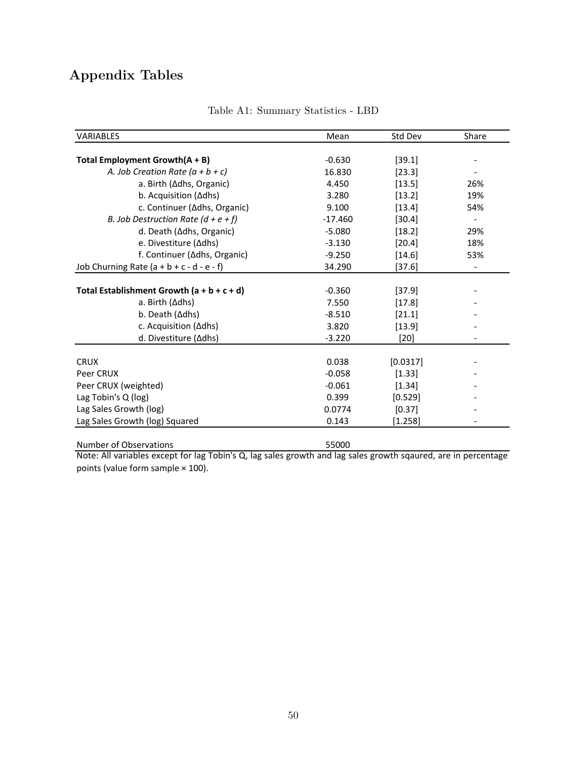# **Appendix Tables**

<span id="page-51-0"></span>

| <b>VARIABLES</b>                             | Mean      | Std Dev  | Share                    |
|----------------------------------------------|-----------|----------|--------------------------|
|                                              |           |          |                          |
| Total Employment Growth(A + B)               | $-0.630$  | [39.1]   |                          |
| A. Job Creation Rate $(a + b + c)$           | 16.830    | [23.3]   |                          |
| a. Birth (∆dhs, Organic)                     | 4.450     | [13.5]   | 26%                      |
| b. Acquisition (Adhs)                        | 3.280     | [13.2]   | 19%                      |
| c. Continuer (∆dhs, Organic)                 | 9.100     | [13.4]   | 54%                      |
| B. Job Destruction Rate ( $d + e + f$ )      | $-17.460$ | [30.4]   |                          |
| d. Death (∆dhs, Organic)                     | $-5.080$  | [18.2]   | 29%                      |
| e. Divestiture (∆dhs)                        | $-3.130$  | [20.4]   | 18%                      |
| f. Continuer (∆dhs, Organic)                 | $-9.250$  | [14.6]   | 53%                      |
| Job Churning Rate $(a + b + c - d - e - f)$  | 34.290    | $[37.6]$ | $\overline{\phantom{a}}$ |
|                                              |           |          |                          |
| Total Establishment Growth $(a + b + c + d)$ | $-0.360$  | [37.9]   |                          |
| a. Birth (∆dhs)                              | 7.550     | [17.8]   |                          |
| b. Death (∆dhs)                              | $-8.510$  | [21.1]   |                          |
| c. Acquisition (∆dhs)                        | 3.820     | $[13.9]$ |                          |
| d. Divestiture (∆dhs)                        | $-3.220$  | $[20]$   |                          |
|                                              |           |          |                          |
| <b>CRUX</b>                                  | 0.038     | [0.0317] |                          |
| Peer CRUX                                    | $-0.058$  | [1.33]   |                          |
| Peer CRUX (weighted)                         | $-0.061$  | [1.34]   |                          |
| Lag Tobin's Q (log)                          | 0.399     | [0.529]  |                          |
| Lag Sales Growth (log)                       | 0.0774    | [0.37]   |                          |
| Lag Sales Growth (log) Squared               | 0.143     | [1.258]  |                          |

Table A1: Summary Statistics - LBD

Number of Observations and the Summer of S5000 Note: All variables except for lag Tobin's Q, lag sales growth and lag sales growth sqaured, are in percentage points (value form sample × 100).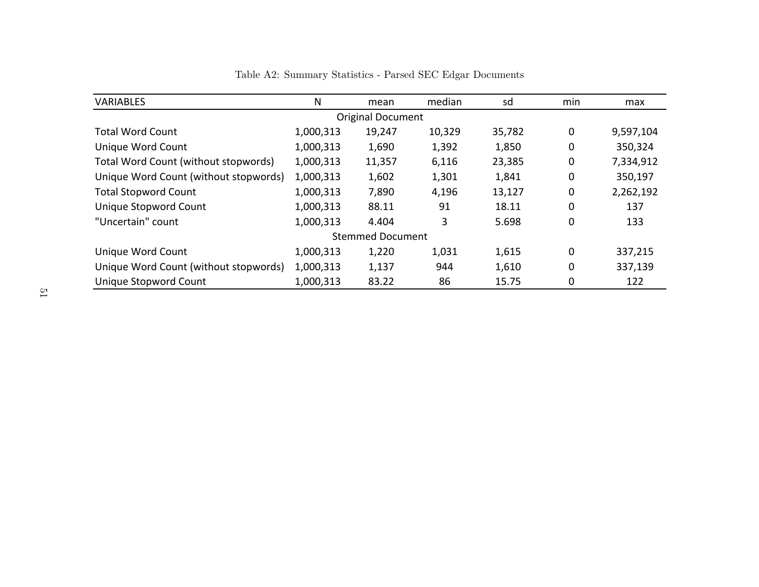<span id="page-52-0"></span>

| <b>VARIABLES</b>                      | N         | mean                    | median | sd     | min | max       |  |  |  |  |
|---------------------------------------|-----------|-------------------------|--------|--------|-----|-----------|--|--|--|--|
| <b>Original Document</b>              |           |                         |        |        |     |           |  |  |  |  |
| <b>Total Word Count</b>               | 1,000,313 | 19,247                  | 10,329 | 35,782 | 0   | 9,597,104 |  |  |  |  |
| Unique Word Count                     | 1,000,313 | 1,690                   | 1,392  | 1,850  | 0   | 350,324   |  |  |  |  |
| Total Word Count (without stopwords)  | 1,000,313 | 11,357                  | 6,116  | 23,385 | 0   | 7,334,912 |  |  |  |  |
| Unique Word Count (without stopwords) | 1,000,313 | 1,602                   | 1,301  | 1,841  | 0   | 350,197   |  |  |  |  |
| <b>Total Stopword Count</b>           | 1,000,313 | 7,890                   | 4,196  | 13,127 | 0   | 2,262,192 |  |  |  |  |
| Unique Stopword Count                 | 1,000,313 | 88.11                   | 91     | 18.11  | 0   | 137       |  |  |  |  |
| "Uncertain" count                     | 1,000,313 | 4.404                   | 3      | 5.698  | 0   | 133       |  |  |  |  |
|                                       |           | <b>Stemmed Document</b> |        |        |     |           |  |  |  |  |
| Unique Word Count                     | 1,000,313 | 1,220                   | 1,031  | 1,615  | 0   | 337,215   |  |  |  |  |
| Unique Word Count (without stopwords) | 1,000,313 | 1,137                   | 944    | 1,610  | 0   | 337,139   |  |  |  |  |
| Unique Stopword Count                 | 1,000,313 | 83.22                   | 86     | 15.75  | 0   | 122       |  |  |  |  |

Table A2: Summary Statistics - Parsed SEC Edgar Documents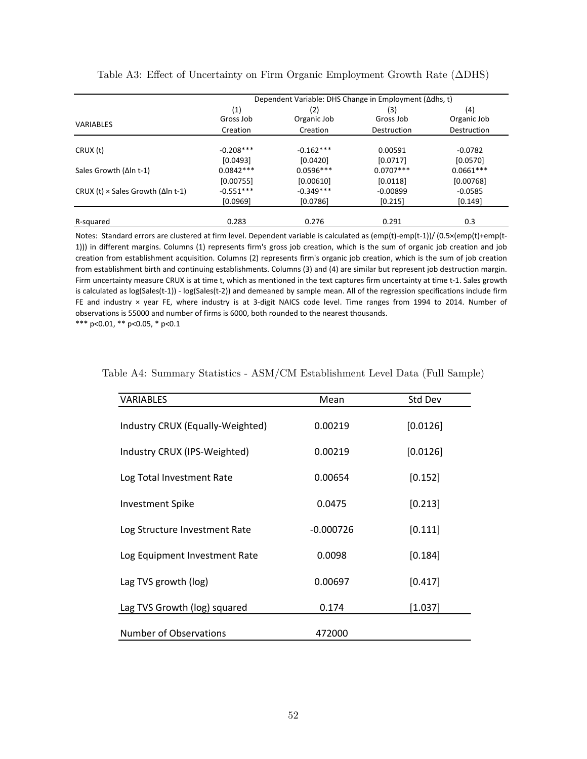|                                                   | Dependent Variable: DHS Change in Employment (∆dhs, t) |                    |                  |                    |  |  |  |  |
|---------------------------------------------------|--------------------------------------------------------|--------------------|------------------|--------------------|--|--|--|--|
|                                                   | (1)<br>Gross Job                                       | (2)<br>Organic Job | (3)<br>Gross Job | (4)<br>Organic Job |  |  |  |  |
| VARIABLES                                         | Creation                                               | Creation           | Destruction      | Destruction        |  |  |  |  |
| CRUX (t)                                          | $-0.208***$                                            | $-0.162***$        | 0.00591          | $-0.0782$          |  |  |  |  |
|                                                   | [0.0493]                                               | [0.0420]           | [0.0717]         | [0.0570]           |  |  |  |  |
| Sales Growth $(\Delta \ln t - 1)$                 | $0.0842***$                                            | $0.0596***$        | $0.0707***$      | $0.0661***$        |  |  |  |  |
|                                                   | [0.00755]                                              | [0.00610]          | [0.0118]         | [0.00768]          |  |  |  |  |
| CRUX (t) $\times$ Sales Growth ( $\Delta$ In t-1) | $-0.551***$                                            | $-0.349***$        | $-0.00899$       | $-0.0585$          |  |  |  |  |
|                                                   | [0.0969]                                               | [0.0786]           | [0.215]          | [0.149]            |  |  |  |  |
| R-squared                                         | 0.283                                                  | 0.276              | 0.291            | 0.3                |  |  |  |  |

<span id="page-53-0"></span>Table A3: Effect of Uncertainty on Firm Organic Employment Growth Rate (ΔDHS)

Notes: Standard errors are clustered at firm level. Dependent variable is calculated as (emp(t)-emp(t-1))/ (0.5×(emp(t)+emp(t-1))) in different margins. Columns (1) represents firm's gross job creation, which is the sum of organic job creation and job creation from establishment acquisition. Columns (2) represents firm's organic job creation, which is the sum of job creation from establishment birth and continuing establishments. Columns (3) and (4) are similar but represent job destruction margin. Firm uncertainty measure CRUX is at time t, which as mentioned in the text captures firm uncertainty at time t‐1. Sales growth is calculated as log(Sales(t‐1)) ‐ log(Sales(t‐2)) and demeaned by sample mean. All of the regression specifications include firm FE and industry × year FE, where industry is at 3-digit NAICS code level. Time ranges from 1994 to 2014. Number of observations is 55000 and number of firms is 6000, both rounded to the nearest thousands.

\*\*\* p<0.01, \*\* p<0.05, \* p<0.1

| VARIABLES                        | Mean        | Std Dev  |
|----------------------------------|-------------|----------|
| Industry CRUX (Equally-Weighted) | 0.00219     | [0.0126] |
| Industry CRUX (IPS-Weighted)     | 0.00219     | [0.0126] |
| Log Total Investment Rate        | 0.00654     | [0.152]  |
| <b>Investment Spike</b>          | 0.0475      | [0.213]  |
| Log Structure Investment Rate    | $-0.000726$ | [0.111]  |
| Log Equipment Investment Rate    | 0.0098      | [0.184]  |
| Lag TVS growth (log)             | 0.00697     | [0.417]  |
| Lag TVS Growth (log) squared     | 0.174       | [1.037]  |
| <b>Number of Observations</b>    | 472000      |          |

<span id="page-53-1"></span>Table A4: Summary Statistics - ASM/CM Establishment Level Data (Full Sample)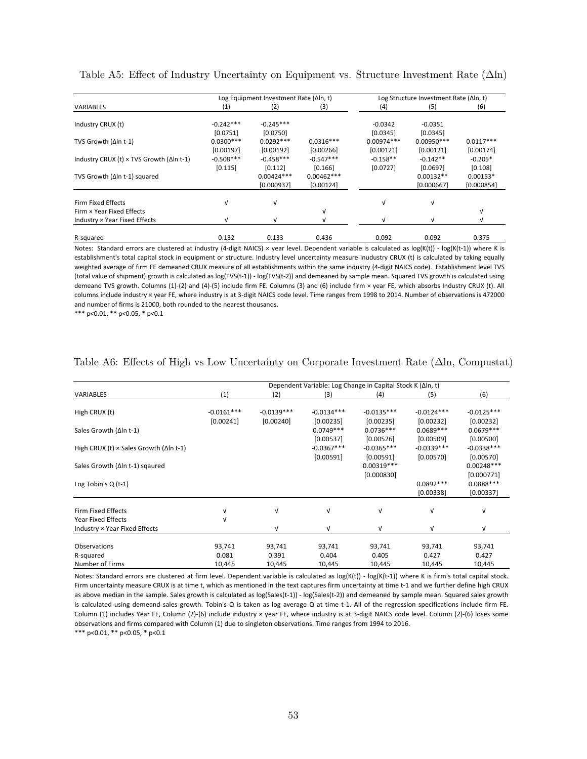|                                                          |             | Log Equipment Investment Rate (∆In, t) |              | Log Structure Investment Rate (Aln, t) |              |             |
|----------------------------------------------------------|-------------|----------------------------------------|--------------|----------------------------------------|--------------|-------------|
| <b>VARIABLES</b>                                         | (1)         | (2)                                    | (3)          | (4)                                    | (5)          | (6)         |
| Industry CRUX (t)                                        | $-0.242***$ | $-0.245***$                            |              | $-0.0342$                              | $-0.0351$    |             |
|                                                          | [0.0751]    | [0.0750]                               |              | [0.0345]                               | [0.0345]     |             |
| TVS Growth (Δln t-1)                                     | $0.0300***$ | $0.0292***$                            | $0.0316***$  | $0.00974***$                           | $0.00950***$ | $0.0117***$ |
|                                                          | [0.00197]   | [0.00192]                              | [0.00266]    | [0.00121]                              | [0.00121]    | [0.00174]   |
| Industry CRUX (t) $\times$ TVS Growth ( $\Delta$ In t-1) | $-0.508***$ | $-0.458***$                            | $-0.547***$  | $-0.158**$                             | $-0.142**$   | $-0.205*$   |
|                                                          | [0.115]     | [0.112]                                | [0.166]      | [0.0727]                               | [0.0697]     | [0.108]     |
| TVS Growth (Δln t-1) squared                             |             | $0.00424***$                           | $0.00462***$ |                                        | $0.00132**$  | $0.00153*$  |
|                                                          |             | [0.000937]                             | [0.00124]    |                                        | [0.000667]   | [0.000854]  |
| <b>Firm Fixed Effects</b>                                | V           | $\sqrt{ }$                             |              | V                                      | $\sqrt{ }$   |             |
| Firm × Year Fixed Effects                                |             |                                        | $\sqrt{ }$   |                                        |              | V           |
| Industry × Year Fixed Effects                            | V           | M                                      |              |                                        |              |             |
| R-squared                                                | 0.132       | 0.133                                  | 0.436        | 0.092                                  | 0.092        | 0.375       |

<span id="page-54-0"></span>Table A5: Effect of Industry Uncertainty on Equipment vs. Structure Investment Rate (Δln)

Notes: Standard errors are clustered at industry (4-digit NAICS) × year level. Dependent variable is calculated as log(K(t)) - log(K(t-1)) where K is establishment's total capital stock in equipment or structure. Industry level uncertainty measure Inudustry CRUX (t) is calculated by taking equally weighted average of firm FE demeaned CRUX measure of all establishments within the same industry (4‐digit NAICS code). Establishment level TVS (total value of shipment) growth is calculated as log(TVS(t‐1)) ‐ log(TVS(t‐2)) and demeaned by sample mean. Squared TVS growth is calculated using demeand TVS growth. Columns (1)‐(2) and (4)‐(5) include firm FE. Columns (3) and (6) include firm × year FE, which absorbs Industry CRUX (t). All columns include industry × year FE, where industry is at 3‐digit NAICS code level. Time ranges from 1998 to 2014. Number of observations is 472000 and number of firms is 21000, both rounded to the nearest thousands.

\*\*\* p<0.01, \*\* p<0.05, \* p<0.1

|                                                        |              |              |              | Dependent Variable: Log Change in Capital Stock K (Δln, t) |              |              |
|--------------------------------------------------------|--------------|--------------|--------------|------------------------------------------------------------|--------------|--------------|
| <b>VARIABLES</b>                                       | (1)          | (2)          | (3)          | (4)                                                        | (5)          | (6)          |
|                                                        |              |              |              |                                                            |              |              |
| High CRUX (t)                                          | $-0.0161***$ | $-0.0139***$ | $-0.0134***$ | $-0.0135***$                                               | $-0.0124***$ | $-0.0125***$ |
|                                                        | [0.00241]    | [0.00240]    | [0.00235]    | [0.00235]                                                  | [0.00232]    | [0.00232]    |
| Sales Growth (Δln t-1)                                 |              |              | $0.0749***$  | $0.0736***$                                                | $0.0689***$  | $0.0679***$  |
|                                                        |              |              | [0.00537]    | [0.00526]                                                  | [0.00509]    | [0.00500]    |
| High CRUX (t) $\times$ Sales Growth ( $\Delta$ In t-1) |              |              | $-0.0367***$ | $-0.0365***$                                               | $-0.0339***$ | $-0.0338***$ |
|                                                        |              |              | [0.00591]    | [0.00591]                                                  | [0.00570]    | [0.00570]    |
| Sales Growth (∆In t-1) sqaured                         |              |              |              | $0.00319***$                                               |              | $0.00248***$ |
|                                                        |              |              |              | [0.000830]                                                 |              | [0.000771]   |
| Log Tobin's $Q(t-1)$                                   |              |              |              |                                                            | $0.0892***$  | $0.0888***$  |
|                                                        |              |              |              |                                                            | [0.00338]    | [0.00337]    |
|                                                        |              |              |              |                                                            |              |              |
| <b>Firm Fixed Effects</b>                              | ν            | v            | v            | $\sqrt{ }$                                                 | $\sqrt{ }$   | $\sqrt{ }$   |
| <b>Year Fixed Effects</b>                              | V            |              |              |                                                            |              |              |
| Industry × Year Fixed Effects                          |              | $\sqrt{ }$   | v            | $\sqrt{ }$                                                 | $\sqrt{ }$   | $\sqrt{ }$   |
| Observations                                           |              |              |              |                                                            |              |              |
|                                                        | 93,741       | 93,741       | 93,741       | 93,741                                                     | 93,741       | 93,741       |
| R-squared                                              | 0.081        | 0.391        | 0.404        | 0.405                                                      | 0.427        | 0.427        |
| Number of Firms                                        | 10,445       | 10,445       | 10,445       | 10,445                                                     | 10,445       | 10,445       |

#### <span id="page-54-1"></span>Table A6: Effects of High vs Low Uncertainty on Corporate Investment Rate  $(\Delta \ln, \text{Computat})$

\*\*\* p<0.01, \*\* p<0.05, \* p<0.1 Notes: Standard errors are clustered at firm level. Dependent variable is calculated as log(K(t)) - log(K(t-1)) where K is firm's total capital stock. Firm uncertainty measure CRUX is at time t, which as mentioned in the text captures firm uncertainty at time t‐1 and we further define high CRUX as above median in the sample. Sales growth is calculated as log(Sales(t-1)) - log(Sales(t-2)) and demeaned by sample mean. Squared sales growth is calculated using demeand sales growth. Tobin's Q is taken as log average Q at time t‐1. All of the regression specifications include firm FE. Column (1) includes Year FE, Column (2)‐(6) include industry × year FE, where industry is at 3‐digit NAICS code level. Column (2)‐(6) loses some observations and firms compared with Column (1) due to singleton observations. Time ranges from 1994 to 2016.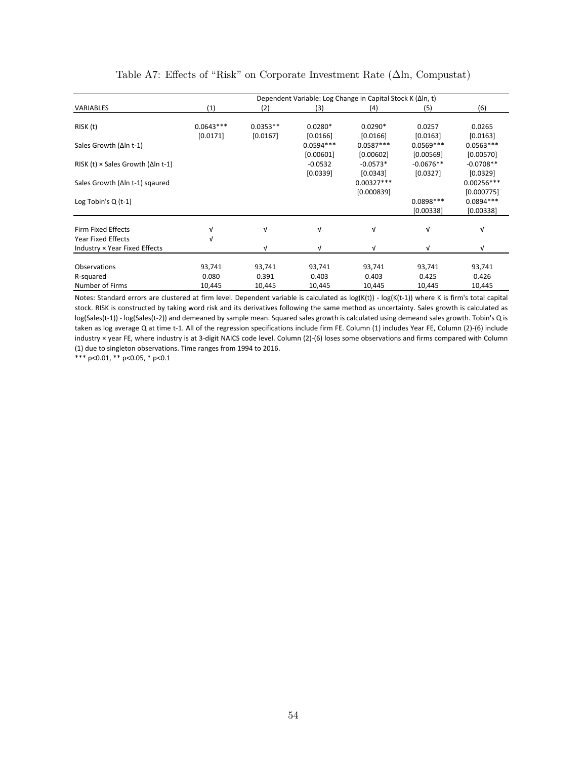<span id="page-55-0"></span>

|                                                   | Dependent Variable: Log Change in Capital Stock K (Δln, t) |            |             |              |             |              |  |
|---------------------------------------------------|------------------------------------------------------------|------------|-------------|--------------|-------------|--------------|--|
| <b>VARIABLES</b>                                  | (1)                                                        | (2)        | (3)         | (4)          | (5)         | (6)          |  |
|                                                   |                                                            |            |             |              |             |              |  |
| RISK (t)                                          | $0.0643***$                                                | $0.0353**$ | $0.0280*$   | $0.0290*$    | 0.0257      | 0.0265       |  |
|                                                   | [0.0171]                                                   | [0.0167]   | [0.0166]    | [0.0166]     | [0.0163]    | [0.0163]     |  |
| Sales Growth (Δln t-1)                            |                                                            |            | $0.0594***$ | $0.0587***$  | $0.0569***$ | $0.0563***$  |  |
|                                                   |                                                            |            | [0.00601]   | [0.00602]    | [0.00569]   | [0.00570]    |  |
| RISK (t) $\times$ Sales Growth ( $\Delta$ In t-1) |                                                            |            | $-0.0532$   | $-0.0573*$   | $-0.0676**$ | $-0.0708**$  |  |
|                                                   |                                                            |            | [0.0339]    | [0.0343]     | [0.0327]    | [0.0329]     |  |
| Sales Growth (∆In t-1) sqaured                    |                                                            |            |             | $0.00327***$ |             | $0.00256***$ |  |
|                                                   |                                                            |            |             | [0.000839]   |             | [0.000775]   |  |
| Log Tobin's $Q(t-1)$                              |                                                            |            |             |              | $0.0898***$ | $0.0894***$  |  |
|                                                   |                                                            |            |             |              | [0.00338]   | [0.00338]    |  |
| <b>Firm Fixed Effects</b>                         |                                                            | $\sqrt{ }$ | V           | $\sqrt{ }$   | $\sqrt{ }$  | V            |  |
| Year Fixed Effects                                | V                                                          |            |             |              |             |              |  |
|                                                   |                                                            | $\sqrt{ }$ |             | $\sqrt{ }$   | $\sqrt{ }$  | V            |  |
| Industry × Year Fixed Effects                     |                                                            |            | V           |              |             |              |  |
| Observations                                      | 93,741                                                     | 93,741     | 93,741      | 93,741       | 93,741      | 93,741       |  |
| R-squared                                         | 0.080                                                      | 0.391      | 0.403       | 0.403        | 0.425       | 0.426        |  |
| Number of Firms                                   | 10,445                                                     | 10,445     | 10,445      | 10,445       | 10,445      | 10,445       |  |

## Table A7: Effects of "Risk" on Corporate Investment Rate (Δln, Compustat)

Notes: Standard errors are clustered at firm level. Dependent variable is calculated as log(K(t)) ‐ log(K(t‐1)) where K is firm's total capital stock. RISK is constructed by taking word risk and its derivatives following the same method as uncertainty. Sales growth is calculated as log(Sales(t-1)) - log(Sales(t-2)) and demeaned by sample mean. Squared sales growth is calculated using demeand sales growth. Tobin's Q is taken as log average Q at time t-1. All of the regression specifications include firm FE. Column (1) includes Year FE, Column (2)-(6) include industry × year FE, where industry is at 3‐digit NAICS code level. Column (2)‐(6) loses some observations and firms compared with Column (1) due to singleton observations. Time ranges from 1994 to 2016.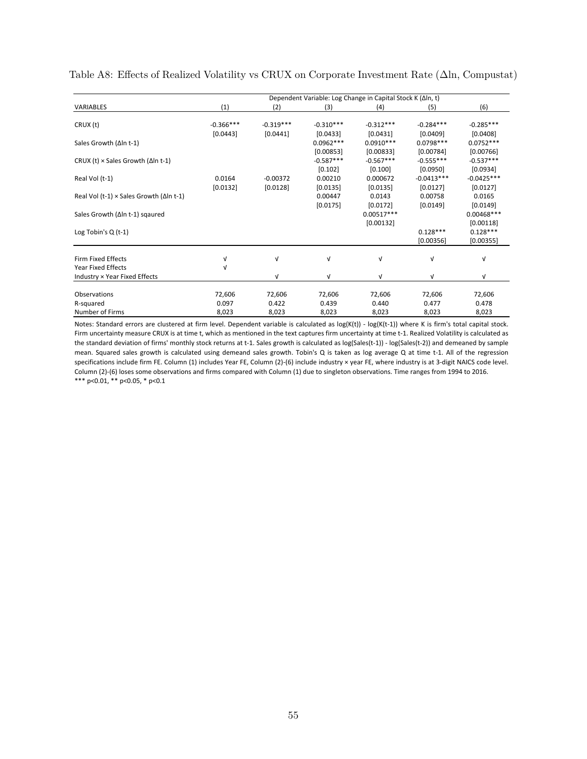<span id="page-56-0"></span>Table A8: Effects of Realized Volatility vs CRUX on Corporate Investment Rate (Δln, Compustat)

|                                                         |             |             |             | Dependent Variable: Log Change in Capital Stock K (Δln, t) |              |              |
|---------------------------------------------------------|-------------|-------------|-------------|------------------------------------------------------------|--------------|--------------|
| <b>VARIABLES</b>                                        | (1)         | (2)         | (3)         | (4)                                                        | (5)          | (6)          |
|                                                         |             |             |             |                                                            |              |              |
| CRUX (t)                                                | $-0.366***$ | $-0.319***$ | $-0.310***$ | $-0.312***$                                                | $-0.284***$  | $-0.285***$  |
|                                                         | [0.0443]    | [0.0441]    | [0.0433]    | [0.0431]                                                   | [0.0409]     | [0.0408]     |
| Sales Growth (Δln t-1)                                  |             |             | $0.0962***$ | $0.0910***$                                                | $0.0798***$  | $0.0752***$  |
|                                                         |             |             | [0.00853]   | [0.00833]                                                  | [0.00784]    | [0.00766]    |
| CRUX (t) $\times$ Sales Growth ( $\Delta$ In t-1)       |             |             | $-0.587***$ | $-0.567***$                                                | $-0.555***$  | $-0.537***$  |
|                                                         |             |             | [0.102]     | [0.100]                                                    | [0.0950]     | [0.0934]     |
| Real Vol (t-1)                                          | 0.0164      | $-0.00372$  | 0.00210     | 0.000672                                                   | $-0.0413***$ | $-0.0425***$ |
|                                                         | [0.0132]    | [0.0128]    | [0.0135]    | [0.0135]                                                   | [0.0127]     | [0.0127]     |
| Real Vol (t-1) $\times$ Sales Growth ( $\Delta$ In t-1) |             |             | 0.00447     | 0.0143                                                     | 0.00758      | 0.0165       |
|                                                         |             |             | [0.0175]    | [0.0172]                                                   | [0.0149]     | [0.0149]     |
| Sales Growth (∆In t-1) sqaured                          |             |             |             | $0.00517***$                                               |              | $0.00468***$ |
|                                                         |             |             |             | [0.00132]                                                  |              | [0.00118]    |
| Log Tobin's $Q(t-1)$                                    |             |             |             |                                                            | $0.128***$   | $0.128***$   |
|                                                         |             |             |             |                                                            | [0.00356]    | [0.00355]    |
|                                                         |             |             |             |                                                            |              |              |
| Firm Fixed Effects                                      | V           | ν           | $\sqrt{ }$  | $\sqrt{ }$                                                 | V            | V            |
| Year Fixed Effects                                      | ν           |             |             |                                                            |              |              |
| Industry × Year Fixed Effects                           |             | v           | V           | $\sqrt{ }$                                                 | V            | V            |
|                                                         |             |             |             |                                                            |              |              |
| Observations                                            | 72,606      | 72,606      | 72,606      | 72,606                                                     | 72,606       | 72,606       |
| R-squared                                               | 0.097       | 0.422       | 0.439       | 0.440                                                      | 0.477        | 0.478        |
| Number of Firms                                         | 8,023       | 8,023       | 8,023       | 8,023                                                      | 8,023        | 8,023        |

\*\*\* p<0.01, \*\* p<0.05, \* p<0.1 Notes: Standard errors are clustered at firm level. Dependent variable is calculated as log(K(t)) - log(K(t-1)) where K is firm's total capital stock. Firm uncertainty measure CRUX is at time t, which as mentioned in the text captures firm uncertainty at time t-1. Realized Volatility is calculated as the standard deviation of firms' monthly stock returns at t-1. Sales growth is calculated as log(Sales(t-1)) - log(Sales(t-2)) and demeaned by sample mean. Squared sales growth is calculated using demeand sales growth. Tobin's Q is taken as log average Q at time t‐1. All of the regression specifications include firm FE. Column (1) includes Year FE, Column (2)-(6) include industry × year FE, where industry is at 3-digit NAICS code level. Column (2)‐(6) loses some observations and firms compared with Column (1) due to singleton observations. Time ranges from 1994 to 2016.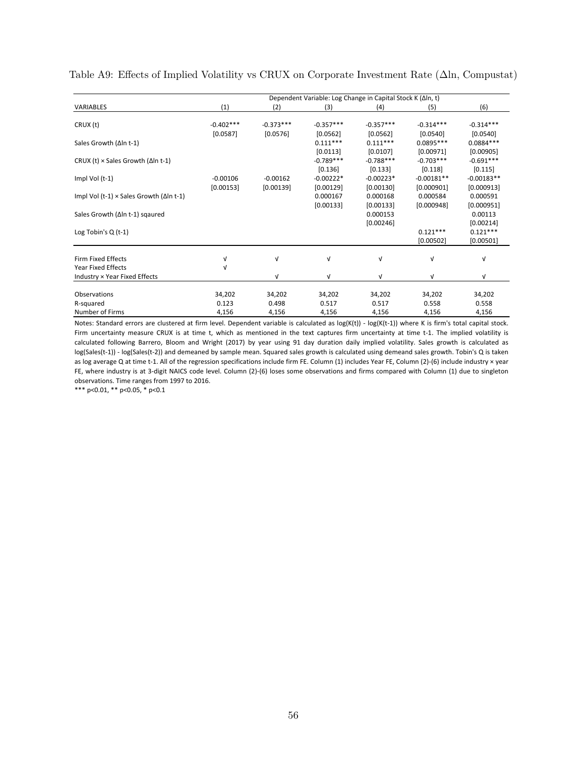<span id="page-57-0"></span>Table A9: Effects of Implied Volatility vs CRUX on Corporate Investment Rate (Δln, Compustat)

|                                                         | Dependent Variable: Log Change in Capital Stock K (Δln, t) |             |             |             |              |              |  |  |
|---------------------------------------------------------|------------------------------------------------------------|-------------|-------------|-------------|--------------|--------------|--|--|
| <b>VARIABLES</b>                                        | (1)                                                        | (2)         | (3)         | (4)         | (5)          | (6)          |  |  |
|                                                         |                                                            |             |             |             |              |              |  |  |
| CRUX (t)                                                | $-0.402***$                                                | $-0.373***$ | $-0.357***$ | $-0.357***$ | $-0.314***$  | $-0.314***$  |  |  |
|                                                         | [0.0587]                                                   | [0.0576]    | [0.0562]    | [0.0562]    | [0.0540]     | [0.0540]     |  |  |
| Sales Growth (Δln t-1)                                  |                                                            |             | $0.111***$  | $0.111***$  | 0.0895 ***   | 0.0884 ***   |  |  |
|                                                         |                                                            |             | [0.0113]    | [0.0107]    | [0.00971]    | [0.00905]    |  |  |
| CRUX (t) $\times$ Sales Growth ( $\Delta$ In t-1)       |                                                            |             | $-0.789***$ | $-0.788***$ | $-0.703***$  | $-0.691***$  |  |  |
|                                                         |                                                            |             | [0.136]     | [0.133]     | $[0.118]$    | [0.115]      |  |  |
| Impl Vol (t-1)                                          | $-0.00106$                                                 | $-0.00162$  | $-0.00222*$ | $-0.00223*$ | $-0.00181**$ | $-0.00183**$ |  |  |
|                                                         | [0.00153]                                                  | [0.00139]   | [0.00129]   | [0.00130]   | [0.000901]   | [0.000913]   |  |  |
| Impl Vol (t-1) $\times$ Sales Growth ( $\Delta$ In t-1) |                                                            |             | 0.000167    | 0.000168    | 0.000584     | 0.000591     |  |  |
|                                                         |                                                            |             | [0.00133]   | [0.00133]   | [0.000948]   | [0.000951]   |  |  |
| Sales Growth (∆In t-1) sqaured                          |                                                            |             |             | 0.000153    |              | 0.00113      |  |  |
|                                                         |                                                            |             |             | [0.00246]   |              | [0.00214]    |  |  |
| Log Tobin's $Q(t-1)$                                    |                                                            |             |             |             | $0.121***$   | $0.121***$   |  |  |
|                                                         |                                                            |             |             |             | [0.00502]    | [0.00501]    |  |  |
|                                                         |                                                            |             |             |             |              |              |  |  |
| <b>Firm Fixed Effects</b>                               | V                                                          | ν           | $\sqrt{ }$  | $\sqrt{ }$  | V            | ν            |  |  |
| Year Fixed Effects                                      | ν                                                          |             |             |             |              |              |  |  |
| Industry × Year Fixed Effects                           |                                                            | v           | $\sqrt{ }$  | V           | V            | V            |  |  |
|                                                         |                                                            |             |             |             |              |              |  |  |
| Observations                                            | 34,202                                                     | 34,202      | 34,202      | 34,202      | 34,202       | 34,202       |  |  |
| R-squared                                               | 0.123                                                      | 0.498       | 0.517       | 0.517       | 0.558        | 0.558        |  |  |
| Number of Firms                                         | 4,156                                                      | 4,156       | 4,156       | 4,156       | 4,156        | 4,156        |  |  |

Notes: Standard errors are clustered at firm level. Dependent variable is calculated as log(K(t)) - log(K(t-1)) where K is firm's total capital stock. Firm uncertainty measure CRUX is at time t, which as mentioned in the text captures firm uncertainty at time t-1. The implied volatility is calculated following Barrero, Bloom and Wright (2017) by year using 91 day duration daily implied volatility. Sales growth is calculated as log(Sales(t‐1)) ‐ log(Sales(t‐2)) and demeaned by sample mean. Squared sales growth is calculated using demeand sales growth. Tobin's Q is taken as log average Q at time t-1. All of the regression specifications include firm FE. Column (1) includes Year FE, Column (2)-(6) include industry × year FE, where industry is at 3‐digit NAICS code level. Column (2)‐(6) loses some observations and firms compared with Column (1) due to singleton observations. Time ranges from 1997 to 2016.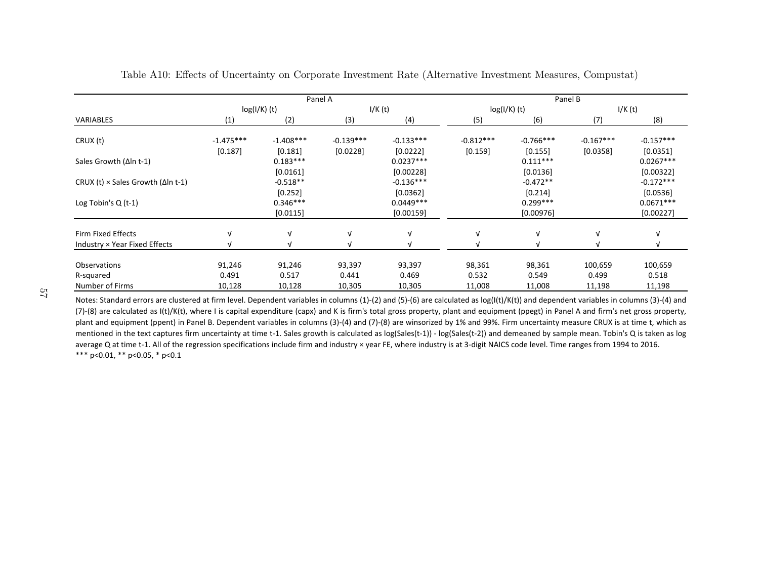|                                                   |                        | Panel A                |                         |                          |                          | Panel B                 |                         |                          |  |  |
|---------------------------------------------------|------------------------|------------------------|-------------------------|--------------------------|--------------------------|-------------------------|-------------------------|--------------------------|--|--|
|                                                   | $log(I/K)$ (t)         |                        |                         | I/K(t)                   |                          | $log(I/K)$ (t)          |                         | I/K(t)                   |  |  |
| VARIABLES                                         | (1)                    | (2)                    | (3)                     | (4)                      | (5)                      | (6)                     | (7)                     | (8)                      |  |  |
| CRUX (t)                                          | $-1.475***$<br>[0.187] | $-1.408***$<br>[0.181] | $-0.139***$<br>[0.0228] | $-0.133***$<br>[0.0222]  | $-0.812***$<br>$[0.159]$ | $-0.766***$<br>[0.155]  | $-0.167***$<br>[0.0358] | $-0.157***$<br>[0.0351]  |  |  |
| Sales Growth $(\Delta \ln t - 1)$                 |                        | $0.183***$<br>[0.0161] |                         | $0.0237***$<br>[0.00228] |                          | $0.111***$<br>[0.0136]  |                         | $0.0267***$<br>[0.00322] |  |  |
| CRUX (t) $\times$ Sales Growth ( $\Delta$ In t-1) |                        | $-0.518**$<br>[0.252]  |                         | $-0.136***$<br>[0.0362]  |                          | $-0.472**$<br>[0.214]   |                         | $-0.172***$<br>[0.0536]  |  |  |
| Log Tobin's $Q(t-1)$                              |                        | $0.346***$<br>[0.0115] |                         | $0.0449***$<br>[0.00159] |                          | $0.299***$<br>[0.00976] |                         | $0.0671***$<br>[0.00227] |  |  |
| Firm Fixed Effects                                |                        | V                      | V                       | ν                        | $\sqrt{ }$               | V                       |                         | V                        |  |  |
| Industry × Year Fixed Effects                     |                        | $\sqrt{ }$             | N                       |                          |                          |                         |                         |                          |  |  |
| Observations                                      | 91,246                 | 91,246                 | 93,397                  | 93,397                   | 98,361                   | 98,361                  | 100,659                 | 100,659                  |  |  |
| R-squared<br>Number of Firms                      | 0.491<br>10,128        | 0.517<br>10,128        | 0.441<br>10,305         | 0.469<br>10,305          | 0.532<br>11,008          | 0.549<br>11,008         | 0.499<br>11,198         | 0.518<br>11,198          |  |  |

Table A10: Effects of Uncertainty on Corporate Investment Rate (Alternative Investment Measures, Compustat)

<span id="page-58-0"></span>\*\*\* p<0.01, \*\* p<0.05, \* p<0.1 Notes: Standard errors are clustered at firm level. Dependent variables in columns (1)‐(2) and (5)‐(6) are calculated as log(I(t)/K(t)) and dependent variables in columns (3)‐(4) and (7)-(8) are calculated as I(t)/K(t), where I is capital expenditure (capx) and K is firm's total gross property, plant and equipment (ppegt) in Panel A and firm's net gross property, plant and equipment (ppent) in Panel B. Dependent variables in columns (3)‐(4) and (7)‐(8) are winsorized by 1% and 99%. Firm uncertainty measure CRUX is at time t, which as mentioned in the text captures firm uncertainty at time t-1. Sales growth is calculated as log(Sales(t-1)) - log(Sales(t-2)) and demeaned by sample mean. Tobin's Q is taken as log average Q at time t-1. All of the regression specifications include firm and industry × year FE, where industry is at 3-digit NAICS code level. Time ranges from 1994 to 2016.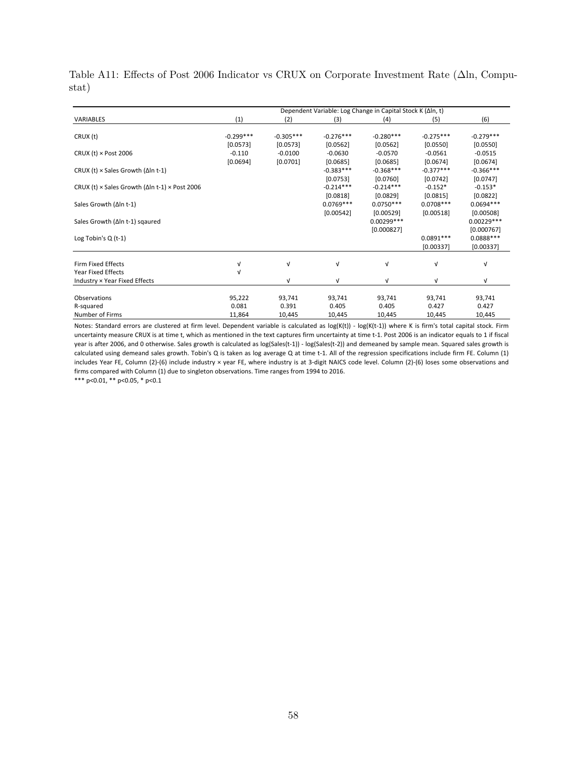<span id="page-59-0"></span>Table A11: Effects of Post 2006 Indicator vs CRUX on Corporate Investment Rate (Δln, Compustat)

|                                                                      |             |             |             | Dependent Variable: Log Change in Capital Stock K (Δln, t) |             |              |
|----------------------------------------------------------------------|-------------|-------------|-------------|------------------------------------------------------------|-------------|--------------|
| <b>VARIABLES</b>                                                     | (1)         | (2)         | (3)         | (4)                                                        | (5)         | (6)          |
| CRUX (t)                                                             | $-0.299***$ | $-0.305***$ | $-0.276***$ | $-0.280***$                                                | $-0.275***$ | $-0.279***$  |
|                                                                      | [0.0573]    | [0.0573]    | [0.0562]    | [0.0562]                                                   | [0.0550]    | [0.0550]     |
| CRUX (t) $\times$ Post 2006                                          | $-0.110$    | $-0.0100$   | $-0.0630$   | $-0.0570$                                                  | $-0.0561$   | $-0.0515$    |
|                                                                      | [0.0694]    | [0.0701]    | [0.0685]    | [0.0685]                                                   | [0.0674]    | [0.0674]     |
| CRUX (t) $\times$ Sales Growth ( $\Delta$ In t-1)                    |             |             | $-0.383***$ | $-0.368***$                                                | $-0.377***$ | $-0.366***$  |
|                                                                      |             |             | [0.0753]    | [0.0760]                                                   | [0.0742]    | $[0.0747]$   |
| CRUX (t) $\times$ Sales Growth ( $\Delta$ ln t-1) $\times$ Post 2006 |             |             | $-0.214***$ | $-0.214***$                                                | $-0.152*$   | $-0.153*$    |
|                                                                      |             |             | [0.0818]    | [0.0829]                                                   | [0.0815]    | [0.0822]     |
| Sales Growth (Δln t-1)                                               |             |             | $0.0769***$ | $0.0750***$                                                | $0.0708***$ | $0.0694***$  |
|                                                                      |             |             | [0.00542]   | [0.00529]                                                  | [0.00518]   | [0.00508]    |
| Sales Growth (∆In t-1) sqaured                                       |             |             |             | $0.00299***$                                               |             | $0.00229***$ |
|                                                                      |             |             |             | [0.000827]                                                 |             | [0.000767]   |
| Log Tobin's Q (t-1)                                                  |             |             |             |                                                            | $0.0891***$ | $0.0888***$  |
|                                                                      |             |             |             |                                                            | [0.00337]   | [0.00337]    |
| <b>Firm Fixed Effects</b>                                            | V           | $\sqrt{ }$  | $\sqrt{ }$  | ν                                                          | $\sqrt{ }$  | V            |
| <b>Year Fixed Effects</b>                                            | v           |             |             |                                                            |             |              |
| Industry × Year Fixed Effects                                        |             | $\sqrt{ }$  | $\sqrt{ }$  | ν                                                          | V           | v            |
|                                                                      |             |             |             |                                                            |             |              |
| Observations                                                         | 95,222      | 93,741      | 93,741      | 93,741                                                     | 93,741      | 93,741       |
| R-squared                                                            | 0.081       | 0.391       | 0.405       | 0.405                                                      | 0.427       | 0.427        |
| Number of Firms                                                      | 11,864      | 10,445      | 10,445      | 10,445                                                     | 10,445      | 10,445       |

Notes: Standard errors are clustered at firm level. Dependent variable is calculated as log(K(t)) - log(K(t-1)) where K is firm's total capital stock. Firm uncertainty measure CRUX is at time t, which as mentioned in the text captures firm uncertainty at time t‐1. Post 2006 is an indicator equals to 1 if fiscal year is after 2006, and 0 otherwise. Sales growth is calculated as log(Sales(t-1)) - log(Sales(t-2)) and demeaned by sample mean. Squared sales growth is calculated using demeand sales growth. Tobin's Q is taken as log average Q at time t‐1. All of the regression specifications include firm FE. Column (1) includes Year FE, Column (2)‐(6) include industry × year FE, where industry is at 3‐digit NAICS code level. Column (2)‐(6) loses some observations and firms compared with Column (1) due to singleton observations. Time ranges from 1994 to 2016.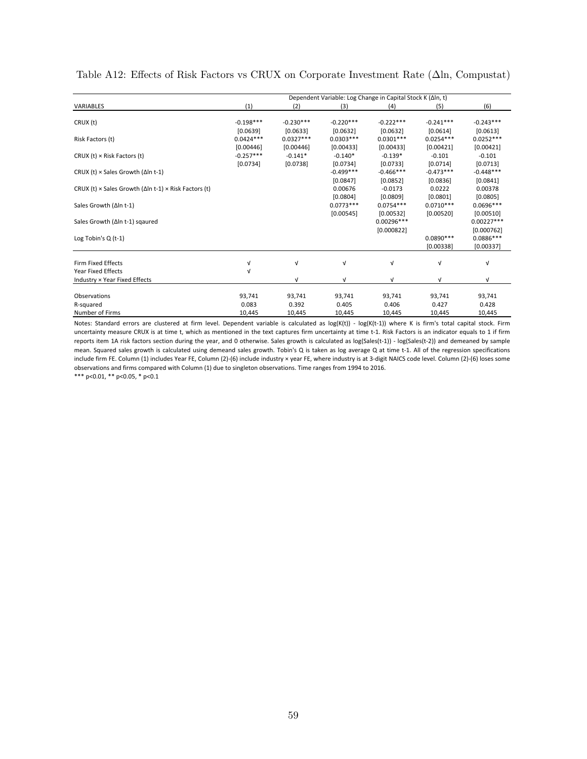|                                                                             | Dependent Variable: Log Change in Capital Stock K (Δln, t) |             |             |             |             |                           |  |  |  |  |
|-----------------------------------------------------------------------------|------------------------------------------------------------|-------------|-------------|-------------|-------------|---------------------------|--|--|--|--|
| <b>VARIABLES</b>                                                            | (1)                                                        | (2)         | (3)         | (4)         | (5)         | (6)                       |  |  |  |  |
| CRUX (t)                                                                    | $-0.198***$                                                | $-0.230***$ | $-0.220***$ | $-0.222***$ | $-0.241***$ | $-0.243***$               |  |  |  |  |
|                                                                             | [0.0639]                                                   | [0.0633]    | [0.0632]    | [0.0632]    | [0.0614]    | [0.0613]                  |  |  |  |  |
| Risk Factors (t)                                                            | $0.0424***$                                                | $0.0327***$ | $0.0303***$ | $0.0301***$ | $0.0254***$ | $0.0252***$               |  |  |  |  |
|                                                                             | [0.00446]                                                  | [0.00446]   | [0.00433]   | [0.00433]   | [0.00421]   | [0.00421]                 |  |  |  |  |
| CRUX (t) $\times$ Risk Factors (t)                                          | $-0.257***$                                                | $-0.141*$   | $-0.140*$   | $-0.139*$   | $-0.101$    | $-0.101$                  |  |  |  |  |
|                                                                             | [0.0734]                                                   | [0.0738]    | [0.0734]    | [0.0733]    | [0.0714]    | [0.0713]                  |  |  |  |  |
| CRUX (t) $\times$ Sales Growth ( $\Delta$ In t-1)                           |                                                            |             | $-0.499***$ | $-0.466***$ | $-0.473***$ | $-0.448***$               |  |  |  |  |
|                                                                             |                                                            |             | [0.0847]    | [0.0852]    | [0.0836]    | [0.0841]                  |  |  |  |  |
| CRUX (t) $\times$ Sales Growth ( $\Delta$ In t-1) $\times$ Risk Factors (t) |                                                            |             | 0.00676     | $-0.0173$   | 0.0222      | 0.00378                   |  |  |  |  |
|                                                                             |                                                            |             | [0.0804]    | [0.0809]    | [0.0801]    | [0.0805]                  |  |  |  |  |
| Sales Growth (Δln t-1)                                                      |                                                            |             | $0.0773***$ | $0.0754***$ | $0.0710***$ | $0.0696***$               |  |  |  |  |
|                                                                             |                                                            |             |             |             |             |                           |  |  |  |  |
|                                                                             |                                                            |             | [0.00545]   | [0.00532]   | [0.00520]   | [0.00510]<br>$0.00227***$ |  |  |  |  |
| Sales Growth (Δln t-1) sgaured                                              |                                                            |             |             | 0.00296 *** |             |                           |  |  |  |  |
|                                                                             |                                                            |             |             | [0.000822]  |             | [0.000762]                |  |  |  |  |
| Log Tobin's $Q(t-1)$                                                        |                                                            |             |             |             | $0.0890***$ | $0.0886***$               |  |  |  |  |
|                                                                             |                                                            |             |             |             | [0.00338]   | [0.00337]                 |  |  |  |  |
| Firm Fixed Effects                                                          | ν                                                          | V           | V           | V           | v           | $\sqrt{ }$                |  |  |  |  |
| <b>Year Fixed Effects</b>                                                   | V                                                          |             |             |             |             |                           |  |  |  |  |
| Industry × Year Fixed Effects                                               |                                                            | V           | ν           | V           | ν           | $\sqrt{ }$                |  |  |  |  |
|                                                                             |                                                            |             |             |             |             |                           |  |  |  |  |
| Observations                                                                | 93,741                                                     | 93,741      | 93,741      | 93,741      | 93,741      | 93,741                    |  |  |  |  |
| R-squared                                                                   | 0.083                                                      | 0.392       | 0.405       | 0.406       | 0.427       | 0.428                     |  |  |  |  |
| Number of Firms                                                             | 10,445                                                     | 10,445      | 10,445      | 10,445      | 10,445      | 10,445                    |  |  |  |  |

<span id="page-60-0"></span>Table A12: Effects of Risk Factors vs CRUX on Corporate Investment Rate (Δln, Compustat)

Notes: Standard errors are clustered at firm level. Dependent variable is calculated as log(K(t)) - log(K(t-1)) where K is firm's total capital stock. Firm uncertainty measure CRUX is at time t, which as mentioned in the text captures firm uncertainty at time t-1. Risk Factors is an indicator equals to 1 if firm reports item 1A risk factors section during the year, and 0 otherwise. Sales growth is calculated as log(Sales(t-1)) - log(Sales(t-2)) and demeaned by sample mean. Squared sales growth is calculated using demeand sales growth. Tobin's Q is taken as log average Q at time t-1. All of the regression specifications include firm FE. Column (1) includes Year FE, Column (2)‐(6) include industry × year FE, where industry is at 3‐digit NAICS code level. Column (2)‐(6) loses some observations and firms compared with Column (1) due to singleton observations. Time ranges from 1994 to 2016.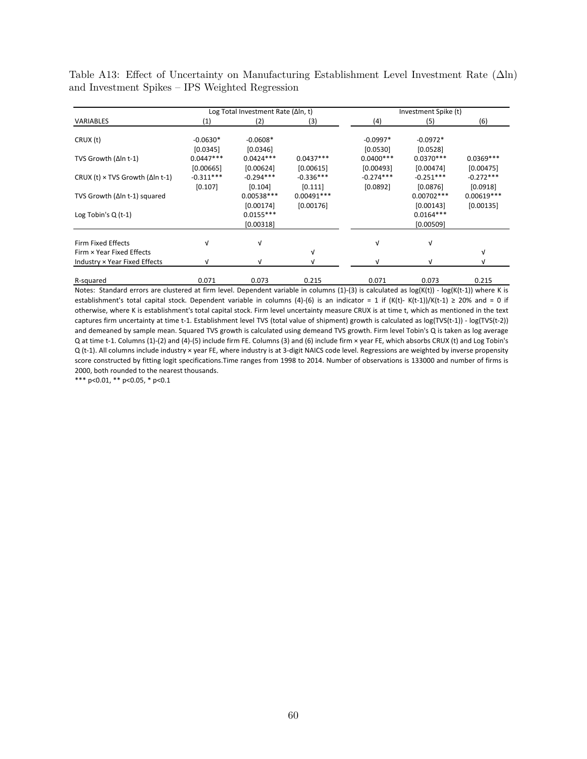<span id="page-61-0"></span>Table A13: Effect of Uncertainty on Manufacturing Establishment Level Investment Rate (Δln) and Investment Spikes – IPS Weighted Regression

|                                                 |                        | Log Total Investment Rate (ΔIn, t)    |              |                        | Investment Spike (t)                  |              |  |  |
|-------------------------------------------------|------------------------|---------------------------------------|--------------|------------------------|---------------------------------------|--------------|--|--|
| <b>VARIABLES</b>                                | (1)                    | (2)                                   | (3)          | (4)                    | (5)                                   | (6)          |  |  |
| CRUX (t)                                        | $-0.0630*$<br>[0.0345] | $-0.0608*$<br>[0.0346]                |              | $-0.0997*$<br>[0.0530] | $-0.0972*$<br>[0.0528]                |              |  |  |
| TVS Growth (Δln t-1)                            | $0.0447***$            | $0.0424***$                           | $0.0437***$  | $0.0400***$            | $0.0370***$                           | $0.0369***$  |  |  |
|                                                 | [0.00665]              | [0.00624]                             | [0.00615]    | [0.00493]              | [0.00474]                             | [0.00475]    |  |  |
| CRUX (t) $\times$ TVS Growth ( $\Delta$ In t-1) | $-0.311***$            | $-0.294***$                           | $-0.336***$  | $-0.274***$            | $-0.251***$                           | $-0.272***$  |  |  |
|                                                 | [0.107]                | [0.104]                               | [0.111]      | [0.0892]               | [0.0876]                              | [0.0918]     |  |  |
| TVS Growth (Δln t-1) squared                    |                        | $0.00538***$                          | $0.00491***$ |                        | $0.00702***$                          | $0.00619***$ |  |  |
| Log Tobin's $Q(t-1)$                            |                        | [0.00174]<br>$0.0155***$<br>[0.00318] | [0.00176]    |                        | [0.00143]<br>$0.0164***$<br>[0.00509] | [0.00135]    |  |  |
| Firm Fixed Effects                              | V                      | ν                                     |              | v                      | $\sqrt{ }$                            |              |  |  |
| Firm × Year Fixed Effects                       |                        |                                       | V            |                        |                                       | $\sqrt{ }$   |  |  |
| Industry × Year Fixed Effects                   | ν                      | v                                     |              | $\sqrt{ }$             | $\sqrt{ }$                            | V            |  |  |
| R-squared                                       | 0.071                  | 0.073                                 | 0.215        | 0.071                  | 0.073                                 | 0.215        |  |  |

Notes: Standard errors are clustered at firm level. Dependent variable in columns (1)‐(3) is calculated as log(K(t)) ‐ log(K(t‐1)) where K is establishment's total capital stock. Dependent variable in columns (4)-(6) is an indicator = 1 if (K(t)-K(t-1))/K(t-1) ≥ 20% and = 0 if otherwise, where K is establishment's total capital stock. Firm level uncertainty measure CRUX is at time t, which as mentioned in the text captures firm uncertainty at time t-1. Establishment level TVS (total value of shipment) growth is calculated as log(TVS(t-1)) - log(TVS(t-2)) and demeaned by sample mean. Squared TVS growth is calculated using demeand TVS growth. Firm level Tobin's Q is taken as log average Q at time t‐1. Columns (1)‐(2) and (4)‐(5) include firm FE. Columns (3) and (6) include firm × year FE, which absorbs CRUX (t) and Log Tobin's Q (t-1). All columns include industry × year FE, where industry is at 3-digit NAICS code level. Regressions are weighted by inverse propensity score constructed by fitting logit specifications.Time ranges from 1998 to 2014. Number of observations is 133000 and number of firms is 2000, both rounded to the nearest thousands.